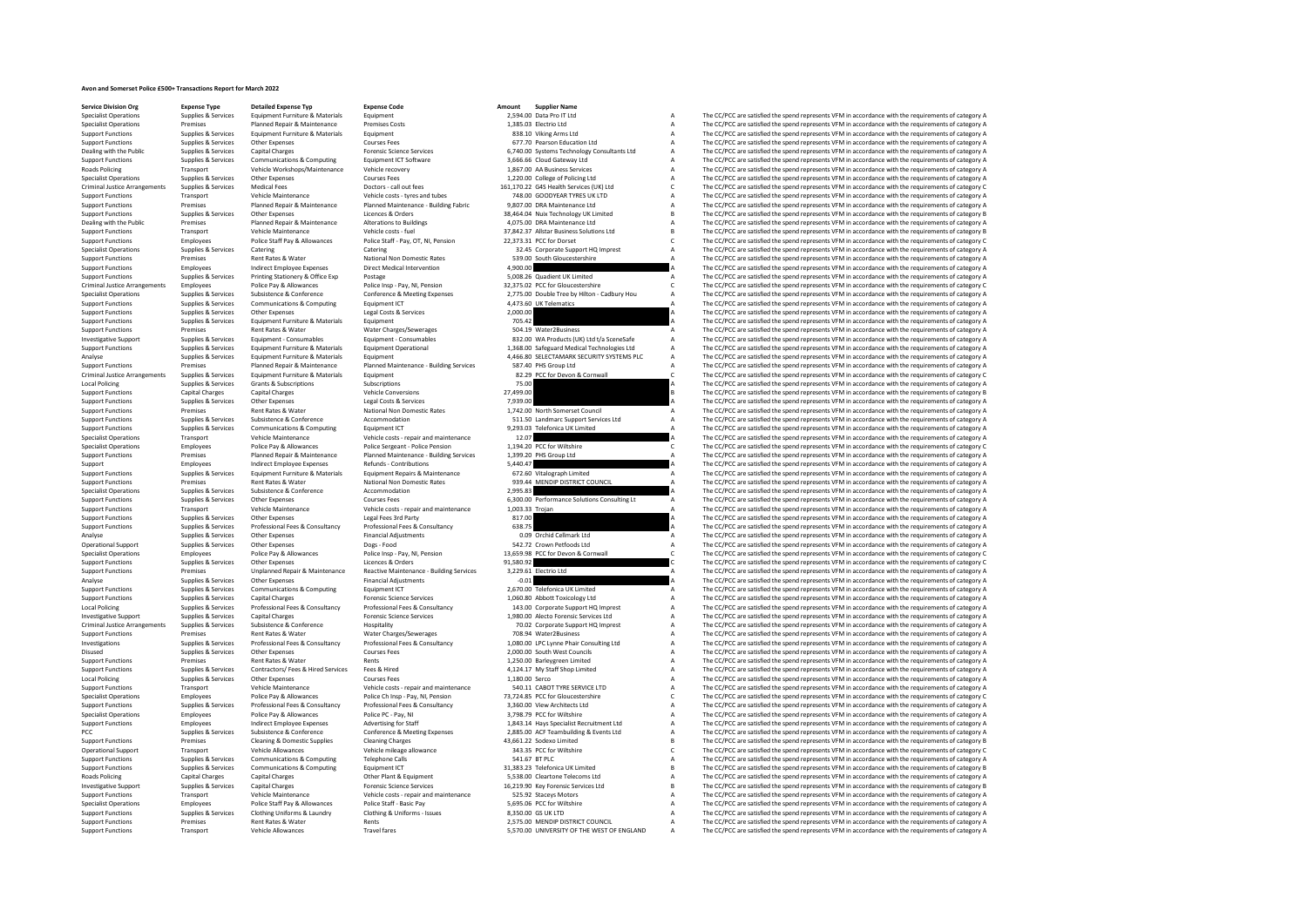# **Avon and Somerset Police £500+ Transactions Report for March 2022**

| <b>Specialist Operations</b>         | Supplies & Services    | Equipment Furniture & Materials            | Equipment                                |                 | 2,594.00 Data Pro IT Ltd                     |                | The CC/PCC are satisfied the spend represents VFM in accordance with the requirements of category A |
|--------------------------------------|------------------------|--------------------------------------------|------------------------------------------|-----------------|----------------------------------------------|----------------|-----------------------------------------------------------------------------------------------------|
| <b>Specialist Operations</b>         | Premises               | Planned Repair & Maintenance               | <b>Premises Costs</b>                    |                 | 1.385.03 Electrio Ltd                        | $\overline{A}$ | The CC/PCC are satisfied the spend represents VFM in accordance with the requirements of category A |
| <b>Support Functions</b>             | Supplies & Services    | Equipment Furniture & Materials            | Equipment                                |                 | 838.10 Viking Arms Ltd                       | A              | The CC/PCC are satisfied the spend represents VFM in accordance with the requirements of category A |
| <b>Support Functions</b>             | Supplies & Services    | Other Expenses                             | <b>Courses Fees</b>                      |                 | 677.70 Pearson Education Ltd                 | A              | The CC/PCC are satisfied the spend represents VFM in accordance with the requirements of category A |
| Dealing with the Public              | Supplies & Services    | <b>Capital Charges</b>                     | <b>Enrensic Science Services</b>         |                 | 6,740.00 Systems Technology Consultants Ltd  | A              | The CC/PCC are satisfied the spend represents VFM in accordance with the requirements of category A |
| <b>Support Functions</b>             | Supplies & Services    | Communications & Computing                 | Equipment ICT Software                   |                 | 3,666.66 Cloud Gateway Ltd                   |                | The CC/PCC are satisfied the spend represents VFM in accordance with the requirements of category A |
| <b>Roads Policing</b>                | Transport              | Vehicle Workshops/Maintenance              | Vehicle recovery                         |                 | 1,867.00 AA Business Services                |                | The CC/PCC are satisfied the spend represents VFM in accordance with the requirements of category A |
|                                      |                        |                                            |                                          |                 |                                              |                |                                                                                                     |
| <b>Specialist Operations</b>         | Supplies & Services    | Other Expenses                             | <b>Courses Fees</b>                      |                 | 1,220.00 College of Policing Ltd             | A              | The CC/PCC are satisfied the spend represents VFM in accordance with the requirements of category A |
| <b>Criminal Justice Arrangements</b> | Supplies & Services    | <b>Medical Fees</b>                        | Doctors - call out fees                  |                 | 161.170.22 G4S Health Services (UK) Ltd      | c              | The CC/PCC are satisfied the spend represents VFM in accordance with the requirements of category C |
| <b>Support Functions</b>             | Transport              | Vehicle Maintenance                        | Vehicle costs - tyres and tubes          |                 | 748.00 GOODYEAR TYRES UK LTD                 |                | The CC/PCC are satisfied the spend represents VFM in accordance with the requirements of category A |
| <b>Support Functions</b>             | Premises               | Planned Repair & Maintenance               | Planned Maintenance - Building Fabric    |                 | 9,807.00 DRA Maintenance Ltd                 |                | The CC/PCC are satisfied the spend represents VFM in accordance with the requirements of category A |
| <b>Sunnort Functions</b>             | Supplies & Services    | Other Expenses                             | Licences & Orders                        |                 | 38.464.04 Nuix Technology UK Limited         |                | The CC/PCC are satisfied the spend represents VFM in accordance with the requirements of category B |
| Dealing with the Public              | Premises               | Planned Repair & Maintenance               | <b>Alterations to Buildings</b>          |                 | 4,075.00 DRA Maintenance Ltd                 |                | The CC/PCC are satisfied the spend represents VFM in accordance with the requirements of category A |
| <b>Support Functions</b>             | Transport              | Vehicle Maintenance                        | Vehicle costs - fuel                     |                 | 37,842.37 Allstar Business Solutions Ltd     |                | The CC/PCC are satisfied the spend represents VFM in accordance with the requirements of category B |
| <b>Support Functions</b>             | Employees              | Police Staff Pay & Allowances              | Police Staff - Pay, OT, NI, Pension      |                 | 22.373.31 PCC for Dorset                     | $\epsilon$     | The CC/PCC are satisfied the spend represents VFM in accordance with the requirements of category C |
| <b>Specialist Operations</b>         | Supplies & Services    | Catering                                   | Catering                                 |                 | 32.45 Corporate Support HQ Imprest           |                | The CC/PCC are satisfied the spend represents VFM in accordance with the requirements of category A |
|                                      |                        |                                            |                                          |                 |                                              |                |                                                                                                     |
| <b>Support Functions</b>             | Premises               | Rent Rates & Water                         | National Non Domestic Rates              |                 | 539.00 South Gloucestershire                 |                | The CC/PCC are satisfied the spend represents VFM in accordance with the requirements of category A |
| <b>Support Functions</b>             | Employees              | <b>Indirect Employee Expenses</b>          | <b>Direct Medical Intervention</b>       | 4,900.00        |                                              |                | The CC/PCC are satisfied the spend represents VFM in accordance with the requirements of category A |
| <b>Support Functions</b>             | Supplies & Services    | Printing Stationery & Office Exp           | Postage                                  |                 | 5.008.26 Quadient UK Limited                 |                | The CC/PCC are satisfied the spend represents VFM in accordance with the requirements of category A |
| <b>Criminal Justice Arrangements</b> | Employees              | Police Pay & Allowances                    | Police Insp - Pay, NI, Pension           |                 | 32,375.02 PCC for Gloucestershire            |                | The CC/PCC are satisfied the spend represents VFM in accordance with the requirements of category C |
| <b>Specialist Operations</b>         | Supplies & Services    | Subsistence & Conference                   | Conference & Meeting Expenses            |                 | 2,775.00 Double Tree by Hilton - Cadbury Hou |                | The CC/PCC are satisfied the spend represents VFM in accordance with the requirements of category A |
| <b>Support Functions</b>             | Supplies & Services    | Communications & Computing                 | Equipment ICT                            |                 | 4,473.60 UK Telematics                       |                | The CC/PCC are satisfied the spend represents VFM in accordance with the requirements of category A |
| <b>Support Functions</b>             | Supplies & Services    | Other Expenses                             | Legal Costs & Services                   | 2.000.00        |                                              |                | The CC/PCC are satisfied the spend represents VFM in accordance with the requirements of category A |
| <b>Support Functions</b>             | Supplies & Services    | Equipment Furniture & Materials            | Equipment                                | 705.42          |                                              |                | The CC/PCC are satisfied the spend represents VFM in accordance with the requirements of category A |
| <b>Support Functions</b>             | Premises               | Rent Rates & Water                         | Water Charges/Sewerages                  |                 | 504.19 Water2Business                        |                | The CC/PCC are satisfied the spend represents VFM in accordance with the requirements of category A |
| <b>Investigative Support</b>         | Supplies & Services    | Equipment - Consumables                    | Equipment - Consumables                  |                 | 832.00 WA Products (UK) Ltd t/a SceneSafe    |                | The CC/PCC are satisfied the spend represents VFM in accordance with the requirements of category A |
|                                      |                        |                                            |                                          |                 |                                              |                |                                                                                                     |
| <b>Support Functions</b>             | Supplies & Services    | Equipment Furniture & Materials            | <b>Equipment Operational</b>             |                 | 1,368.00 Safeguard Medical Technologies Ltd  |                | The CC/PCC are satisfied the spend represents VFM in accordance with the requirements of category A |
| Analyse                              | Supplies & Services    | Equipment Furniture & Materials            | Equipment                                |                 | 4.466.80 SELECTAMARK SECURITY SYSTEMS PLC    |                | The CC/PCC are satisfied the spend represents VFM in accordance with the requirements of category A |
| <b>Support Functions</b>             | Premises               | Planned Repair & Maintenance               | Planned Maintenance - Building Services  |                 | 587.40 PHS Group Ltd                         |                | The CC/PCC are satisfied the spend represents VFM in accordance with the requirements of category A |
| <b>Criminal Justice Arrangements</b> | Supplies & Services    | Equipment Furniture & Materials            | Equipment                                |                 | 82.29 PCC for Devon & Cornwall               |                | The CC/PCC are satisfied the spend represents VFM in accordance with the requirements of category C |
| <b>Local Policing</b>                | Supplies & Services    | Grants & Subscriptions                     | Subscriptions                            | 75.00           |                                              |                | The CC/PCC are satisfied the spend represents VFM in accordance with the requirements of category A |
| <b>Support Functions</b>             | <b>Capital Charges</b> | <b>Capital Charges</b>                     | <b>Vehicle Conversions</b>               | 27,499.00       |                                              |                | The CC/PCC are satisfied the spend represents VFM in accordance with the requirements of category B |
| <b>Support Functions</b>             | Supplies & Services    | Other Expenses                             | Legal Costs & Services                   | 7,939.00        |                                              |                | The CC/PCC are satisfied the spend represents VFM in accordance with the requirements of category A |
| <b>Support Functions</b>             | Premises               | Rent Rates & Water                         | National Non Domestic Rates              |                 | 1,742.00 North Somerset Council              |                | The CC/PCC are satisfied the spend represents VFM in accordance with the requirements of category A |
|                                      |                        | Subsistence & Conference                   |                                          |                 |                                              |                |                                                                                                     |
| <b>Support Functions</b>             | Supplies & Services    |                                            | Accommodation                            |                 | 511.50 Landmarc Support Services Ltd         |                | The CC/PCC are satisfied the spend represents VFM in accordance with the requirements of category A |
| <b>Support Functions</b>             | Supplies & Services    | Communications & Computing                 | Equipment ICT                            |                 | 9.293.03 Telefonica UK Limited               |                | The CC/PCC are satisfied the spend represents VFM in accordance with the requirements of category A |
| <b>Specialist Operations</b>         | Transport              | Vehicle Maintenance                        | Vehicle costs - repair and maintenance   | 12.07           |                                              |                | The CC/PCC are satisfied the spend represents VFM in accordance with the requirements of category A |
| <b>Specialist Operations</b>         | Employees              | Police Pay & Allowances                    | Police Sergeant - Police Pension         |                 | 1,194.20 PCC for Wiltshire                   |                | The CC/PCC are satisfied the spend represents VFM in accordance with the requirements of category C |
| <b>Support Functions</b>             | Premises               | Planned Repair & Maintenance               | Planned Maintenance - Building Services  |                 | 1,399.20 PHS Group Ltd                       |                | The CC/PCC are satisfied the spend represents VFM in accordance with the requirements of category A |
| Support                              | Employees              | <b>Indirect Employee Expenses</b>          | <b>Refunds - Contributions</b>           | 5.440.47        |                                              |                | The CC/PCC are satisfied the spend represents VFM in accordance with the requirements of category A |
| <b>Support Functions</b>             | Supplies & Services    | <b>Equipment Furniture &amp; Materials</b> | Equipment Repairs & Maintenance          |                 | 672.60 Vitalograph Limited                   |                | The CC/PCC are satisfied the spend represents VFM in accordance with the requirements of category A |
| <b>Support Functions</b>             | Premises               | <b>Rent Rates &amp; Water</b>              | National Non Domestic Rates              |                 | 939.44 MENDIP DISTRICT COUNCIL               |                | The CC/PCC are satisfied the spend represents VFM in accordance with the requirements of category A |
| <b>Specialist Operations</b>         | Supplies & Services    | Subsistence & Conference                   | Accommodation                            | 2.995.83        |                                              |                | The CC/PCC are satisfied the spend represents VFM in accordance with the requirements of category A |
|                                      |                        |                                            |                                          |                 |                                              |                |                                                                                                     |
| <b>Support Functions</b>             | Supplies & Services    | Other Expenses                             | <b>Courses Fees</b>                      |                 | 6,300.00 Performance Solutions Consulting Lt |                | The CC/PCC are satisfied the spend represents VFM in accordance with the requirements of category A |
| <b>Support Functions</b>             | Transport              | <b>Vehicle Maintenance</b>                 | Vehicle costs - repair and maintenance   | 1,003.33 Trojan |                                              |                | The CC/PCC are satisfied the spend represents VFM in accordance with the requirements of category A |
| <b>Support Functions</b>             | Supplies & Services    | Other Expenses                             | Legal Fees 3rd Party                     | 817.00          |                                              |                | The CC/PCC are satisfied the spend represents VFM in accordance with the requirements of category A |
| <b>Support Functions</b>             | Supplies & Services    | Professional Fees & Consultancy            | Professional Fees & Consultancy          | 638.75          |                                              |                | The CC/PCC are satisfied the spend represents VFM in accordance with the requirements of category A |
| Analyse                              | Supplies & Services    | Other Expenses                             | <b>Financial Adjustments</b>             |                 | 0.09 Orchid Cellmark Ltd                     |                | The CC/PCC are satisfied the spend represents VFM in accordance with the requirements of category A |
| <b>Operational Support</b>           | Supplies & Services    | Other Expenses                             | Dogs - Food                              |                 | 542.72 Crown Petfoods Ltd                    |                | The CC/PCC are satisfied the spend represents VFM in accordance with the requirements of category A |
| <b>Specialist Operations</b>         | Employees              | Police Pay & Allowances                    | Police Insp - Pay, NI, Pension           |                 | 13,659.98 PCC for Devon & Cornwall           |                | The CC/PCC are satisfied the spend represents VFM in accordance with the requirements of category C |
| <b>Support Functions</b>             | Supplies & Services    | Other Expenses                             | Licences & Orders                        | 91.580.92       |                                              |                | The CC/PCC are satisfied the spend represents VFM in accordance with the requirements of category C |
| <b>Support Functions</b>             | Premises               |                                            |                                          |                 | 3,229.61 Electrio Ltd                        |                | The CC/PCC are satisfied the spend represents VFM in accordance with the requirements of category A |
|                                      |                        | Unplanned Repair & Maintenance             | Reactive Maintenance - Building Services |                 |                                              |                |                                                                                                     |
| Analyse                              | Supplies & Services    | Other Expenses                             | <b>Financial Adjustments</b>             | $-0.01$         |                                              |                | The CC/PCC are satisfied the spend represents VFM in accordance with the requirements of category A |
| <b>Support Functions</b>             | Supplies & Services    | Communications & Computing                 | Equipment ICT                            |                 | 2,670.00 Telefonica UK Limited               |                | The CC/PCC are satisfied the spend represents VFM in accordance with the requirements of category A |
| <b>Support Functions</b>             | Supplies & Services    | <b>Capital Charges</b>                     | <b>Forensic Science Services</b>         |                 | 1,060.80 Abbott Toxicology Ltd               |                | The CC/PCC are satisfied the spend represents VFM in accordance with the requirements of category A |
| <b>Local Policing</b>                | Supplies & Services    | Professional Fees & Consultancy            | Professional Fees & Consultancy          |                 | 143.00 Corporate Support HQ Imprest          |                | The CC/PCC are satisfied the spend represents VFM in accordance with the requirements of category A |
| <b>Investigative Support</b>         | Supplies & Services    | <b>Capital Charges</b>                     | <b>Forensic Science Services</b>         |                 | 1,980.00 Alecto Forensic Services Ltd        |                | The CC/PCC are satisfied the spend represents VFM in accordance with the requirements of category A |
| <b>Criminal Justice Arrangements</b> | Supplies & Services    | Subsistence & Conference                   | Hospitality                              |                 | 70.02 Corporate Support HQ Imprest           |                | The CC/PCC are satisfied the spend represents VFM in accordance with the requirements of category A |
| <b>Support Functions</b>             | Premises               | Rent Rates & Water                         | Water Charges/Sewerages                  |                 | 708.94 Water2Business                        |                | The CC/PCC are satisfied the spend represents VFM in accordance with the requirements of category A |
| Investigations                       | Supplies & Services    | Professional Fees & Consultancy            | Professional Fees & Consultancy          |                 | 1,080.00 LPC Lynne Phair Consulting Ltd      |                | The CC/PCC are satisfied the spend represents VFM in accordance with the requirements of category A |
|                                      |                        | Other Expenses                             | <b>Courses Fees</b>                      |                 |                                              | $\overline{A}$ |                                                                                                     |
| Disused                              | Supplies & Services    |                                            |                                          |                 | 2,000.00 South West Councils                 | A              | The CC/PCC are satisfied the spend represents VFM in accordance with the requirements of category A |
| <b>Support Functions</b>             | Premises               | Rent Rates & Water                         | Rents                                    |                 | 1,250.00 Barleygreen Limited                 |                | The CC/PCC are satisfied the spend represents VFM in accordance with the requirements of category A |
| <b>Support Functions</b>             | Supplies & Services    | Contractors/ Fees & Hired Services         | Fees & Hired                             |                 | 4,124.17 My Staff Shop Limited               | A              | The CC/PCC are satisfied the spend represents VFM in accordance with the requirements of category A |
| <b>Local Policing</b>                | Supplies & Services    | Other Expenses                             | <b>Courses Fees</b>                      | 1,180.00 Serco  |                                              | A              | The CC/PCC are satisfied the spend represents VFM in accordance with the requirements of category A |
| <b>Support Functions</b>             | Transport              | Vehicle Maintenance                        | Vehicle costs - repair and maintenance   |                 | 540.11 CAROT TYRE SERVICE LTD                | A              | The CC/PCC are satisfied the spend represents VFM in accordance with the requirements of category A |
| <b>Specialist Operations</b>         | Employees              | Police Pay & Allowances                    | Police Ch Insp - Pav. NI. Pension        |                 | 73,724.85 PCC for Gloucestershire            | Ċ.             | The CC/PCC are satisfied the spend represents VFM in accordance with the requirements of category C |
| <b>Support Functions</b>             | Supplies & Services    | Professional Fees & Consultancy            | Professional Fees & Consultancy          |                 | 3,360.00 View Architects Ltd                 |                | The CC/PCC are satisfied the spend represents VFM in accordance with the requirements of category A |
| <b>Specialist Operations</b>         | Employees              | Police Pay & Allowances                    | Police PC - Pav. NI                      |                 | 3.798.79 PCC for Wiltshire                   | A              | The CC/PCC are satisfied the spend represents VFM in accordance with the requirements of category A |
| <b>Support Functions</b>             | Employees              | <b>Indirect Employee Expenses</b>          | Advertising for Staff                    |                 | 1,843.14 Hays Specialist Recruitment Ltd     | A              | The CC/PCC are satisfied the spend represents VFM in accordance with the requirements of category A |
| PCC                                  | Supplies & Services    | Subsistence & Conference                   | Conference & Meeting Expenses            |                 | 2,885.00 ACF Teambuilding & Events Ltd       |                | The CC/PCC are satisfied the spend represents VFM in accordance with the requirements of category A |
| <b>Support Functions</b>             | Premises               | <b>Cleaning &amp; Domestic Supplies</b>    | <b>Cleaning Charges</b>                  |                 | 43,661.22 Sodexo Limited                     |                | The CC/PCC are satisfied the spend represents VFM in accordance with the requirements of category B |
|                                      |                        | <b>Vehicle Allowances</b>                  |                                          |                 | 343.35 PCC for Wiltshire                     | $\mathfrak{c}$ |                                                                                                     |
| <b>Operational Support</b>           | Transport              |                                            | Vehicle mileage allowance                |                 |                                              |                | The CC/PCC are satisfied the spend represents VFM in accordance with the requirements of category C |
| <b>Support Functions</b>             | Supplies & Services    | Communications & Computing                 | <b>Telephone Calls</b>                   |                 | 541.67 BT PLC                                |                | The CC/PCC are satisfied the spend represents VFM in accordance with the requirements of category A |
| <b>Support Functions</b>             | Supplies & Services    | Communications & Computing                 | Equipment ICT                            |                 | 31,383.23 Telefonica UK Limited              |                | The CC/PCC are satisfied the spend represents VFM in accordance with the requirements of category B |
| Roads Policing                       | <b>Capital Charges</b> | Capital Charges                            | Other Plant & Equipment                  |                 | 5.538.00 Cleartone Telecoms Ltd              | A              | The CC/PCC are satisfied the spend represents VFM in accordance with the requirements of category A |
| <b>Investigative Support</b>         | Supplies & Services    | <b>Capital Charges</b>                     | <b>Forensic Science Services</b>         |                 | 16,219.90 Key Forensic Services Ltd          |                | The CC/PCC are satisfied the spend represents VFM in accordance with the requirements of category B |
| <b>Support Functions</b>             | Transport              | Vehicle Maintenance                        | Vehicle costs - repair and maintenance   |                 | 525.92 Stacevs Motors                        |                | The CC/PCC are satisfied the spend represents VFM in accordance with the requirements of category A |
| <b>Specialist Operations</b>         | Employees              | Police Staff Pay & Allowances              | Police Staff - Basic Pay                 |                 | 5,695.06 PCC for Wiltshire                   |                | The CC/PCC are satisfied the spend represents VFM in accordance with the requirements of category A |
| <b>Support Functions</b>             | Supplies & Services    | Clothing Uniforms & Laundry                | Clothing & Uniforms - Issues             |                 | 8.350.00 GS UK LTD                           |                | The CC/PCC are satisfied the spend represents VFM in accordance with the requirements of category A |
| <b>Support Functions</b>             | Premises               | Rent Rates & Water                         | Rents                                    |                 | 2,575.00 MENDIP DISTRICT COUNCIL             |                | The CC/PCC are satisfied the spend represents VFM in accordance with the requirements of category A |
| <b>Support Functions</b>             | Transport              | <b>Vehicle Allowances</b>                  | <b>Travel fares</b>                      |                 | 5.570.00 UNIVERSITY OF THE WEST OF ENGLAND   |                | The CC/PCC are satisfied the spend represents VFM in accordance with the requirements of category A |
|                                      |                        |                                            |                                          |                 |                                              |                |                                                                                                     |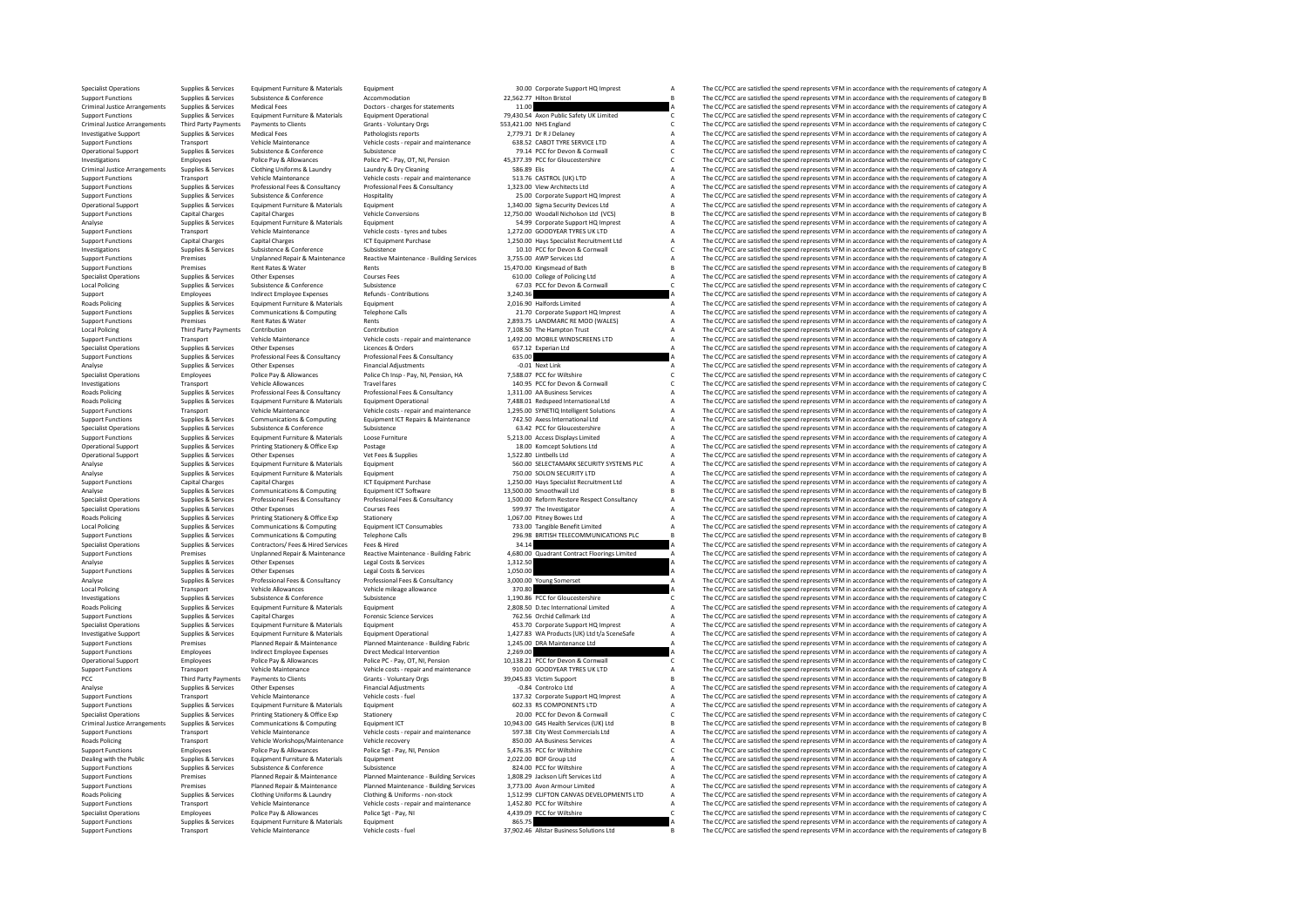Specialist Operations Supplies & Services Equipment Furniture & Materials Equipment Specialist Equipment 30.00 Corporate Support HQ Imprest A The CC/PCC are satisfied the spend represents VFM in accordance with the require Support Functions Supplies & Services Subsistence Accommodation Accommodation 22,562.77 Hilton Bristol B The CC/PCC are satisfied the spend represents VFM in accordance with the requirements of category B Criminal Justice Criminal Justice Arrangements Supplies Services Medical Fees Doctors - charges for statements and the COPC are satisfied the spend represents VFM in accordance with the requirements of category A The COPC are satisfied the Support Franchise Community and the media of the support of the community of the community of the community of the community of the community of the community of the community of the community of the community of the commu Criminal Justice Arrangements Third Party Payments Payments to Clients Grants Voluntary Orgs 553,421.00 NHS England C The CC/PCC are satisfied the spend represents VFM in accordance with the requirements of category C Chri Investigative Supplies Services Medical Fees Pathologists report and the CC/PCC are substrated the pathologists reports report and the CC/PCC are substrated the spend represents VFM in accordance with the requirements of c Support Functions Transport Transport Vehicle costs - repair and maintenance vehicle costs - repair and maintenance and the CC/PC are satisfied the spend represents VFM in accordance with the requirements of category A The Operational Support Supplies & Services Subsistence Subsistence 79.14 PCC for Devon & Cornwall C The CC/PCC are satisfied the spend represents VFM in accordance with the requirements of category C represents VFM in accorda Investigations Employees Police Pay & Allowances Police PC - Pay, OT, NI, Pension 45,377.39 PCC for Gloucestershire C The CC/PCC are satisfied the spend represents VFM in accordance with the requirements of category C C Cr Criminal Justice Arrangements Supplies & Services Clothing Uniforms & Laundry Laundry Laundry As Dry Cleaning Section Section 2017 10 2018 2018 2018 A The CC/PCC are satisfied the spend represents VFM in accordance with th Support Functions Transport Vehicle Maintenance Vehicle costs - repair and maintenance 513.76 CASTROL (UK) LTD A The CC/PCC are satisfied the spend represents VFM in accordance with the requirements of category A Support F =<br>
Supplies & Services Professional Fees & Consultancy Professional Fees & Consultancy 1,323.00 View Architects Ltd A The CC/PCC are satisfied the spend represents VFM in accordance with the requirements of category A cate Support Functions Supplies Services Subsistence SCOnference HOSPITALITY 25.00 Corporate Support HOMPES (HOSPITALITY A The CC/PCC are satisfied the spend represents VFM in accordance with the requirements of category A The Operational Support Support Support Euriture & Materials Equipment Category 1,340.000 Sigma Security Devices Ltd A The CC/PCC are satisfied the spend represents VFM in accordance with the requirements of category A The CC/ Support Functions Capital Charges Capital Charges Capital Charges Vehicle Conversions 12,750.00 Woodall Nicholson Ltd (VCS) B The CC/PCC are satisfied the spend represents VFM in accordance with the requirements of categor Analyse Supplies Services Equipment Furniture & Materials Equipment Equipment Support Support Team of the Support HO Imprest A The CC/PCC are satisfied the spend represents VFM in accordance with the requirements of catego Support Functions Transport Vehicle Maintenance Vehicle costs - tyres and tubes 1,272.00 GOODYEAR TYRES UK LTD A The CC/PCC are satisfied the spend represents VFM in accordance with the requirements of category A Support F Support Functions Capital Charges Capital Charges Capital Charges 1,250.00 Hays Specialist Recruitment Ltd A The CC/PCC are satisfied the spend represents VFM in accordance with the requirements of category C<br>
Supplies & S Investigations Subsistence Soutce Subsistence Subsistence Subsistence Subsistence Subsistence In the Conference Subsistence In the Cornel Category & Cornel Conference In a material Conference of Conference In a material Co =<br>Support Functions Macrophysion of Premises Unplanned Repair & Maintenance Reactive Maintenance - Building Services 3,755.00 AWP Services Ltd Macro Annual AM The CC/PCC are satisfied the spend represents VFM in accordance Support Functions Premises Rent Rates & Water Rents Rents Rents 15,470.00 Kingsmead of Bath B The CC/PCC are satisfied the spend represents VFM in accordance with the requirements of category B Rent Rents 15,470.00 Kingsme Specialist Operations Supplies Services Operations Supplies Courses Courses Courses Courses Courses Courses College of Policing Ltd A The CC/PCC are satisfied the spend represents VFM in accordance with the requirements of Local Policing Subsistence Subsistence Supplies Supplies Subsistence Subsistence Subsistence Subsistence Subsistence Subsistence Subsistence Supplies and Corner and Conference Conference Supplies and the COPC are satisfied Support Employees Indirect Employee Expenses Refunds - Contributions 3,240.36 A The CC/PCC are satisfied the spend represents VFM in accordance with the requirements of category A The CC/PC are satisfied the spend represen Roads Policing Supplies & Services Equipment Furniture & Materials Equipment Equipment Equipment Purinture & Materials Equipment Circle and the Supplies A The CC/PCC are satisfied the spend represents VFM in accordance wit Support Functions Supplies Services Communications & Computing Telephone Calls 21.70 Corporate Support HQ Imprest A The CC/PCC are satisfied the spend represents VFM in accordance with the requirements of category A The CC Support Functions Premises Rent Rents Rents Rents Rents Rents Rents Rents Rents Rents Rents Rents Rents Rents Rents Rents Rents Rents Rents Rents Rents Rents Rents Rents Rents Rents Rents Rents Rents Rents Rents Rents Rent Lontribution Contribution Contribution Third Payments of Category A The CC/PCC are satisfied the spend represents VFM in accordance with the requirements of category A<br>A The CC/PCC are satisfied the spend represents VFM in Support Functions Transport Transport Vehicle Maintenance Vehicle costs - repair and maintenance 1,492.00 MOBILE WINDSCREENS LTD A The CC/PCC are satisfied the spend represents VFM in accordance with the requirements of ca Specialist Operations Supplies & Services Other Expenses Licences & Orders Licences Access Consultancy 657.12 Experian Ltd A The CC/PCC are satisfied the spend represents VFM in accordance with the requirements of category Supplies & Services Professional Fees & Consultancy Professional Fees & Consultancy 635.00 CONSULTANCE A The CC/PCC are satisfied the spend represents VFM in accordance with the requirements of category A CONSULTANCE A The Analyse Supplies Supplies Supplies Content Content Content Content A The CONTENT A The CONTENT A The CONTENT ACCORDINATION CONTENT A THE CONTENT ARREST ARREST OF CONTENT ACCORDINATION AND THE CONTENT AND A THE CONTENT ARRE Specialist Operations Employees Police Pay & Allowances Police Ch Insp - Pay, NI, Pension, HA 7,588.07 PCC for Wiltshire C The CC/PCC are satisfied the spend represents VFM in accordance with the requirements of category C Investigations Transport Vehicle Allowances Travel fares Travel fares 140.95 PCC for Devon & Cornwall C The CC/PCC are satisfied the spend represents VFM in accordance with the requirements of category C requirements of ca Roads Policing Supplies & Services Professional Fees & Consultancy Professional Fees & Consultancy 1,311.00 A Business Services A The CC/PCC are satisfied the spend represents VFM in accordance with the requirements of cat Road Policing of the Supplies Services (and the search of the control of the control of the control of the control of the control of the control of the control of the control of the control of the control of the control of Vehicle costs - repair and maintenance and maintenance and the second of category A vehicle costs - repair and maintenance and the second of the core of the CC/PCC are satisfied the spend represents VFM in accordance with Examples & Supplies & Services Communications & Computing Equipment ICT Repairs & Maintenance 742.50 Axes International Ltd Beach The CC/PCC are satisfied the spend represents VFM in accordance with the requirements of cat Specialist Operations Supplies & Services Subsistence Subsistence Subsistence Subsistence 63.42 PCC for Gloucestershire A The CC/PCC are satisfied the spend represents VFM in accordance with the requirements of category A Support Functions Supplies & Services Equipment Furniture & Materials Loose Furniture **Services Access Displays Limited A** The CC/PCC are satisfied the spend represents VFM in accordance with the requirements of category A Operational Support Supplies & Services Printing Stationery & Office Exp Postage Postage 18.00 Komcept Solutions Ltd A The CC/PCC are satisfied the spend represents VFM in accordance with the requirements of category A Ope Operational Support Supplies Services Other Expenses Vet Fees & Supplies Vet Fees And Manual Linter 2022.80 Lintbells Ltd A The CC/PCC are satisfied the spend represents VFM in accordance with the requirements of category Analysis Supplies & Services Equipment Furniture & Materials Equipment Furniture and the spending equipment of Category A Supplies A The CC/PCC are satisfied the spend represents VFM in accordance with the requirements of Analyse Supplies Supplies Equipment Furniture & Materials Equipment Furniture and the CC/PCC are active to a security LTD A The CC/PCC are satisfied the spend represents VFM in accordance with the requirements of category Support Functions Capital Charges Capital Charges Capital Charges ICT Equipment Purchase 1,250.00 Hays Specialist Recruitment Ltd A The CC/PCC are satisfied the spend represent VFM in accordance with the requirements of ca The CC/PCC are satisfied the spend represents VEM in accordance with the requirements of category B Supplies & Services Professional Fees & Consultancy Professional Fees & Consultancy 1,500.00 Reform Restore Respect Consultancy A The CC/PCC are satisfied the spend represents VFM in accordance with the requirements of cat Specialist Operations Supplies & Services Other Expenses Courses Courses Fees Services Courses Courses Fees 599.97 The Investigator A The CC/PCC are satisfied the spend represents VFM in accordance with the requirements of Roads Policing Supplies & Services Printing Stationery & Office Exp Stationery Supplies and Supplies and Supplies A The CC/PCC are satisfied the spend represents VFM in accordance with the requirements of category A Condit Local Policing Supplies & Services Communications & Computing Equipment ICT Consumables 733.00 Tangible Benefit Limited A The CC/PCC are satisfied the spend represents VFM in accordance with the requirements of category A Support Functions Supplies & Services Communications & Computing Telephone Calls 296.98 BRITISH TELECOMMUNICATIONS PLC B The CC/PCC are satisfied the spend represents VFM in accordance with the requirements of category B<br>S Specialist Operations Supplies & Services Contractors/ Fees & Hired Fees & Hired Services Fees & Hired 34.14 A The CC/PCC are satisfied the spend represents VFM in accordance with the requirements of category A Supplies & Premises Construction of the CC/PCC are satisfied the speaking of the requirements of category Apple and the method of the method of the companism of the CC/PCC are satisfied the spend represents VFM in accordance with the Analyse Supplies Services Other Expenses Legal Costs & Services 1,312.50 A The CC/PCC are satisfied the spend represents VFM in accordance with the requirements of category A The CC/PC are satisfied the spend represents VF Support Functions Supplies Services Other Expenses Legal Costs & Services 1,050.00 A The CC/PCC are satisfied the spend represents VFM in accordance with the requirements of category A The CC/PC are satisfied the spend rep The CC/PCC are satisfied the spend represents VFM in accordance with the requirements of category A Local Policing Transport Vehicle Allowances Vehicle mileage allowance 370.80 a The CC/PCC are satisfied the spend represents VFM in accordance with the requirements of category A Vehicle mileage of Vehicle mileage of Subsi Investigations Supplies & Services Subsistence Subsistence Subsistence 1,190.86 PCC for Gloucestershire C The CC/PCC are satisfied the spend represents VFM in accordance with the requirements of category C Subsistence Subs Equipment Furniture & Materials Equipment Equipment 2,808.50 D.tec International Limited A The CC/PCC are satisfied the spend represents VFM in accordance with the requirements of category A The CC/PCC are satisfied the sp Support Functions Supplies & Services Capital Charges Capital Charges Forensic Science Services 762.56 Orchid Cellmark Ltd A The CC/PCC are satisfied the spend represents VFM in accordance with the requirements of category Specialist Operations Supplies & Services Equipment Furniture & Materials Equipment entity experiment and the material areas and the CC/PCC are satisfied the spend represents VFM in accordance with the requirements of cate -<br>Investigative Support Support Support Support Support Equipment Funiture & Materials Equipment Operational Equ<br>Support Eurocins Premises Planned Repair & Maintenance Planned Maintenance - Building Fabric 1,245.00 DRA Mai Support Functions Premises Planned Repair & Maintenance Planned Maintenance - Building Fabric 1,245.00 DRA Maintenance Ltd A The CC/PCC are satisfied the spend represents VFM in accordance with the requirements of category Support Functions Employees Indirect Employee Expenses Direct Medical Intervention 2,269.00 C are and the CC/PCC are satisfied the spend represents VFM in accordance with the requirements of category A Consultion 20138.21 The CC/PCC are satisfied the spend represents VFM in accordance with the requirements of category C Support Functions Transport Vehicle Maintenance Vehicle costs - repair and maintenance 910.00 GOODYEAR TYRES UK LTD A The CC/PCC are satisfied the spend represents VFM in accordance with the requirements of category B<br>PCC PCC Third Party Payments Payments to Clients Grants - Voluntary Orgs 39,045.83 Victim Support B The CC/PCC are satisfied the spend represents VFM in accordance with the requirements of category B Support Support Support Su Analyse Supplies & Services Other Expenses Financial Adjustments -0.84 Controlco Ltd A The CC/PCC are satisfied the spend represents VFM in accordance with the requirements of category A Christmas -0.84 Controlco Ltd A The Experiment Vehicle Maintenance Vehicle costs - fuel the Support Functions of Category A The CC/PCC are satisfied the spend represents VFM in accordance with the requirements of category A Support HQ Imprest A The CC/PCC ar Support Functions Supplies Services Equipment Euriture & Materials Equipment Functions and the Component Functions and the CC/PCC are satisfied the spend represents VFM in accordance with the requirements of category A The Specialist Operations Supplies & Services Printing Stationery & Office Exp Stationery Stationery 20.00 PCC for Devon & Cornwall C The CC/PCC are satisfied the spend represents VFM in accordance with the requirements of cat Criminal Justice Arrangements Supplies & Services Communications & Computing Equipment ICT 10,943.00 G4S Health Services (UK) Ltd B The CC/PCC are satisfied the spend represents VFM in accordance with the requirements of c Support Functions Transport Vehicle Maintenance Vehicle costs - repair and maintenance 597.38 City West Commercials Ltd A The CC/PCC are satisfied the spend represents VFM in accordance vith the requirements of category Ve Roads Policing Transport Vehicle Workshops/Maintenance Vehicle recovery 850.00 AA Business Services A The CC/PCC are satisfied the spend represents VFM in accordance with the requirements of category A Subset are satisfied Support Functions Employees Police Pay & Allowances Police Sgt - Pay, NI, Pension 5,476.35 PCC for Willshire C The CC/PCC are satisfied the spend represents VFM in accordance with the requirements of category C Category C Dealing with the Public Supplies Services Equipment Furniture & Materials Equipment Fundations are accorded the Supplies and the CC/PCC are satisfied the spend represents VFM in accordance with the requirements of category Subsistence & Subsistence Functions Supplies a Subsistence of Conference and the CONFERENCE of Miltshire A The CC/PCC are satisfied the spend represents VFM in accordance with the requirements of category A The CC/PCC are Export Functions Premises Planned Repair & Maintenance Planned Maintenance Building Services 1,808.29 Jackson Lift Services Ltd Maintenance Annual Support Functions The CC/PCC are satisfied the spend represents VFM in acco Eventions Premises Premises Planned Repair & Maintenance Planned Maintenance - Building Services 3,773.00 Avon Armour Limited American A The CC/PCC are satisfied the spend represents VFM in accordance with the requirements -<br>Roads Policing Supplies & Services Clothing Uniforms & Laundry Clothing & Uniforms - non-stock 1,512.99 CLIFTON CANVAS DEVELOPMENTS LTD A The CC/PCC are satisfied the spend represents VFM in accordance with the requireme Support Functions Transport Vehicle Maintenance Vehicle costs - repair and maintenance 1,452.80 PCC for Wiltshire A The CC/PCC are satisfied the spend represents VFM in accordance with the requirements of category C<br>Analys Specialist Operations Employees Police Pay & Allowances Police Sgt - Pay, NI 4,439.09 PCC for Wiltshire C The CC/PCC are satisfied the spend represents VFM in accordance with the requirements of category C Packed are satis Support Functions Supplies & Services Equipment Funiture & Materials Equipment and the context of a text of the services Equipment and the context of areas and the services equipment of category vehicle costs functions and Transport Vehicle Maintenance Vehicle costs - fuel 37,902.46 Allstar Business Solutions Ltd B The CC/PCC are satisfied the spend represents VFM in accordance with the requirements of category B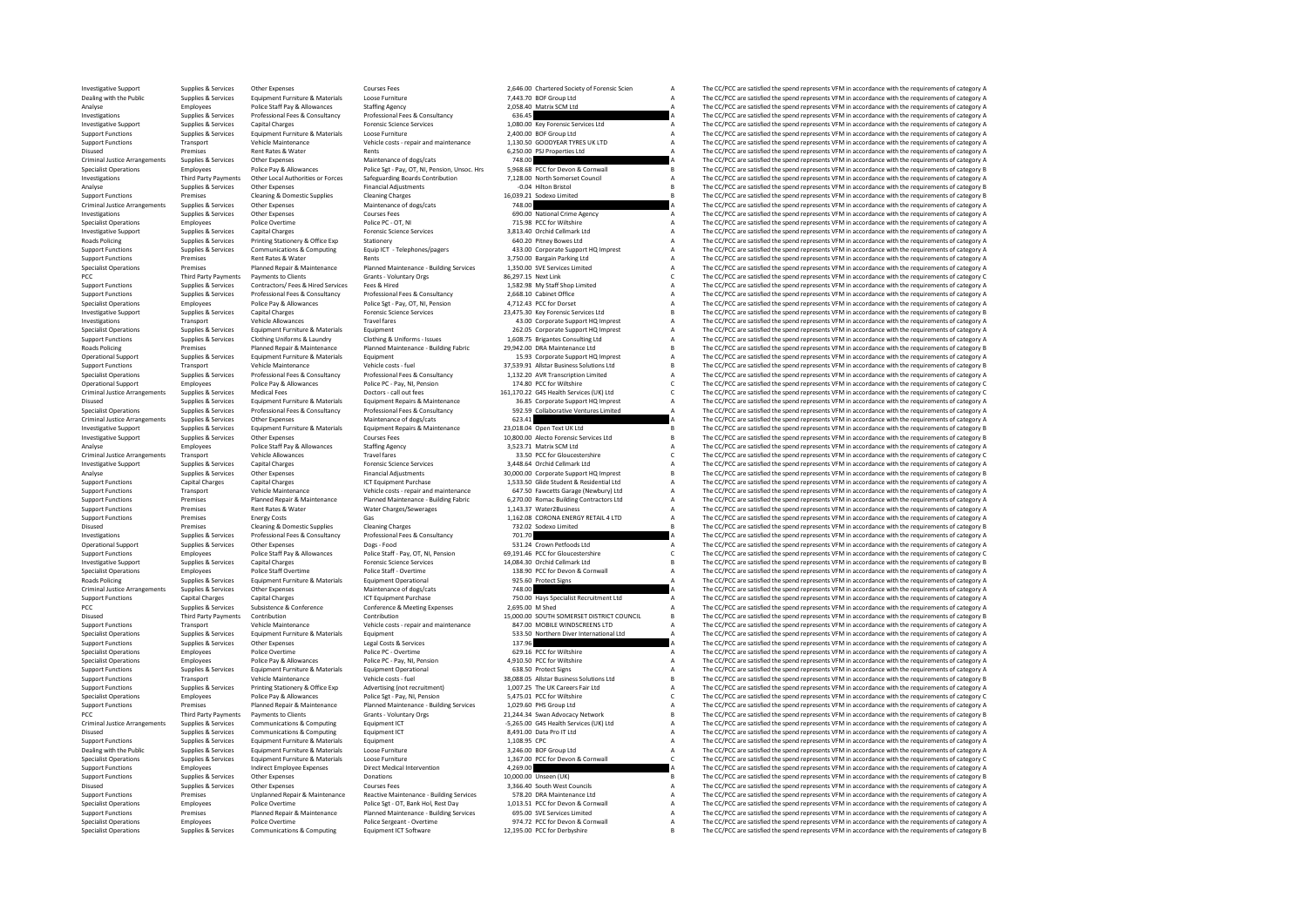Investigative Support Supplies & Services Other Expenses Courses Courses Fees 2,646.00 Chartered Society of Forensic Scien A The CC/PCC are satisfied the spend represents VFM in accordance with the requirements of category Dealing with the Public Supplies & Services Equipment Furniture & Materials Loose Furniture 2006 Furniture 1,443.70 BOF Group Ltd A The CC/PCC are satisfied the spend represents VFM in accordance with the requirements of c Analyse Police Staff Pay Allowances Staffing Agency 2,058.40 Matrix SCM Ltd A The CC/PCC are satisfied the spend represents VFM in accordance with the requirements of category A The CC/PC are satisfied the spend represents Investigations Supplies Services Professional Fees & Consultancy Professional Fees & Consultancy Professional Feest A The CC/PCC are satisfied the spend represents VFM in accordance with the requirements of category A The Investigative Support Supplies & Services Capital Charges Forensic Science Services 1,080.00 Key Forensic Services Ltd A The CC/PCC are satisfied the spend represents VFM in accordance with the requirements of category A S Support Functions Supplies Services Equipment Furniture & Materials Loose Euriture 2,400.000 BOF Group Ltd A The CC/PCC are satisfied the spend represents VFM in accordance with the requirements of category A The CC/PCC ar Vehicle Maintenance Vehicle costs - repair and maintenance 1,130.50 GOODYEAR TYRES UK LTD A The CC/PCC are satisfied the spend represents VFM in accordance with the requirements of category A<br>Rent Rates & Water Sections ar Disused Premises Rent Rents Rents Rents Rents Rents Rents Rents Rents Rents Rents Rents Rents Rents Rents Rents Rents Rents Rents Rents Content Rents Content Rents Rents Rents Rents Rents Rents Rents Rents Rents Rents Rent Criminal Justice Arrangements Supplies & Services Other Expenses Maintenance of dogs/cats 748.00 748.00 A The CC/PCC are satisfied the spend represents VFM in accordance with the requirements of category B<br>Specialist Opera Specialist Operations of the Specialist Operations of the equirements of category B Police Pay & Allowances Police Set Pay, OT, NI, Pension, Unsoc. Hrs 5,968.68 PCC for Devon & Corruvall Corruval B The CC/PCC are satisfied -Investigations and The CC/PCC are satisfied the spend represents VFM in accordance with the requirements of category<br>- Third Party Payments Other Expenses Financial Adjustments Managed Party Financial Adjustments of Categ Analyse Supplies & Services Other Expenses Financial Adjustments -0.04 Hilton Bristol B The CC/PCC are satisfied the spend represents VFM in accordance with the requirements of category B<br>Support Functions -0.04 Hilton Bri Support Functions Premises Cleaning Cleaning Cleaning Cleaning Charges Cleaning Charges 2003.<br>Cleaning Charges 2007 Support Cleaning Cleaning Cleaning Cleaning Cleaning Cleaning Cleaning Cleaning Cleaning Cleaning Cleaning Criminal Justice Arrangements Supplies Services Other Expenses Maintenance of dogs/cats 748.00 A The CC/PCC are satisfied the spend represents VFM in accordance with the requirements of category A The CC/PCC are satisfied Investigations Supplies Services Other Expenses Courses Fees 690.00 National Crime Agency A The CC/PCC are satisfied the spend represents VFM in accordance with the requirements of category A The CC/PCC are satisfied the s Specialist Operations Employees Police Overtime Police PC-OT, NI 715.98 POC FOR THE OVERTIME A The CC/PCC are satisfied the spend represents VFM in accordance with the requirements of category A The CC/PC are satisfied the Investigative Support Supplies & Services Capital Charges Capital Charges Forensic Science Services 3,813.40 Orchid Cellmark Ltd A The CC/PCC are satisfied the spend represents VFM in accordance with the requirements of ca Roads Policing Supplies & Services Printing Stationery & Office Exp Stationery Stationery Control of Category A The CC/PCC are satisfied the spend represents VFM in accordance with the requirements of category A Supplies & Support Supplies Services Communications & Computing the Computer of the Computations of the Computations of the Computations of the Computations of the Computations of the Computations of the Computations are the computat Support Functions Premises Rent Rates & Water Rents Rents Rents Rents Rents Rents Rents Rents Rents Rents Rents<br>Specialist Operations Premises Planned Repair & Planned Maintenance Planned Maintenance Building Services 1,35 Specialist Operations The Premises Premises Planned Repair & Maintenance Planned Maintenance - Building Services 1,350.00 SVE Services Limited and The CC/PCC are satisfied the spend represents VFM in accordance with the re PCC Third Payments Third Payments of Clients Collections - Voluntary Orgs 86,297.15 Next Link C Third Payments Collections - Voluntary Orgs 86,297.15 Next Link C Third Payments Of Category C The CC/PCC are satisfied the sp Support Functions Supplies Services Contractors/ Fees Hired Services Fees & Hired 1,582.98 My Staff Shop Limited A The CC/PCC are satisfied the spend represents VFM in accordance with the requirements of category A The CC/ Example of the state of the state of the consumer the consumer that the consumer the consumer the consumer the consumer the example of the consumer the consumer the consumer the consumer the consumer the consumer the consu Specialist Operations Employees Police Pay Police Pay OT, NI, Pension and Allowances Police Sgt - Pay, OT, NI, Pension 4,712.43 PCC for Dorset A The CC/PCC are satisfied the spend represents VFM in accordance with the requ Investigative Support Supplies & Services Capital Charges Capital Charges Forensic Science Services 23,475.30 Key Forensic Services Ltd B The CC/PCC are satisfied the spend represents VFM in accordance with the requirement Investigations Transport Vehicle Allowances Travel fares Travel fares and the corporate Support HQ Imprest A The CC/PCC are satisfied the spend represents VFM in accordance with the requirements of category A Support HQ Im The CC/PCC are satisfied the spend represents VEM in accordance with the requirements of category A Support Functions Supplies & Services Clothing Uniforms & Laundry Clothing & Uniforms - Issues 1,608.75 Brigantes Consulting Ltd A The CC/PCC are satisfied the spend represents VFM in accordance with the requirements of category A Roads Policing Premises Planned Repair & Maintenance Planned Maintenance - Building Fabric 29,942.00 DRA Maintenance Ltd B The CC/PCC are satisfied the spend represents VFM in accordance with the requirements of category P Operational Support Supplies & Services Equipment Furniture & Materials Equipment Equipment 15.93 Corporate Support HQ Imprest A The CC/PCC are satisfied the spend represents VFM in accordance with the requirements of cate Support Functions Transport Vehicle Maintenance Vehicle costs - fuel 1973-91 Allstar Business - functions - functions Ltd B The CC/PCC are satisfied the spend represents VFM in accordance with the requirements of category Specialist Operations Supplies & Services Professional Fees & Consultancy Professional Fees & Consultancy 1,132.20 AVR Transcription Limited A The CC/PCC are satisfied the spend represents VFM in accordance with the requirements of category A Operational Support Employees Police Pay & Allowances Police PC - Pay, NI, Pension 174.80 PCC for Wiltshire C The CC/PCC are satisfied the spend represents VFM in accordance with the requirements of category C Declors - al Criminal United Services Medical Feeding Material Criminal Data and the state of the context of the Criminal United Service of the Criminal United Services of the Criminal United Services of the Criminal Data incompany of Disused Supplies Services Fundament Equipment Enginement and the control of the control of the control of the control of the control of the control of the control of the control of the control of the control of the control Professional Fees & Consultancy 592.59 Collaborative Ventures Limited Manufacture of the CC/PCC are satisfied the spend represents VFM in accordance with the requirements of category A<br>Maintenance of does/cats 623.41 623.4 Criminal Justice Arrangements Supplies & Services Other Expenses Maintenance of dogs/cats 623.41 a The CC/PCC are satisfied the spend represents VFM in accordance with the requirements of category A Criminal Justice Arrang Investigative Support Supplies & Services Equipment Furniture & Materials Equipment Repairs & Maintenance 23,018.04 Open Text UK Ltd B The CC/PCC are satisfied the spend represents VFM in accordance with the requirements of category B Expenses Courses Fees 201300.00 Alecto Forensic Services Ltd B The CC/PCC are satisfied the spend represents VFM in accordance with the requirements of category B Courses Fees 10,800.00 Alecto Forensic Services Ltd B The C Analyse Employees Police Staff Pay & Allowances Staffing Agency 3,523.71 Matrix SCM Ltd A The CC/PCC are satisfied the spend represents VFM in accordance with the requirements of category A Critical Developments of categor Criminal Justice Arrangements Transport Vehicle Allowances Travel Tares Travel Travel fares Travel fares Travel are the COM in the COM in the COM in the COM in accordance with the requirements of category C The COM in acco Supplies & Services Capital Charges Support Science Services Sand Sand A Service Capital Charges 3,448.64 Orchid Cellmark Ltd A The CC/PCC are satisfied the spend represents VFM in accordance with the requirements of categ Analyse Supplies Support Support Support Support Support Support Support Adjustments 30,000.00 Corporate Support HQ Imprest B Imprest B The CC/PCC are satisfied the spend represents VFM in accordance with the requirements Support Functions Capital Charges Capital Charges ICT Equipment Purchase 1,533.50 Glide Student Besidential Ltd<br>Support Functions Capital Charges Vehicle And Vehicle create and represent VFM in a The CC/PCC are satisfied t The CC/PCC are satisfied the spend represents VEM in accordance with the requirements of category A Example of The C/PCC are statified the second of the control of the C/PCC are statified the spend represents VFM in accordance with the requirements of category A Planned Repair & Planned Repair & Planned Maintenance - Bui Support Functions Premises Rent Rates Water Water Charges/Sewerages 1,143.37 Water2Business A The CC/PCC are satisfied the spend represents VFM in accordance with the requirements of category A The Support Functions A The Support Functions Premises Energy Costs Gas Gas 1,162.08 CORONA ENERGY RETAIL 4 LTD A The CC/PCC are satisfied the spend represents VFM in accordance with the requirements of category B<br>Disused Premises Cleaning & Domestic Premises Cleaning & Domestic Supplies Cleaning Charges Cleaning Charges 732.02 Sodexo Limited The CC/PCC are satisfied the spend represents VFM in accordance with the requirements of category B Cleaning Charges 701.70 701. Investigations Supplies & Services Professional Fees & Consultancy Professional Fees & Consultancy Professional Fees & Consultancy Professional Fees & Consultancy 701.70 A The CC/PCC are satisfied the spend represents VFM Operational Support Support Support Support Support Support Support Support Support Support Support Support Support Support Support Support Support Support Support Support Support Support Support Support Support Support Su .<br>Support Functions Supplies Employees Police Staff Pay & Allowances Police Staff - Pay, OT, NJ, Pension 69,191.46 PCC for Gloucestershire CMECCAC The CC/PCC are satisfied the spend represents VFM in accordance with the re Investigative Supplies Services Capital Charges Support Support Support Support Support Support Support Support Support Support Support Support Support Support Support Support Support Support Support Support Support Suppor Specialist Operations Employees Police Staff Overtime Police Staff - Overtime 138.90 PCC for Devon & Cornwall A The C/PCC are satisfied the spend represents VFM in accordance with the requirements of category A The C/PCC a The CC/PCC are satisfied the spend represents VEM in accordance with the requirements of category A Criminal Justice Arrangements Supplies Supplies Other Expenditus Maintenance of dogs/cats of dogs/cats 748.00 A The CC/PCC are satisfied the spend represents VFM in accordance with the requirements of category A The Crimin Support Functions Capital Charges Capital Charges Capital Charges ICT Equipment Purchase 750.00 Hays Specialist Recruitment Ltd A The CC/PCC are satisfied the spend represents VFM in accordance with the requirements of cat Pupplies & Services Subsistence & Conference Conference & Meeting Expenses 2,695.00 M Shed A The CC/PCC are satisfied the spend represents VFM in accordance with the requirements of category A Third Party Payments Contribu Disused Third Party Payments Contribution Contribution Contribution 15,000.00 SOUTH SOMERSET DISTRICT COUNCIL B The CC/PCC are satisfied the spend represents VFM in accordance with the requirements of category B<br>Support Fu Support Functions Transport Vehicle Maintenance Vehicle costs - repair and maintenance 847.00 MOBILE WINDSCREENS LTD A The CC/PCC are satisfied the spend represents VFM in accordance with the requirements of category A Sup Specialist Operations Supplies & Services Equipment Furniture & Materials Equipment Equipment Equipment Category<br>Support Functions Supplies & Services (Price Services Services 137.96 137.96 137.96 The CC/PCC are satisfied Support Functions Supplies Services Other Expenses Legal Costs A The Costs A The CC/PCC are satisfied the spend represents VFM in accordance with the requirements of category A The C/PC are satisfied the spend represents V Specialist Operations Employees Police Overtime Police PC - Overtime Police PC - Overtime 629.16 PCC for Wiltshire A The CC/PCC are satisfied the spend represents VFM in accordance with the requirements of category A Speci Specialist Operations Complete Pay and The CC/PCC are satisfied the spend represents VFM in accordance with the requirements of category A The CC/PCC are satisfied the spend represents VFM in accordance with the requiremen Support Functions Supplies Services Equipment Furniture & Materials Equipment Operational and the Salson Protect Signs A The CC/PCC are satisfied the spend represents VFM in accordance with the requirements of category Bro Support Functions Transport Vehicle Maintenance Vehicle costs - fuel 38,088.05 Allstar Business Solutions Ltd B The CC/PCC are satisfied the spend represents VFM in accordance with the requirements of category B<br>Support Fu Printing Stationery & Office Exp Advertising (not recruitment) 1,007.25 The UK Careers Fair Ltd Music Printing Stationery & Office State Stationer (State State Advertising the State State Advertising the State Of Care Stat Specialist Operations Employees Police Pay & Allowances Police Sgt - Pay, NI, Pension 5,475.01 PCC for Wiltshire C The CC/PCC are satisfied the spend represents VFM in accordance with the requirements of category C Support Support Functions Premises Planned Repair & Maintenance Planned Maintenance - Building Services 1,029.60 PHS Group Ltd A The CC/PCC are satisfied the spend represents VFM in accordance with the requirements of category By PCC Third Party Payments Payments Decision Clients Grants Collents Grants Voluntary Orgs 21,244.34 Swan Advocacy Network B The CC/PCC are satisfied the spend represents VFM in accordance with the requirements of category B Criminal Justice Arrangements Supplies & Services Communications & Computing Equipment ICT -5,265.00 G4S Health Services (UK) Ltd A The CC/PCC are satisfied the spend represents VFM in accordance with the requirements of category A Disued Supplies Services Communications & Computing Equipment ICT and Brown and the Computing Equipment ICT and The CC/PCC are satisfied the spend represents VFM in accordance with the requirements of category A The CC/PC Support Functions Supplies & Services Equipment Funiture & Materials Equipment Equipment Equipment Cover Equipment Equipment 1,108.95 CPC A The CC/PCC are satisfied the spend represents VFM in accordance with the requireme Dealing with the Public Supplies & Services Equipment Furniture & Materials Loose Furniture  $3,246.00$  BOF Group Ltd A The CC/PCC are satisfied the spend represents VFM in accordance with the requirements of category A Sec -<br>Specialist Services Supplies Services (antentimitive & Materialis Loose Land and December 1,357.00 PCC for Devon & Community and the Community of the Community of the Community of the Community of the Community of the Co Support Functions Employee Expenses Indian Intervention Employee The CC/PCC are satisfied the spend represents VFM in accordance with the requirements of category A The CC/PCC are satisfied the spend represents VFM in acco Supplies & Services Other Expenses Donations Donations Donations and the Services Other Expenses Donations Donations and the Services Other Expenses Donations Courses Courses Courses Courses Courses Courses Courses Courses Disued Supplies Services Other Expenses Courses Fees and Supplies Councils A The CC/PCC are satisfied the spend represents VFM in accordance with the requirements of category A The CC/PC are spend represents VFM in accorda Support Functions Premises Unplanned Repair & Maintenance Reactive Maintenance - Building Services 578.20 DRA Maintenance Ltd A The CC/PCC are satisfied the spend represents VFM in accordance with the requirements of category A Specialist Operations Employees Police Overtime Police Sgt - OT, Bank Hol, Rest Day 1,013.51 PCC for Devon & Cornwall A The CC/PCC are satisfied the spend represents VFM in accordance with the requirements of category A Su Examples the Premises Produce Planned Repair & Maintenance Planned Maintenance Building Services 695.00 SVE Services Limited A The CC/PCC are satisfied the spend represents VFM in accordance with the requirements of catego Specialist Operations Employees Police Overtime Police Sergeant - Overtime 974.72 PCC for Devon & Cornwall A The CC/PCC are satisfied the spend represents VFM in accordance with the requirements of category A Specialist Op B The CC/PCC are satisfied the spend represents VFM in accordance with the requirements of category B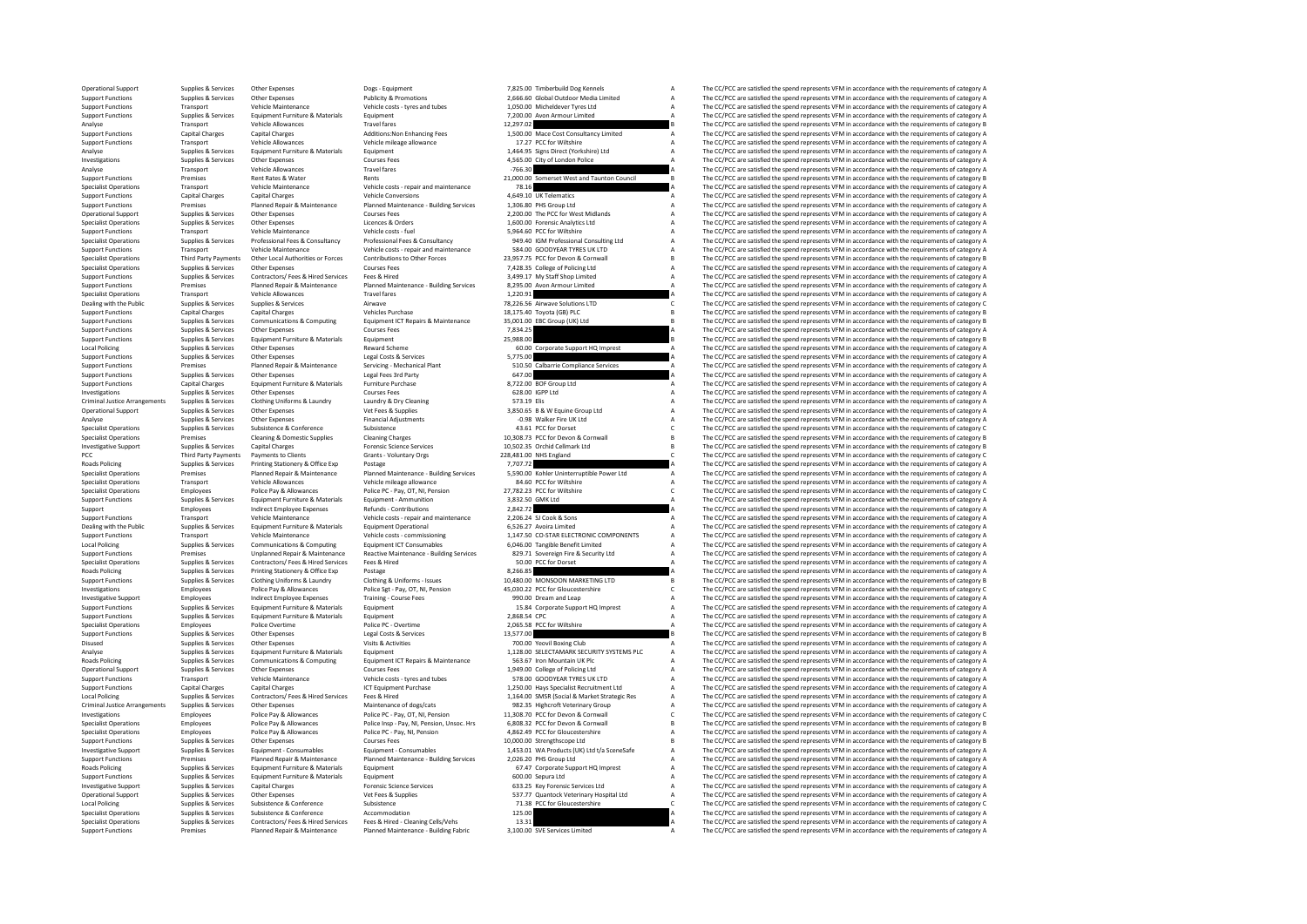|              | Timberbuild Doe Kenneis                                                   | а           |
|--------------|---------------------------------------------------------------------------|-------------|
|              | 6.60 Global Outdoor Media Limited                                         | A           |
|              | 0.00 Micheldever Tyres Ltd                                                | A           |
|              | 0.00 Avon Armour Limited                                                  |             |
| 7.02         |                                                                           | B           |
|              | 0.00 Mace Cost Consultancy Limited<br>7.27 PCC for Wiltshire              | A           |
|              |                                                                           | A<br>A      |
|              | 1.2.<br>4.95 Signs Direct (Yorkshire) Ltd                                 | A           |
| 6.30         | 5.00 City of London Police                                                | A           |
| 0.00         | Somerset West and Taunton Council                                         | B           |
| 8.16         |                                                                           | A           |
|              | 9.10 UK Telematics                                                        | A           |
|              | 6.80 PHS Group Ltd                                                        |             |
|              | 0.00 The PCC for West Midlands                                            |             |
|              | 0.00 Forensic Analytics Ltd                                               | A A A A A A |
|              | 4.60 PCC for Wiltshire<br>9.40 IGM Professional Consulting Ltd            |             |
|              |                                                                           |             |
|              | 4.00 GOODYEAR TYRES UK LTD                                                |             |
|              | 7.75 PCC for Devon & Cornwall                                             | B           |
|              | 8.35 College of Policing Ltd                                              | A<br>A      |
| 5.00         | 9.17 My Staff Shop Limited                                                | A           |
| 0.91         | Avon Armour Limited                                                       | A           |
|              | <b>6.56 Airwave Solutions LTD</b>                                         | Ċ           |
|              | 5.40 Toyota (GB) PLC                                                      | B           |
|              | 1.00 EBC Group (UK) Ltd                                                   | B           |
| 4.25         |                                                                           | A           |
|              |                                                                           | B           |
|              | 0.00 Corporate Support HQ Imprest                                         | A           |
| 5.00         |                                                                           | A           |
| 0.50         | Calbarrie Compliance Services                                             | A           |
| 7.00         |                                                                           | A           |
|              | 2.00 BOF Group Ltd                                                        | A           |
|              | 8.00 IGPP Ltd                                                             | A           |
| 3.19 Elis    | 0.65 B & W Equine Group Ltd                                               | A<br>A<br>A |
|              |                                                                           |             |
|              | 0.98 Walker Fire UK Ltd<br>3.61 PCC for Dorset                            | c           |
|              | 8.73 PCC for Devon & Cornwall                                             | B           |
|              | 2.35 Orchid Cellmark Ltd                                                  | B           |
|              | 1.00 NHS England                                                          | C           |
|              |                                                                           |             |
| 7.72         |                                                                           | A           |
|              |                                                                           | A           |
|              | 0.00 Kohler Uninterruptible Power Ltd<br>4.60 PCC for Wiltshire           | A           |
|              | 2.23 PCC for Wiltshire                                                    | c           |
|              | 2.50 GMK Ltd                                                              | Ă           |
| 2.72         |                                                                           | A           |
|              |                                                                           |             |
|              | 6.24 SJ Cook & Sons<br>6.27 Avoira Limited                                |             |
|              | 7.50 CO-STAR ELECTRONIC COMPONENTS                                        |             |
|              | 6.00 Tangible Benefit Limited                                             |             |
| 0.00         | 9.71 Sovereign Fire & Security Ltd                                        |             |
| 6.85         | PCC for Dorset                                                            | AAAAAA      |
|              | 0.00 MONSOON MARKETING LTD                                                | B           |
|              | 0.22 PCC for Gloucestershire                                              |             |
|              | 0.00 Dream and Leap                                                       |             |
|              |                                                                           |             |
|              | 5.84 Corporate Support HQ Imprest<br>8.54 CPC                             |             |
| 5.58 PCC     | for Wiltshire                                                             | C A A A A   |
| 7.00         |                                                                           | B           |
|              | 0.00 Yeovil Boxing Club                                                   | A           |
|              | <b>B.00 SELECTAMARK SECURITY SYSTEMS PLC</b><br>3.67 Iron Mountain UK Plc |             |
|              | 9.00 College of Policing Ltd                                              |             |
|              | <b>8.00 GOODYEAR TYRES UK LTD</b>                                         |             |
|              | 0.00 Hays Specialist Recruitment Ltd                                      |             |
|              | 4.00 SMSR (Social & Market Strategic Res                                  |             |
|              |                                                                           | AAAAAAA     |
|              | 2.35 Highcroft Veterinary Group<br>8.70 PCC for Devon & Cornwall          | c           |
|              | 8.32 PCC for Devon & Cornwall                                             | B           |
|              | 2.49 PCC for Gloucestershire                                              | A           |
|              | 0.00 Strengthscope Ltd                                                    | B           |
|              | 3.01 WA Products (UK) Ltd t/a SceneSafe<br>6.20 PHS Group Ltd             |             |
|              |                                                                           |             |
|              | 7.47 Corporate Support HQ Imprest<br>0.00 Sepura Ltd                      |             |
|              | 3.25 Key Forensic Services Ltd                                            |             |
|              | 7.77 Quantock Veterinary Hospital Ltd                                     |             |
| 1.38         | PCC for Gloucestershire                                                   | AAAAAAC     |
| 5.00<br>3.31 |                                                                           | A<br>A      |

Operational Support Supplies & Services Other Expenses Dogs - Equipment Dogs - Equipment 7,825.00 Timberbuild Dog Kennels A The CC/PCC are satisfied the spend represents VFM in accordance with the requirements of category Support Functions Supplies & Services Other Expenses Publicity & Promotions 2,666.60 Global Outdoor Media Limited A The CC/PCC are satisfied the spend represents VFM in accordance with the requirements of category Vehicle Support Functions Transport Vehicle Maintenance Vehicle costs - tyres and tubes - tyres and tubes - the CC/PC are satisfied the spend represents VFM in accordance with the requirements of category A The CC/PC are satisfied Support Functions Supplies Services Equipment Furniture & Materials Equipment Functions and The CC/PC are satisfied the spend represent VFM in accordance with the requirements of category Armour Limited A The CC/PC are sat Analyse Transport Vehicle Allowances Travel fares Travel fares 12,297.02 B The CC/PCC are satisfied the spend represents VFM in accordance with the requirements of category B The CAPCC are satisfied the spend represents VF Support Functions: Capital Charges Capital Charges Capital Charges Consultations:Non Enhancing Fees 1,500.00 Mace Cost Consultancy Limited A The CC/PCC are satisfied the spend represents VFM in accordance with the requirem Transport Vehicle Allowances Vehicle mileage allowance 17.27 PCC for Willshire 17.27 PCC for Willshire A The CC/PCC are satisfied the spend represents VFM in accordance with the requirements of category A Support 1,464.95 Analyse Supplies & Services Equipment Furniture & Materials Equipment Equipment 1,464.95 Signs Direct (Yorkshire) Ltd A The CC/PCC are satisfied the spend represents VFM in accordance with the requirements of category A Co Investigations Supplies According Other Expenses Courses Fees Courses Courses Courses Fees 4,565.00 City of London Police A The CC/PCC are satisfied the spend represents VFM in accordance with the requirements of category Analyse Transport Vehicle Allowances Travel Travel fares -766.30 A The CC/PCC are satisfied the spend represents VFM in accordance with the requirements of category A<br>Spend Represents VFM in accordance with the requirement Support Functions Premises Rent Rates & Water Rents Rents Rents Rents Rents Rents Rents Rents Rents Rents Rents Rents Rents Rents Rents Rents Rents Rents Rents Rents Rents Rents Rents Rents Rents Rents Rents Rents Rents Re Specialist Operations Transport Vehicle Maintenance Vehicle costs - repair and maintenance 78.16 A The CC/PCC are satisfied the spend represents VFM in accordance with the requirements of category A Support Functions Capit Support Functions Capital Charges Capital Charges Vehicle Conversions Conversions Conversions Conversions and the Conversions and the CC/PCC are satisfied the spend represents VFM in accordance with the requirements of cat Support Functions Premises Planned Repair Repair Repair and Maintenance - Building Services 1,306.80 PHS Group Ltd A The CC/PCC are satisfied the spend represents VFM in accordance with the requirements of category A The C Operational Support Supplies Services Other Expenses Courses Fees 2,200.00 The PCC for West Midlands A The CC/PCC are satisfied the spend represents VFM in accordance with the requirements of category A The CC/PC are satis Specialist Operations Supplies Services Other Specialist Other Expenses Corders 1,000.000 Forensic Analytics Ltd A The CC/PCC are satisfied the spend represents VFM in accordance with the requirements of category A The CC/ Support Functions Transport Vehicle Maintenance Vehicle costs - fuel Support Controllative and the CC/PCC are satisfied the spend represents VFM in accordance with the requirements of category A The CC/PCC are satisfied th Supplies & Services Professional Fees & Consultancy Professional Fees & Consultancy Professional Fees & Consultancy 949.40 IGM Professional Consulting Ltd A The CC/PCC are satisfied the spend represents VFM in accordance w Support Functions Transport Vehicle Maintenance Vehicle costs - repair and maintenance 584.00 GOODYEAR TYRES UK LTD A The CC/PCC are satisfied the spend represents VFM in accordance with the requirements of category B<br>Spec -<br>Specialist Operations Third Party Payments Other Local Authorities or Forces Contributions to Other Forces 23,957.75 PCC for Devon & Communall B The CC/PCC are satisfied the spend represents VFM in accordance with the re Specialist Operations Supplies & Services Other Expenses Courses Courses Fees Microsections Courses Fees 7,428.35 College of Policing Ltd A The CC/PCC are satisfied the spend represents VFM in accordance with the requireme Support Functions Supplies & Services Contractors/ Fees & Hired Services Fees & Hired Services Fees and The Contractors/ The CC/PCC are satisfied the spend represents VFM in accordance with the requirements of category A T Support Fractions Premises Plannet Plannet Plannet Plannet Plannet Plannet Plannet Plannet Plannet Plannet Plannet Plannet Plannet Plannet Plannet Plannet Plannet Plannet Plannet Plannet Plannet Plannet Plannet Plannet Pla Specialist Operations Transport Vehicle Allowances Travel fares and the specialist Operations are secured the spend represent of the CC/PCC are satisfied the spend represents VFM in accordance with the requirements of cate Dealing with the Public Supplies Services Airwave Airwave Supplies Supplies Supplies Airwave 78,226.55 Airwave Supplies Airwave 78,226.56 Airwave Supplies Supplies Supplies Supplies Supplies Supplies Supplies Supplies Supp Support Functions Capital Charges Capital Charges Vehicles Vehicles Purchase 18,175.40 Toyota (GB) PLC and the CC/PCC are satisfied the spend represents VFM in accordance with the requirements of category B Support Functio Support Examples and Supples Services Computing Louis Computing Equipment CTRepairs Advintenance and the expect of the CPC are assisted the spand personal states of the explicit of the spand of the equipment of category an The CC/PCC are satisfied the spend represents VFM in accordance with the requirements of category A Support Functions Supplies & Services Equipment Furniture & Materials Equipment Contract Contract 25,988.00 B The CC/PCC are satisfied the spend represents VFM in accordance with the requirements of category B The CC/PCC a Local Policing Supplies & Services Other Expenses Reward Scheme Reward Scheme 60.00 Corporate Support HQ Imprest A The CC/PCC are satisfied the spend represents VFM in accordance with the requirements of category A The CC/ Support Functions Supplies & Services Other Expenses Legal Costs & Services Services Support Controllance Concerned A The CC/PCC are satisfied the spend represents VFM in accordance with the requirements of category A Supp Support Functions Premises Planned Repair & Maintenance Services - Mechanical Plant 510.50 Calbarrie Compliance Services A The CC/PCC are satisfied the spend represents VFM in accordance with the requirements of category A Support Functions Supplies & Services Other Expenses Legal Fees 3rd Party 1999 (Although Category 1999) (Although Functions are category 1999) (Although Functions Category 1999) (Although Functions Category 1999) (Although Support Functions Capital Charges Equipment Functions Capital Charges Equipments of Category A The CC/PCC are satisfied the spend represents VFM in accordance with the requirements of category A Supported a Support of Cour Investigations Supplies Supplies Other Expenses Courses Fees 628.00 IGPP Ltd A The CC/PCC are satisfied the spend represents VFM in accordance with the requirements of category A The CC/PC are satisfied the spend represent Criminal Justice Arrangements Supplies Supplies Clothing Uniforms & Laundry Laundry Laundry Laundry Laundry Cleaning Cleaning Cleaning Cleaning Dry Cleaning Dry Cleaning Dry Laundry A The CC/PCC are satisfied the spend rep The CC/PCC are satisfied the spend represents VEM in accordance with the requirements of category A Analyse Supplies & Services Other Expenses Financial Adjustments -0.98 Walker Fire UK Ltd A The CC/PCC are satisfied the spend represents VFM in accordance with the requirements of category Financial Adjustments of categor Specialist Operations Supplies & Services Subsistence Subsistence Subsistence Subsistence and the subsistence of the spend represents C The CC/PCC are satisfied the spend represents VFM in accordance with the requirements Fremises Cleaning & Domestic Supplies Cleaning Charges 2013 10,308.73 PCC for Devon & Cornwall B The CC/PCC are satisfied the spend represents VFM in accordance with the requirements of category Forematic Science Services Investigative Support Supplies & Services Capital Charges Forensic Science Services Forensic Science Services 10,502.35 Orchid Cellmark Ltd B The CC/PCC are satisfied the spend represents VFM in accordance with the require PCC The CC/PCC are attsfied the spend represents VPM in accordance with the requirements of category C Clients Grants Clients Grants - Grants - Voluntary Orgs 228,481.00 NHS England C The CC/PCC are satisfied the spend rep Roads Policing Supplies & Services Printing Stationery & Office Exp Postage 7,707.72 A The CC/PCC are satisfied the spend represents VFM in accordance with the requirements of category A Services Printing Stationery A Dinn Specialist Operations of the mail of the mediation of the contract of the contract of the contract of the contract of the contract of the contract of the contract of the contract of the contract of the contract of the cont Specialist Operations Transport Vehicle Allowances Vehicle mileage allowances Vehicle mileage allowance and the specialist of the CC/PCC are satisfied the spend represents VFM in accordance with the requirements of categor The CC/PCC are satisfied the spend represents VFM in accordance with the requirements of category C Support Functions Supplies Services Equipment Function Equipment Ammunition 3,832.50 GMK Itd A The CC/PCC are satisfied the spend represents VFM in accordance with the requirements of category A Support Employees Indirect Employee Expenses Refunds - Contributions - 2,842.72 A The CC/PCC are satisfied the spend represents VFM in accordance with the requirements of category A The CC/PC are satisfied the spend repres Support Functions Transport Vehicle Maintenance Vehicle costs - repair and maintenance 2,206.24 SJ Cook & Sons A The CC/PCC are satisfied the spend represents VFM in accordance with the requirements of category A Dealing w Dealing with the Public Supplies & Services Equipment Furniture & Materials Equipment Operational experiment of the America Control of the Services A Service A The CC/PCC are satisfied the spend represents VFM in accordanc Support Functions Transport Vehicle Maintenance Vehicle costs - commissioning 1,147.50 CO-STAR ELECTRONIC COMPONENTS A The CC/PCC are satisfied the spend represents VFM in accordance with the requirements of category A Loc Local Policing Supplies & Services Communications & Computing Equipment ICT Consumables 6,046.00 Tangible Benefit Limited A The CC/PCC are satisfied the spend represents VFM in accordance with the requirements of category Examples are the Unplanned Reading Reactive Maintenance Building Services and Support Europe of The CC/PCC are satisfied the spend represents VFM in accordance with the requirements of category A Specialist Operations Supp Specialist Operations Supplies Services Contractors/ Fees Hired Services Fees & Hired Services Fees & Hired 50.00 PCC for Dorset A The CC/PCC are satisfied the spend represents VFM in accordance with the requirements of ca Roads Policing Supplies Printing Stationery & Office Exp Policing Stationery A The CC/PCC are satisfied the spend represents VFM in accordance with the requirements of category A The CC/PC are satisfied the spend represent The CC/DCC are satisfied the spend represents VEM in accordance with the requirements of category R Investigations Employees Police Pay & Allowances Police Sgt - Pay, OT, NI, Pension 45,030.22 PCC for Gloucestershire Concestershire C The CC/PCC are satisfied the spend represents VFM in accordance with the requirements of Investigative Support Employees Indirect Employee Expenses Training - Course Fees 990.00 Dream and Leap A The CC/PCC are satisfied the spend represents VFM in accordance with the requirements of category and Leap A The CC/ Supplies & Services Equipment Furniture & Materials Equipment 15.84 Corporate Support HQ Imprest A The CC/PCC are satisfied the spend represents VFM in accordance with the requirements of category A Support HQ Imprest A Th Support Functions Supplies Services Equipment Furniture & Materials Equipment Punctions 2,868.54 CPC are a CC/PCC are satisfied the spend represents VFM in accordance with the requirements of category A The CC/PCC are sati Specialist Operations Employees Police Police Police PC - Overtime Police PC - Overtime 2,065.58 PCC for Wiltshire A The CC/PCC are satisfied the spend represents VFM in accordance with the requirements of category Police Supplies Services Other Expenses Legal Costs & Services 13,577.00 B The CC/PCC are satisfied the spend represents VFM in accordance with the requirements of category B Supplies & Services Legal Costs & Services 13,577.00 B Disused Supplies & Services Other Expenses Visits Activities Visits Activities 700.00 Yeovil Boxing Club A The CC/PCC are satisfied the spend represents VFM in accordance with the requirements of category Visits Activities Analyse Supplies & Services Equipment Furniture & Materials Equipment Equipment 1,128.00 SELECTAMARK SECURITY SYSTEMS PLC A The CC/PCC are satisfied the spend represents VFM in accordance with the requirements of category The CC/PCC are satisfied the spend represents VFM in accordance with the requirements of category A Operational Support Supplies & Services Other Expenses Courses Courses Fees Courses Fees 1,949.00 College of Policing Ltd A The CC/PCC are satisfied the spend represents VFM in accordance with the requirements of category Support Functions Transport Vehicle Maintenance Vehicle costs - tyres and tubes 578.00 GOODYEAR TYRES UK LTD A The CC/PCC are satisfied the spend represents VFM in accordance with the requirements of category Category A Su The CC/PCC are satisfied the spend represents VFM in accordance with the requirements of category A Local Policine Supplies & Services Contractors/ Fees & Hired Services Fees & Hired Fees & Hired 1.164.00 SMSR (Social & Market Strategic Res A The CC/PCC are satisfied the spend represents VFM in accordance with the requir Criminal ustle and the service of the main of the main of the service of the contract of the companisative of the companisation of the companisation of the companisation of the companisation of the companisation of the com Investigations Employees Police Pay & Allowances Police PC - Pay, OT, NI, Pension 11,308.70 PCC for Devon & Cornwall C The CC/PCC are satisfied the spend represents VFM in accordance with the requirements of category Polic Specialist Operations Employees Police Police Police Police Inco Police Inco Police Inco Police Inco Police Inco Police Inco Police Inco Police Inco Police Inco Police Inco Police Inco Police Inco Police Police Inco Police Specialist Operations Employees Police Pay & Allowances Police PC - Pay, NI, Pension 4,862.49 PCC for Gloucestershire A The CC/PCC are satisfied the spend represents VFM in accordance with the requirements of category A Co  $\small \textbf{Suppose} \begin{minipage}{0.9\textwidth} \begin{minipage}{0.9\textwidth} \begin{minipage}{0.9\textwidth} \begin{minipage}{0.9\textwidth} \begin{minipage}{0.9\textwidth} \begin{minipage}{0.9\textwidth} \begin{minipage}{0.9\textwidth} \begin{minipage}{0.9\textwidth} \begin{minipage}{0.9\textwidth} \begin{minipage}{0.9\textwidth} \begin{minipage}{0.9\textwidth} \begin{minipage}{0.9\textwidth} \begin{minipage}{0.9\textwidth} \begin{minipage}{0.9\textwidth} \begin{minipage}{0.9\textwidth} \begin$ Investigative Support Supplies & Services Equipment - Consumables Equipment - Consumables 1,453.01 WA Products (UK) Ltd t/a SceneSafe A The CC/PCC are satisfied the spend represents VFM in accordance with the requirements of category A Support Functions Premises Planned Repair & Maintenance - Building Services 2,026.20 PHS Group Ltd A The CC/PCC are satisfied the spend represents VFM in accordance with the enguirements of category A The CC/PC are satisfi The CC/PCC are satisfied the spend represents VFM in accordance with the requirements of category H Support Functions Supplies & Services Equipment Functions Applies Equipment Functions and Equipment of category A The CC/PCC are satisfied the spend represents VFM in accordance with the requirements of category A Investigative Supplies Services Capital Charges Capital Charges Services Capital Charges Services Capital Charges Ltd A The CC/PCC are satisfied the spend represents VFM in accordance with the requirements of category A Th Operational Support Supplies Services Other Expenses Vet Fees & Supplies Services Other Expenses Vet Fees & Supplies Supplies Services Other Expenses Vet Fees & Supplies Services Other Expenses Vet Fees & Supplies Supplies Local Policing Supplies & Services Subsistence Subsistence Subsistence 71.38 PCC for Gloucestershire C The CC/PCC are satisfied the spend represents VFM in accordance with the requirements of category C Specialist Operatio Specialist Operations Supplies & Services Subsistence & Conference Accommodation and accommodation and the Services Supplies & Services Supplies & Services Supplies & Services Supplies & Services Accommodation and the CONC Specialist Operations Supplies & Services Contractors/ Fees & Hired Services Fees & Hired - Cleaning Cells/Vehs 13.31 A The CC/PCC are satisfied the spend represents VFM in accordance with the requirements of category A Th Premises Planned Repair & Maintenance Planned Maintenance - Building Fabric 3,100.00 SVE Services Limited The CC/PCC are satisfied the spend represents VFM in accordance with the requirements of category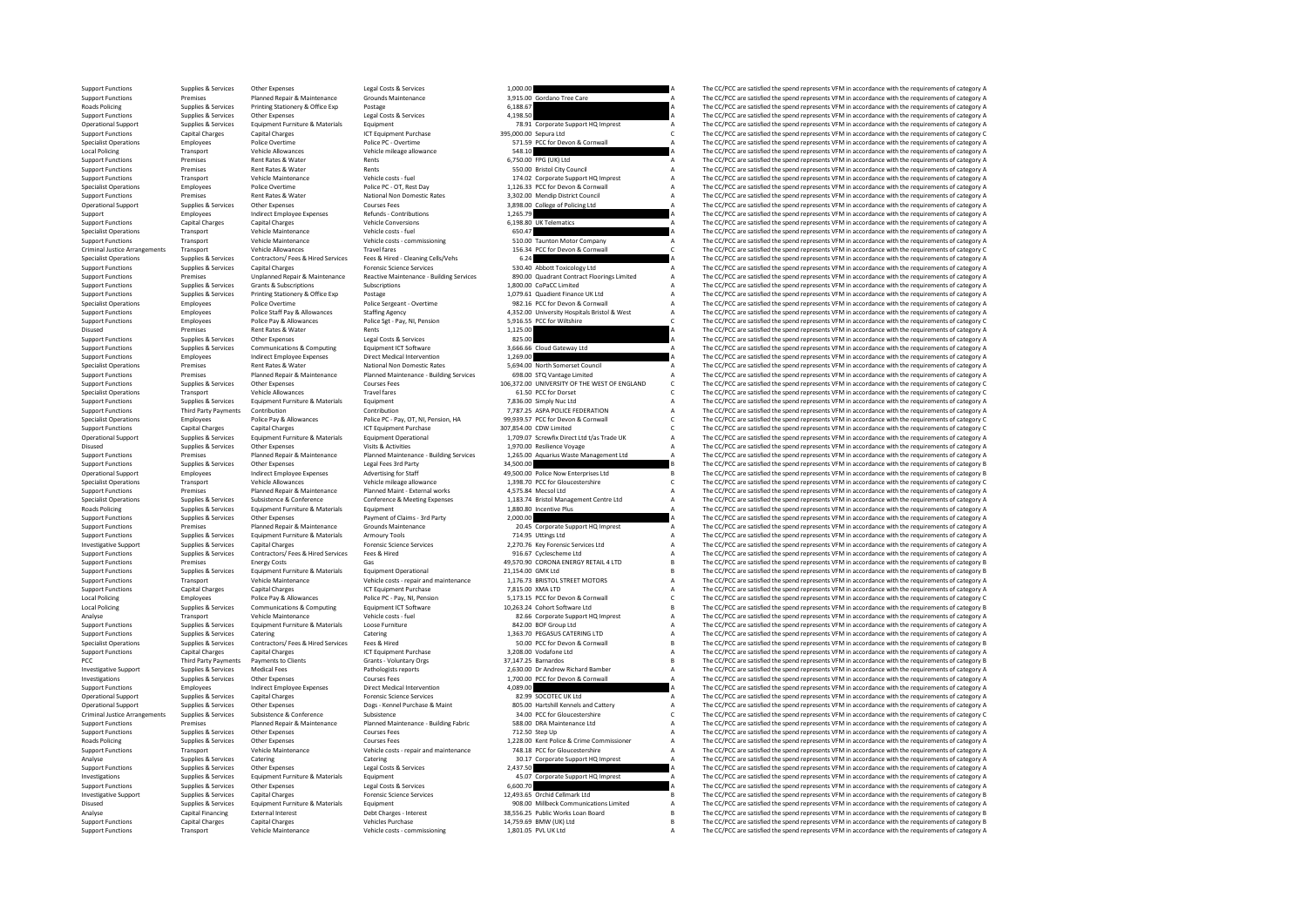Support Functions Supplies & Services Other Expenses Legal Costs & Services 1,000.00 A The CC/PCC are satisfied the spend represents VFM in accordance with the requirements of category A Support Functions Premiers Pannel R Support Functions Premises Planned Repair & Maintenance Grounds Maintenance 3,915.00 Gordano Tree Care A The CC/PCC are satisfied the spend represents VFM in accordance with the requirements of category A Reader Support Fu Roads Policing Supplies & Services Printing Stationery & Office Exp Postage 6,188.67 A The CC/PCC are satisfied the spend represents VFM in accordance with the requirements of category A Supplies & Services Printing Statio Support Functions Support Functions Support Functions Support Functions Support Costs Legal Costs A The COSTS A The COSTS A The COSTS A The COSTS ASSEDUCT A The COSTS ASSEDUCT A The COSTS ARE ARE ARE ARE ARE ARE ARE ARE AR Operational Support Supplies & Services Equipment Furniture & Materials Equipment Furchase Equipment Thurchase A The CC/PCC are satisfied the spend represents VFM in accordance with the requirements of category A Support H Support Functions Capital Charges Capital Charges Support Functions Capital Charges ICT Equipment Purchase 395,000.00 Sepura Ltd Compuser Charges Capital Charges ICT Equipments of Category Charges ICT in accordance with th Specialist Operations Employees Police Overtime Police PC - Overtime Police PC - Overtime STASP PCC for Devon & Cornwall A The CC/PCC are satisfied the spend represents VFM in accordance with the requirements of category A Local Policing Transport Vehicle Allowances Vehicle mileage allowance 548.10 548.10 A The CC/PCC are satisfied the spend represents VFM in accordance with the requirements of category A The CC/PCC are satisfied the spend r Support Functions Premises Rent Rates & Water Rents Rents Rents Rents Rents Rents Rents Rents Rents Rents Rents<br>A Support Functions Premises Rent Rent Rents Rents Rents Rents Rents S50.00 Bristol City Council A The CC/PCC Support Functions Premises Rent Rates & Water Rents Rents Rents Rents Rents Support Council Council City Council A The CC/PCC are satisfied the spend represents VFM in accordance with the requirements of category A Deputem Support Functions Transport Vehicle Maintenance Vehicle costs - fuel 174.02 Corporate Support HQ Imprest A The CC/PCC are satisfied the spend represents VFM in accordance with the requirements of category A Specialist Oper Specialist Operations Employees Police Overtime Police PC - OT, Rest Day 1,126.33 PCC for Devon & Cornwall A The CC/PCC are satisfied the spend represents VFM in accordance with the requirements of category A Support Funct Support Functions Premises Rent Rates Rent Rates Rent Rates Rent Rates and National Non Domestic Rates 2, 2020.00 Mendip District Council A The CC/PCC are satisfied the spend represents VFM in accordance with the requireme Operational Support Supplies Services Courses Courses Fees 3,898.00 College of Policing Ltd A The CC/PCC are satisfied the spend represents VFM in accordance with the requirements of category A The CC/PC are satisfied the Support Employees Indirect Employee Expenses Refunds - Contributions 1,265.79 A The CC/PCC are satisfied the spend represents VFM in accordance with the requirements of category A The CC/PC are satisfied the spend represen Support Functions Capital Charges Capital Charges Capital Charges Capital Charges Capital Charges Capital Charges Capital Charges A The CC/PCC are satisfied the spend represents VFM in accordance with the requirements of c Specialist Operations Transport Vehicle Maintenance Vehicle costs - fuel fuel of the COST of the COST of the COST of the COST of the COST of the COST of the COST of the COST of the COST of the COST of the COST of the COST Support Functions Transport Vehicle Maintenance Vehicle costs - commissioning 510.00 Taunton Motor Company A The CC/PCC are satisfied the spend represents VFM in accordance with the requirements of category C<br>Criminal Just Criminal Justice Arrangements Transport Vehicle Allowances Travel fares Travel fares Travel fares 156.34 PCC for Devon & Cornwall C The CC/PCC are satisfied the spend represents VFM in accordance with the requirements of c Specialist Operations Supplies & Services Contractors/ Fees & Hired Services Fees & Hired - Cleaning Cells/Vehs 6.24 A The CC/PCC are satisfied the spend represents VFM in accordance with the requirements of category A The Support Functions Supplies & Services Capital Charges Forensic Science Services Support Toxicology Ltd A The CC/PCC are satisfied the spend represents VFM in accordance with the requirements of category A Support Functions Support Functions Premises Premise Premise Premise Premise Premise Premise Premise Premise Premise Premise Premise Premise Premise Premise Premise Premise Premise Premise Premise Premise Premise Premise Premise Premise Pre Support Functions Supplies Services Grants Subscriptions Support Contact Contact Contact Contact Contact Contact Contact A The CC/PCC are satisfied the spend represents VFM in accordance with the requirements of category A Support Functions Supplies Services Printing Stationery & Office Exp Printing Stationery And the Support Finance UK Ltd A The CC/PCC are satisfied the spend represents VFM in accordance with the requirements of category A Specialist Operations Specialist Operations Police Overtime Police Overtime Police Sergeant - Overtime 982.16 PCC for Devon & Cornwall Assemble of Cornel A The CC/PCC are satisfied the speed represents VFM in accordance wi Support Functions Employees Police Staff Pay & Allowances Staffing Agency 4,352.00 University Hospitals Bristol & West A The CC/PCC are satisfied the spend represents VFM in accordance with the requirements of category A T Support Functions Employees Police Pay & Allowances Police Sgt - Pay, NI, Pension 5,916.55 PCC for Willtshire C The CC/PCC are satisfied the spend represents VFM in accordance with the requirements of category C The CC/PCC Part of CC/PCC are satisfied the spend represents VFM in accordance with the requirements of category A The CC/PCC are satisfied the spend represents VFM in accordance with the requirements of category A The CC/PCC are sat support Functions Supplies & Services Other Expenses Legal Costs & Services 825.00 A The CC/PCC are satisfied the spend represents VFM in accordance with the requirements of category A The CC/PCC are satisfied the spend re Support Functions Supplies & Services Communications & Computing Equipment ICT Software 3,666.66 Cloud Gateway Ltd A The CC/PCC are satisfied the spend represents VFM in accordance with the requirements of category and the support Functions Employees Indirect Employee Expenses Direct Medical Intervention 1,269.00 A The CC/PCC are satisfied the spend represents VFM in accordance with the requirements of category A The CC/PCC are satisfied the Specialist Operations Premises Rent Rates Rent Rates Rent Rates Rent Rates Rent Rates Rent Rates (See the Sometime A The CC/PCC are satisfied the spend represents VFM in accordance with the requirements of category A The C Support Functions Premises Planned Repair & Maintenance Planned Maintenance - Building Services 698.00 STQ Vantage Limited A The CC/PCC are satisfied the spend represents VFM in accordance with the requirements of category Support Functions Supplies & Services Other Expenses Courses Fees 106,372.00 UNIVERSITY OF THE WEST OF ENGLAND C The CC/PCC are satisfied the spend represents VFM in accordance with the requirements of category C Support F Specialist Operations Transport Vehicle Allowances Travel fares and the CC-DOTATE CONTROL CONTROL CONTROL CONTROL CONTROL CONTROL CONTROL CONTROL CONTROL CONTROL CONTROL CONTROL CONTROL CONTROL CONTROL CONTROL CONTROL CONT Support Functions Supplies Services Equipment Functions Supplies Equipment Functions Supplies Equipment A The CC/PCC are satisfied the spend represent VFM in accordance with the requirements of category A The CC/PCC are sa Support Function Contribution Contribution 7,787.25 ASPA POLICE FEDERATION A The CC/PCC are satisfied the spend represents VFM in accordance with the requirements of category A The CC/PCC are satisfied the spend represents Specialist Operations Employees Police Police Police Police PC - Pay, OT, NI, Pension, HA 99,939.57 PCC for Devon & Comwall Carrier Checagory C. The CC/PCC are satisfied the spend represents VFM in accordance with the requ Support Functions Capital Charges Capital Charges Capital Charges ICT Equipment Purchase 307,854.00 CDW Limited C The CC/PCC are satisfied the spend represents VFM in accordance with the requirements of category C Constant Supplies & Services Equipment Furniture & Materials Equipment Operational 1,709.07 Screwfix Direct Ltd t/as Trade UK<br>Supplies & Services Other Expenses Wists Activities (Visits Activities 1,970.00 Resilience Voyage A The C Disused Supplies Services Other Expenses Visits Activities Visits Activities 1,970.00 Resilience Voyage A The CC/PCC are satisfied the spend represents VFM in accordance with the requirements of category A Support Function Export Functions Transies Provides Planned Repair & Maintenance Planned Maintenance Building Services 1,265.00 Aquarius Waste Management Ltd A The CC/PCC are satisfied the spend represents VFM in accordance with the requir Support Functions Supplies & Services Other Expenses Legal Fees 3rd Party 34,500.00 B The CC/PCC are satisfied the spend represents VFM in accordance with the requirements of category B and the requirements of category B a Operational Support Employees Indirect Employee Expenses Advertising for Staff 49,500.00 Police Now Enterprises Ltd B The CC/PCC are satisfied the spend represents VFM in accordance with the requirements of category B The Specialist Operations Transport Vehicle Allowances Vehicle mileage allowance 1,398.70 PCC for Gloucestershire Conserved the CC/PCC are satisfied the spend represents VFM in accordance with the requirements of category C Th SUPPORT FUNCTIONS A The CC/PCC are satisfied the spend represents VFM in accordance with the requirements of category A The CC/PCC are satisfied the spend represents VFM in accordance with the requirements of category A Th Content of Contents of Content of Content Content Content Content Content Content Content Content Content Content Content Content Content Content Content Content Content Content Content Content Content Content Content Cont Roads Policing Supplies Services Equipment Furniture & Materials Equipment 1,880.80 Incentive Plus A The CC/PCC are satisfied the spend represent SPM in accordance with the requirements of category A The CC/PCC are satisfi Support Functions Supplies & Services Other Expenses Payment of Claims - 3rd Party 2,000.00 20.45 Corporate Support HQ Imprest A The CC/PCC are satisfied the spend represents VFM in accordance with the requirements of cate Support Functions Premises Planned Repair & Maintenance Grounds Maintenance 20.45 Corporate Support HQ Imprest A The CC/PCC are satisfied the spend represents VFM in accordance with the requirements of category A Support H Support Functions Supplies & Services Equipment Furniture & Materials Armoury Tools are armoury Tools 714.95 Uttings Ltd A The CC/PCC are satisfied the spend represents VFM in accordance with the requirements of category A The CC/PCC are satisfied the Services of the CC/PCC are satisfied the spend represents VFM in accordance with the requirements of category A Contractors Forensic Science Services 2,270.76 Key Forensic Services Ltd A The CC Support Functions Supplies & Services Contractors/ Fees & Hired Services Fees & Hired 916.67 Cyclescheme Ltd A The CC/PCC are satisfied the spend represents VFM in accordance with the requirements of category A Support Fun Support Functions Premises Energy Costs Gas 49,570.90 CORONA ENERGY RETAIL 4 LTD B The CC/PCC are satisfied the spend represents VFM in accordance with the requirements of category B the Costs Conceler and the requirements Support Functions Supplies Services Equipment Furniture & Materials Equipment Operational 21,154.00 GMK Ltd B The CC/PCC are satisfied the spend represents VFM in accordance with the requirements of category B The C/PC are The CC/DCC are satisfied the spend represents VEM in accordance with the requirements of category A Support Functions Capital Charges Capital Charges ICT Equipment Purchase 7,815.00 XMA LTD A The CC/PCC are satisfied the spend represent VFM in accordance with the requirements of category A The CC/PC in accordance with th Local Policing Employees Police Pay & Allowances Police PC - Pay, NI, Pension 5,173.15 PCC for Devon & Cornwall C The CC/PCC are satisfied the spend represents VFM in accordance with the requirements of category C Public P Communications & Computing Equipment ICT Software 10,263.24 Cohort Software Ltd B The CC/PCC are satisfied the spend represents VFM in accordance with the requirements of category B SOFTWARE 10,263.24 Cohort Software Ltd B Analyse Transport Vehicle Maintenance Vehicle costs - fuel 82.66 Corporate Support HQ Imprest A The CC/PCC are satisfied the spend represents VFM in accordance with the requirements of category A Support HQ Imprest A The C Supplies & Supplies & Services Equipment Furniture & Materials Loose Furniture and the service of the Services Equipment Functions of category and the spend represent Services Equipments of category A The CC/PCC are satisf Support Functions Supplies & Services Catering Catering Catering Catering Catering Catering Catering Catering Catering Catering 1,363.70 PEGASUS CATERING LTD A The CC/PCC are satisfied the spend represents VFM in accordanc Specialist Operations Supplies & Services Contractors/ Fees & Hired Fired Services Fees & Hired Services Fees & Hired Services Fees & Hired So.00 PCC for Devon & Cornwall B The CC/PCC are satisfied the spend represents VFM Support Functions Capital Charges Capital Charges Capital Charges ICT Equipment Purchase 3,208.00 Vodafone Ltd A The CC/PCC are satisfied the spend represents VFM in accordance with the requirements of category A The CC/PC The CC/PCC are satisfied the spend represents VFM in accordance with the requirements of category B Investigative Support Supplies & Services Medical Fees Pathologists reports Pathologists reports 2,630.00 Dr Andrew Richard Bamber A The CC/PCC are satisfied the spend represents VFM in accordance with the requirements of Investigations Supplies & Services Other Expenses Courses Fees Courses Courses Courses Courses Fees 1,700.00 PCC for Devon & Comwall A The CC/PCC are satisfied the spend represents VFM in accordance with the requirements o Support Functions Amployee The CC/PCC are satisfied the spend represents VFM in accordance with the requirements of category A The CC/PCC are satisfied the spend represents VFM in accordance with the requirements of catego Operational Support Supplies & Services Capital Charges Capital Charges Forensic Science Services Science Services 82.99 SOCOTEC UK Ltd A The CC/PCC are satisfied the spend represents VFM in accordance with the requirement Operational Supplies Support Support Support Support Support Support Support A The CONNECT ARTS - Category A The CONNECT ARTSHILL ARTSHILL ARTSHILL ARTSHILL ARTSHILL ARTSHILL ARTSHILL ARTSHILL ARTSHILL ARTSHILL ARTSHILL AR Criminal Justice Arrangements Supplies & Services Subsistence Subsistence Subsistence Subsistence Subsistence<br>Supplies Supplies Supplies and the Criminal Duman Maintenance Building Fabric SAR DRA Maintenance Itd a The CC/P Support Functions Premises Planned Repair & Maintenance Planned Maintenance - Building Fabric 588.00 DRA Maintenance Ltd A The CC/PCC are satisfied the spend represents VFM in accordance with the requirements of category A Support Functions Supplies & Services Other Expenses Courses Fees Courses Fees 712.50 Step Up A The CC/PCC are satisfied the spend represents VFM in accordance with the requirements of category A The CC/PCC are satisfied t Roads Policing Supplies & Services Other Expenses Courses Fees Courses Fees 1,228.00 Kent Police & Crime Commissioner A The CC/PCC are satisfied the spend represents VFM in accordance with the requirements of category A Su Experiment Transport Vehicle Maintenance Vehicle costs - repair and maintenance 748.18 PCC for Gloucestershire A The CC/PCC are satisfied the spend represents VFM in accordance with the requirements of category A Support H Analyse Supplies Services Catering Catering Catering Catering 30.17 Corporate Support HQ Imprest A The CC/PCC are satisfied the spend represents VFM in accordance with the requirements of category A The CC/PC are satisfied The CC/PCC are satisfied the spend represents VFM in accordance with the requirements of category A Investigations Supplies & Services Equipment Furniture & Materials Equipment 45.07 Corporate Support HQ Imprest A The CC/PCC are satisfied the spend represents VFM in accordance with the requirements of category A Support Functions Supplies & Services Other Expenses Legal Costs & Services 6,600.70 6,600.70 A The CC/PCC are satisfied the spend represents VFM in accordance with the requirements of category A Create category A The CC/P Examples & Services Capital Charges Forensic Science Services 12,493.65 Orchid Cellmark Ltd B The CC/PCC are satisfied the spend represents VFM in accordance with the requirements of category B The COPC are satisfied the s Disused Supplies & Services Equipment Furniture & Materials Equipment Supplies Equipment external external external the services and the spend represents of the CC/PCC are satisfied the spend represents VFM in accordance w Analyse Capital Financing External Interest Debt Charges - Interest 2012 and 28,556.25 Public Works Loan Board B The CC/PCC are satisfied the spend represents VFM in accordance with the requirements of category B Capital C Support Functions Capital Charges Capital Charges Vehicles Purchase 14,759.69 BMW (UK) Ltd B The CC/PCC are satisfied the spend represents VFM in accordance with the requirements of category B Vehicle Charges Vehicle Charg Transport Vehicle Maintenance Vehicle costs - commissioning 1,801.05 PVL UK Ltd A The CC/PCC are satisfied the spend represents VFM in accordance with the requirements of category A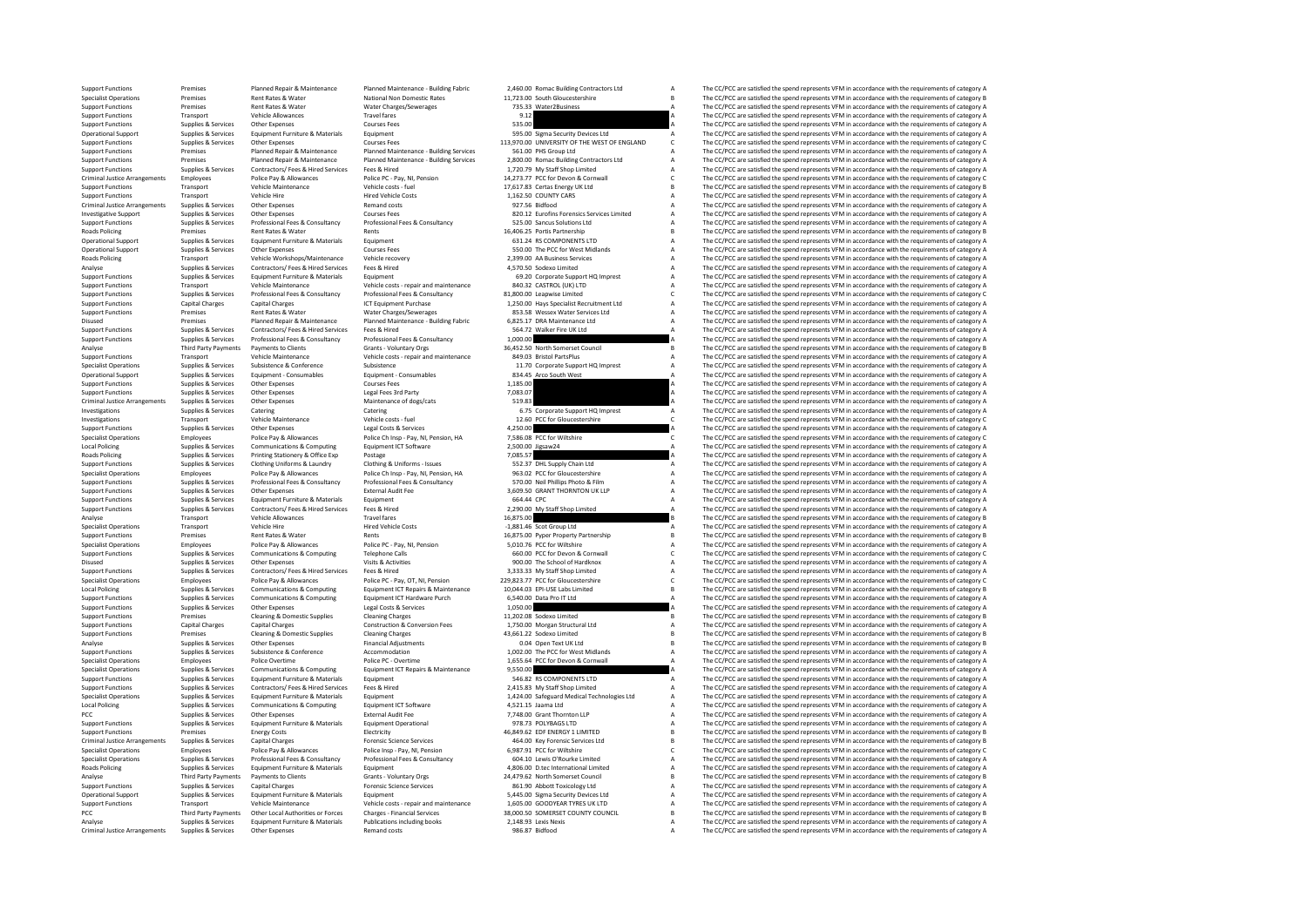Support Functions Premises Planned Repair & Maintenance Planned Maintenance-Building Fabric 2,460.00 Romac Building Contractors Ltd A The CC/PCC are satisfied the spend represents VFM in accordance with the requirements of Specialist Operations Premises Rent Rates Rent Rates National Non Domestic Rates 11,723.00 South Gloucestershire B The CC/PCC are satisfied the spend represents VFM in accordance with the requirements of category B Share 2 Support Functions Premises Rent Rates Rent Water Water Charges/Sewerages 75,33 Water2Business A The CC/PCC are satisfied the spend represents VFM in accordance with the requirements of category A The Secondance with the re Support Functions Transport Transport Transport Travel in the Support Transport Transport VFM in accordance with the requirements of category A The CC/PC are satisfied the spend represents VFM in accordance with the requir Support Functions Supplies & Services Other Expenses Courses Fees 535.00 Support Functions are conserved the conserved and the CC/PCC are satisfied the spend represents VFM in accordance with the requirements of category A Operational Supplies Services Equipment Furniture & Materials Equipment Fundational Support Supplies A The CC/PCC are satisfied the spend represents VFM in accordance with the requirements of category Category A The Suppli Support Functions Supplies & Services Other Expenses Courses Courses Fees Courses Courses Courses Courses Fees<br>Support Functions Support Functions of Premises Planned Repair & Planned Maintenance - Building Services 561.00 Support Functions Premises Planned Repair & Maintenance Planned Maintenance - Building Services 561.00 PHS Group Ltd A The CC/PCC are satisfied the spend represents VFM in accordance with the requirements of category A Sup eremises and the previous Planned Repair & Maintenance Planned Maintenance - Building Services 2,800.00 Romac Building Contractors Ltd A The CC/PCC are satisfied the spend represents VFM in accordance with the requirements Support Functions Supplies & Services Contractors/ Fees & Hired Services Fees & Hired 1,720.79 My Staff Shop Limited A The CC/PCC are satisfied the spend represents VFM in accordance with the requirements of category A Pol Criminal Justice Arangements Employees Police Police Police Police Police PC - Pay, NJ, Pension 14,273.77 PCC for Devon & Communal Cameron Criminal Justice Arangements of Intercepts Vehicle (Criminal Justice Arangements of Support Functions Transport Vehicle Maintenance Vehicle costs - fuel 17,617.83 Certas Energy UK Ltd B The CC/PCC are satisfied the spend represents VFM in accordance with the requirements of category B Support Functions Tr Support Functions Transport Vehicle Hire Hire Vehicle Costs 1,162.50 COUNTY CARS A The CC/PCC are satisfied the spend represents VFM in accordance with the requirements of category A The C/PC are satisfied the spend repres Criminal Justice Arrangements Supplies Supplies Other Expenses Remand Costs 927.56 Bidfood A The CC/PCC are satisfied the spend represents VFM in accordance with the requirements of category A The Criminal List of category Investigative Supplies Services Other Expenses Category Courses Fees and the Services Courses Feestimes Courses Courses Courses Courses Courses Courses Courses Courses Courses A The CC/PCC are satisfied the spend represent Support Services Services (Services Professional France Professional France Services and Services of the Service of the Service of the Service of the Service of the Service of the Service of the Service of the Service of t Roads Policing Premises Rent Rates & Water Rents Rents Rents 16,406.25 Portis Partnership B The CC/PCC are satisfied the spend represents VFM in accordance with the requirements of category B Category B The CC/PCC are sati Operational Support Supplies & Services Equipment Furniture & Materials Equipment Equipment Courses Equipment Courses Equipment Courses Equipment Courses Equipment Courses Equipment Courses Equipment Courses Courses Course Operational Supplies Services Other Expenses Courses Courses Fees The Courses Fees 550.00 The PCC for West Midlands A The CC/PCC are satisfied the spend represents VFM in accordance with the requirements of category A The Roads Policing Transport Vehicle Workshops/Maintenance Vehicle recovery 2,399.00 AA Business Services A The CC/PCC are satisfied the spend represents VFM in accordance with the requirements of category A CATHS analyse Supp Analyse Supplies Services Contractors/ Fees & Hired Services Fees & Hired Services Fees Alined 4,570.50 Sodexo Limited A The CC/PCC are satisfied the spend represents VFM in accordance with the requirements of category A S Support Functions Supplies & Services Equipment Furniture & Materials Equipment Functions Equipment Functions Corporate Support HO Imprest A The CC/PCC are satisfied the spend represents VFM in accordance with the requirem Support Transport Transport Vehicle Maintenance Vehicle costs - repair and maintenance and maintenance and maintenance and maintenance and the CC/PC are satisfied the spend represents VFM in accordance with the requirement Supplies & Services Professional Fees & Consultancy Professional Fees & Consultancy Professional Fees & Consultancy 81,800.00 Leapwise Limited Canal Consultant Canadia Experiment Support Functions Canadia Professional Fees Support Functions Capital Charges Capital Charges ICT Equipment Purchase 1,250.00 Hays Specialist Recruitment Ltd A The CC/PCC are satisfied the spend represents VFM in accordance with the requirements of category A The CC Support Functions Premises Rent Rates & Water Water Charges/Sewerages 853.58 Wessex Water Services Ltd A The CC/PCC are satisfied the spend represents VFM in accordance with the requirements of category A Disused Premises Disused Premises Planned Repair & Maintenance Planned Maintenance - Building Fabric 6,825.17 DRA Maintenance Ltd A The CC/PCC are satisfied the spend represents VFM in accordance with the requirements of category A Sunnorf Support Functions Support Functions Supplies Supplies A The CC/PCC are satisfied the spend represents VFM in accordance with the requirements of category A The CC/PCC are satisfied the spend represents VFM in accordance wi Support Functions Supplies & Services Professional Fees & Consultancy Professional Fees & Consultancy Professional Fees & Consultancy 1,000.00 A The CC/PCC are satisfied the spend represents VFM in accordance with the requ Analyse Third Party Payments Payments to Clients Grants - Voluntary Orgs 36,452.50 North Somerset Council B The CC/PCC are satisfied the spend represents VFM in accordance with the requirements of category Vehicle Costs - Support Functions Transport Vehicle Maintenance Vehicle costs - repair and maintenance 849.03 Bristol PartsPlus A The CC/PCC are satisfied the spend represents VFM in accordance with the requirements of category A The CC/P Specialist Operations Supplies Subsistence Support Support Support Conference Support A The COPC are subsistence Support A The CC/PCC are satisfied the spend represents VFM in accordance with the requirements of category A Operational Support Supplies & Services Equipment - Consumables Equipment - Consumables Band arco South West A The CC/PCC are satisfied the spend represents VFM in accordance with the requirements of category A Support - C Support Functions Supplies & Services Other Expenses Courses Fees Courses Fees 1,185.00 A The CC/PCC are satisfied the spend represents VFM in accordance with the requirements of category A Support Functions Supplies & Ser Support Functions Supplies Support Support Functions Support Functions Support Functions (Support Functions A The CC/PCC are satisfied the spend represents VFM in accordance with the requirements of category A The CC/PC ar Criminal Justice Arrangements Supplies Supplies Other Criminal Justice Arrangements Other Criminal Justice Arrangements of the Criminal Justice Arrangements of the Services Other Criminal Justice Arrangements of category A INVERTIGATIONS SUPPORT CATERING CATERING CATERING CATERING CATERING CATERING CATERING CATERING CATERING CATERING CATERING CATERING CATERING CATERING CATERING CATERING CATERING CATERING CATERING CATERING CATERING CATERING C Investigations Transport Vehicle Maintenance Vehicle costs - fuel 12.60 PCC for Gloucestershire C The CC/PCC are satisfied the spend represents VFM in accordance with the requirements of category C Vehicle costs - fuel C V Support Functions Supplies & Services Other Expenses Legal Costs & Services 4,250.00 A The CC/PCC are satisfied the spend represents VFM in accordance with the requirements of category C<br>Specialist Operations Employees Pol Specialist Operations Employees Police Pay & Allowances Police Ch Insp - Pay, NI, Pension, HA 7,586.08 PCC for Wiltshire C The CC/PCC are satisfied the spend represents VFM in accordance with the requirements of category C Local Policing Supplies & Services Communications & Computing Equipment ICT Software 2,500.00 Jigsaw24 A The CC/PCC are satisfied the spend represents VFM in accordance with the requirements of category A Rando District Ar Roads Policing Supplies & Services Printing Stationery & Office Exp Postage Postage Process 2016557 7,085.57 A The CC/PCC are satisfied the spend represents VFM in accordance with the requirements of category A Club in a S Support Functions Supplies & Services Clothing Uniforms & Laundry Clothing & Uniforms - Issues 552.37 DHL Supply Chain Ltd A The CC/PCC are satisfied the spend represents VFM in accordance with the requirements of category -<br>Specialist Cherations - Party Pay & Power Press Press (1982) Pression HA 2013 PD (SC Or Glouetershire and the Cheratist Phila accordance with the requirements of category ALI and the equirements of category ALI and the e Noting the service of the service of the control of the control of the service of the service of the control of the control of the service of the control of the control of the control of the control of the control of the c A The CC/PCC are satisfied the spend represents VFM in accordance with the requirements of category A Support Functions Supplies & Services Equipment Functions Materials Equipment Equipment Equipment Counter Equipment Counter Counter and the CC/PCC are satisfied the spend represents VFM in accordance with the requirements Support Functions Supplies & Services Contractors/ Fees & Hired Services Fees & Hired 2,290.00 My Staff Shop Limited A The CC/PCC are satisfied the spend represents VFM in accordance with the requirements of category Repre Analyse Transport Vehicle Allowances Travel fares Travel fares 16,875.00 16,875.00 B The CC/PCC are satisfied the spend represents VFM in accordance with the requirements of category B<br>Specialist Operations Transport Vehic Specialist Operations Transport Vehicle Hire Hired Vehicle Costs -1,881.46 Scot Group Ltd A The CC/PCC are satisfied the spend represents VFM in accordance with the requirements of category A Hired Vehicle Costs -1,881.46 Support Functions Premises Rent Rates & Water Rents Rents Rents Rents 16,875.00 Pyper Property Partnership B The CC/PCC are satisfied the spend represents VFM in accordance with the requirements of category B Police Pay & Specialist Operations Employees Police Pay & Allowances Police PC - Pay, NI, Pension 5,010.76 PCC for Wiltshire A The CC/PCC are satisfied the spend represents VFM in accordance with the requirements of category C<br>Support Support Functions Support Functions Supplies Accommunications Computing Telephone Calls 660.00 PCC for Devon & Corner Corner Category & Corner Corner and Corner and Corner and Corner and Corner and Corner and Corner and Co Disued Supplies Services Other Expenses Visits & Visits 900.00 The School of Hardknox A The CC/PCC are satisfied the Spend represents VFM in accordance with the requirements of category A The School of Hardknox A The CC/PC Support Functions Supplies Services Contractors/ Fees Alternations/ Fees & Hired Services Fees A The CC/PC are satisfied the spend represents VFM in accordance with the requirements of category A The C/PC are satisfied the The CC/DCC are satisfied the spend represents VEM in accordance with the requirements of sategory C Local Police of the Service Communications & Computing Equipment France and the control of the content of the content of the content of the content of the content of the content of the content of the content of the content Support Functions Supplies & Services Communications & Computing Equipment ICT Hardware Purch 6,540.00 Data Pro IT Ltd A The CC/PCC are satisfied the spend represents VFM in accordance with the requirements of category A S Support Functions Supplies & Services Other Expenses Legal Costs & Services 1,050.00 Marchael Costs and the CC/PCC are satisfied the spend represents VFM in accordance with the requirements of category A Deal Costs & Clean Support Functions Premises Cleaning & Domestic Supplies Cleaning Charges 11,202.08 Sodexo Limited The CC/PCC are satisfied the spend represents VFM in accordance with the requirements of category B Construction & Construct Support Functions Capital Charges Capital Charges Construction & Conversion Fees 1,750.00 Morgan Structural Ltd A The CC/PCC are satisfied the spend represents VFM in accordance with the requirements of category Assumed Ch Support Functions Premises Cleaning & Domestic Supplies Cleaning Charges 43,661.22 Sodexo Limited B The CC/PCC are satisfied the spend represents VFM in accordance with the requirements of category B Cleaning B Domestic Su Analyse Supplies Services Other Expenses Financial Adjustments 0.04 Open Text UK Ltd B The CC/PCC are satisfied the spend represents VFM in accordance with the requirements of category B in accordance with the requirements Support Functions Supplies & Services Subsistence Sconference Accommodation Accommodation 1,002.00 The PCC for West Midlands A The CC/PCC are satisfied the spend represents VFM in accordance with the requirements of catego Police PC - Overtime 1,655.64 PCC for Devon & Cornwall A The CC/PCC are satisfied the spend represents VFM in accordance with the requirements of category A The CC/PCC are satisfied the spend represents VFM in accordance w Specialist Operations Supplies & Services Communications & Computing Equipment ICT Repairs & Maintenance 9,550.00 A The CC/PCC are satisfied the spend represents VFM in accordance with the requirements of category A Suppor Support Functions Supplies & Services Equipment Furniture & Materials Equipment Support Functions Support Functions Support Functions Supplies & Services Equipments of category A The CC/PCC are satisfied the spend represen The CC/PCC are satisfied the spend represents VFM in accordance with the requirements of category A Supplies & Services Equipment Furniture & Materials Equipment Equipment Capacity and the special material material of the CC/PCC are satisfied the spend represents VFM in accordance with the requirements of category A coal Local Policing Supplies Supplies Communications & Computing Equipment ICT Software 4,521.15 Jaama Ltd A The CC/PCC are satisfied the spend represent VFM in accordance with the requirements of category A The CC/PCC are sati PCC Thomas Supplies & Services Other Expenses External Audit Fee and Audit Fee 7,748.00 Grant Thornton LLP A The CC/PCC are satisfied the spend represents VFM in accordance with the requirements of category Associates of c Support Functions Supplies & Services Equipment Funiture & Materials Equipment Operational 978.73 POLYBAGS LTD MATED A The CC/PCC are satisfied the spend represents VFM in accordance with the requirements of category Burni Support Functions Premises Contract Energy Costs Electricity Electricity and the energy Costs Electricity and the energy Costs Electricity and the energy of the spend represents VFM in accordance with the requirements of c Criminal Justice Arrangements Supplies & Services Capital Charges Forensic Science Services 464.00 Key Forensic Services Ltd B The CC/PCC are satisfied the spend represents VFM in accordance with the requirements of category B Specialist Operations Employees Police Pay & Allowances Police Insp - Pay, NI, Pension 6,987.91 PCC for Willshire COME CONTENT C The CC/PCC are satisfied the spend represents VFM in accordance with the requirements of cate Specialist Services of the service of the contract of the contract of the contract of the contract of the contract of the contract of the contract of the contract of the contract of the contract of the contract of the cont Equipment Furniture & Materials Equipment Furniture A Companies A The CC/PCC are satisfied the spend represents VFM in accordance with the requirements of category By a The CC/PCC are satisfied the spend represents VFM in Analyse Third Party Payments of Payments of Clients Grants Voluntary Orgs 24,479.62 North Somerset Council B The CC/PCC are satisfied the spend represents VFM in accordance with the requirements of category B Support Functions Supplies Services Capital Charges Forensic Science Services and a Service Science Services 861.90 Abborth Toxicology Ltd A The CC/PCC are satisfied the spend represents VFM in accordance with the requirem Operational Support Supplies & Services Equipment Furniture & Materials Equipment Support Supplies & Services Equipment Furniture & Materials Equipment Support SAS.00 Sigma Security Devices Ltd A The CC/PCC are satisfied t Support Functions Transport Vehicle Maintenance Vehicle costs - repair and maintenance 1,605.00 GOODYEAR TYRES UK LTD A The CC/PCC are satisfied the spend represents VFM in accordance with the requirements of category A Th PCC Third Party Payments Other Local Authorities or Forces Charges - Financial Services 38,000.50 SOMERSET COUNTY COUNCIL B The CC/PCC are satisfied the spend represents VFM in accordance with the requirements of category Analyse Supplies & Services Equipment Furniture & Materials Publications including books 2,148.93 Lexis Nexis Nexis A The CC/PCC are satisfied the spend represents VFM in accordance with the requirements of category A The Criminal Justice Arrangements Supplies Arrangements Supplies A The CC/PCC are satisfied the spend represents VFM in accordance with the requirements of category A The CC/PCC are satisfied the spend represents VFM in accord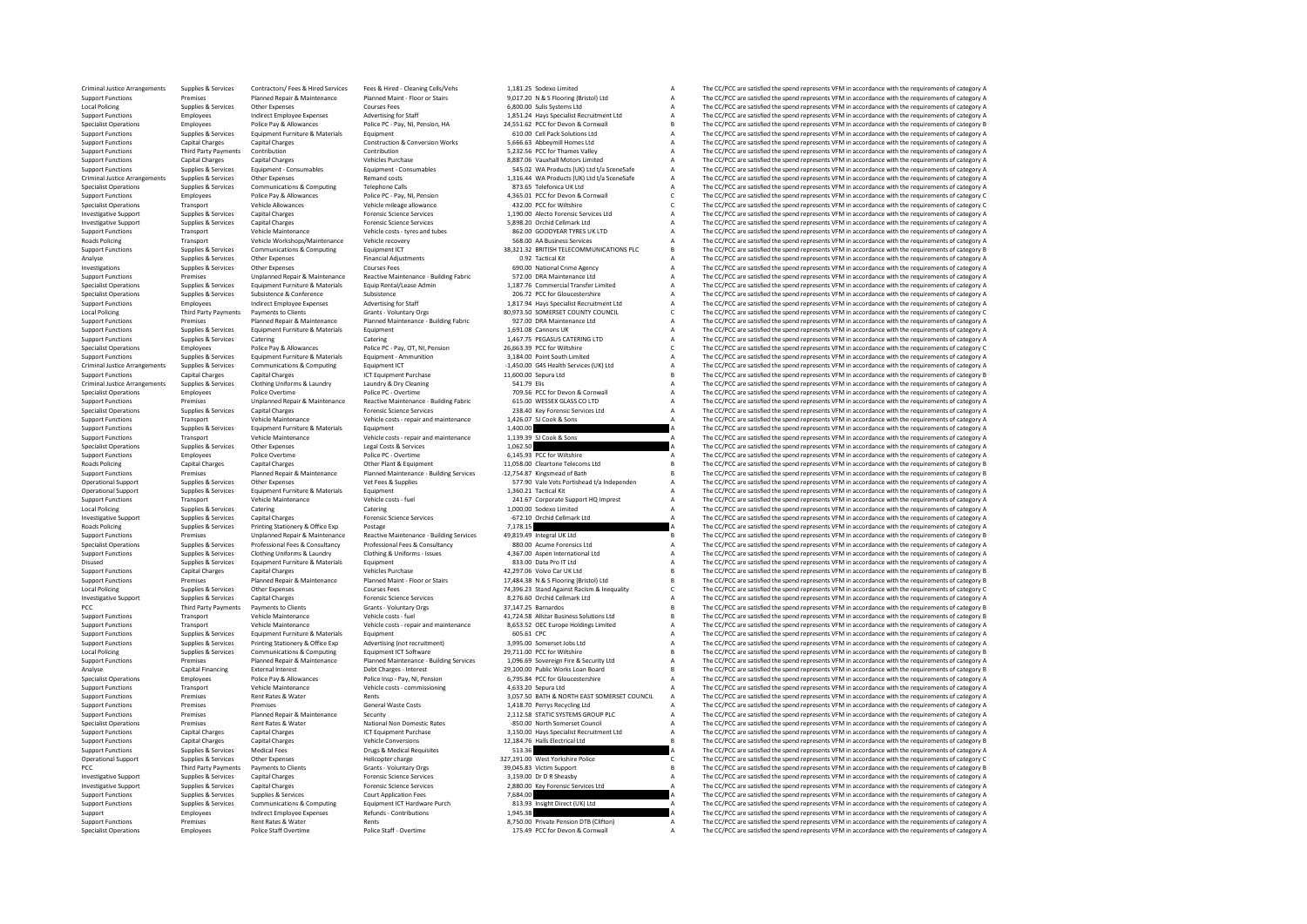| Criminal Justice Arrangements<br><b>Support Functions</b> | Supplies & Services<br>Premises            | Contractors/ Fees & Hired Services<br>Planned Repair & Maintenance | Fees & Hired - Cleaning Cells/Vehs<br>Planned Maint - Floor or Stairs | 1,181.25 Sodexo Limited<br>9.017.20 N & S Flooring (Bristol) Ltd | A              | The CC/PCC are satisfied the spend represents VFM in accordance with the requirements of category A<br>The CC/PCC are satisfied the spend represents VFM in accordance with the requirements of category A |
|-----------------------------------------------------------|--------------------------------------------|--------------------------------------------------------------------|-----------------------------------------------------------------------|------------------------------------------------------------------|----------------|------------------------------------------------------------------------------------------------------------------------------------------------------------------------------------------------------------|
| Local Policing                                            | Supplies & Services                        | Other Expenses                                                     | <b>Courses Fees</b>                                                   | 6,800.00 Sulis Systems Ltd                                       |                | The CC/PCC are satisfied the spend represents VFM in accordance with the requirements of category A                                                                                                        |
| <b>Support Functions</b>                                  | Employees                                  | <b>Indirect Employee Expenses</b>                                  | Advertising for Staff                                                 | 1.851.24 Havs Specialist Recruitment Ltd                         | A              | The CC/PCC are satisfied the spend represents VFM in accordance with the requirements of category A                                                                                                        |
| <b>Specialist Operations</b>                              | Employees                                  | Police Pay & Allowances                                            | Police PC - Pay, NI, Pension, HA                                      | 24.551.62 PCC for Devon & Cornwall                               |                | The CC/PCC are satisfied the spend represents VFM in accordance with the requirements of category B                                                                                                        |
| <b>Support Functions</b>                                  | Supplies & Services                        | Equipment Furniture & Materials                                    | Equipment                                                             | 610.00 Cell Pack Solutions Ltd                                   | $\overline{A}$ | The CC/PCC are satisfied the spend represents VFM in accordance with the requirements of category A                                                                                                        |
| <b>Support Functions</b>                                  | <b>Capital Charges</b>                     | <b>Capital Charges</b>                                             | <b>Construction &amp; Conversion Works</b>                            | 5,666.63 Abbeymill Homes Ltd                                     |                | The CC/PCC are satisfied the spend represents VFM in accordance with the requirements of category A                                                                                                        |
| <b>Support Functions</b>                                  | <b>Third Party Payments</b>                | Contribution                                                       | Contribution                                                          | 5.232.56 PCC for Thames Valley                                   | $\mathbf{A}$   | The CC/PCC are satisfied the spend represents VFM in accordance with the requirements of category A                                                                                                        |
| <b>Support Functions</b>                                  | <b>Capital Charges</b>                     | <b>Capital Charges</b>                                             | <b>Vehicles Purchase</b>                                              | 8.887.06 Vauxhall Motors Limited                                 | A              | The CC/PCC are satisfied the spend represents VFM in accordance with the requirements of category A                                                                                                        |
| <b>Support Functions</b>                                  | Supplies & Services                        | Equipment - Consumables                                            | Equipment - Consumables                                               | 545.02 WA Products (UK) Ltd t/a SceneSafe                        |                | The CC/PCC are satisfied the spend represents VFM in accordance with the requirements of category A                                                                                                        |
| Criminal Justice Arrangements                             | Supplies & Services                        | Other Expenses                                                     | Remand costs                                                          | 1,316.44 WA Products (UK) Ltd t/a SceneSafe                      | A              | The CC/PCC are satisfied the spend represents VFM in accordance with the requirements of category A                                                                                                        |
| <b>Specialist Operations</b><br><b>Support Functions</b>  | Supplies & Services<br>Employees           | Communications & Computing<br>Police Pay & Allowances              | <b>Telephone Calls</b><br>Police PC - Pav. NI. Pension                | 873.65 Telefonica UK Ltd<br>4.365.01 PCC for Devon & Cornwall    | $\mathfrak{c}$ | The CC/PCC are satisfied the spend represents VFM in accordance with the requirements of category A<br>The CC/PCC are satisfied the spend represents VFM in accordance with the requirements of category C |
| <b>Specialist Operations</b>                              | Transport                                  | <b>Vehicle Allowances</b>                                          | Vehicle mileage allowance                                             | 432.00 PCC for Wiltshire                                         |                | The CC/PCC are satisfied the spend represents VFM in accordance with the requirements of category C                                                                                                        |
| <b>Investigative Support</b>                              | Supplies & Services                        | <b>Capital Charges</b>                                             | <b>Enrensic Science Services</b>                                      | 1.190.00 Alecto Forensic Services Ltd                            |                | The CC/PCC are satisfied the spend represents VFM in accordance with the requirements of category A                                                                                                        |
| <b>Investigative Support</b>                              | Supplies & Services                        | <b>Capital Charges</b>                                             | <b>Forensic Science Services</b>                                      | 5.898.20 Orchid Cellmark Ltd                                     |                | The CC/PCC are satisfied the spend represents VFM in accordance with the requirements of category A                                                                                                        |
| <b>Support Functions</b>                                  | Transport                                  | Vehicle Maintenance                                                | Vehicle costs - tyres and tubes                                       | 862.00 GOODYFAR TYRES UK LTD                                     | A              | The CC/PCC are satisfied the spend represents VFM in accordance with the requirements of category A                                                                                                        |
| <b>Roads Policing</b>                                     | Transport                                  | Vehicle Workshops/Maintenance                                      | Vehicle recovery                                                      | 568.00 AA Business Services                                      |                | The CC/PCC are satisfied the spend represents VFM in accordance with the requirements of category A                                                                                                        |
| <b>Support Functions</b>                                  | Supplies & Services                        | Communications & Computing                                         | Equipment ICT                                                         | 38,321.32 BRITISH TELECOMMUNICATIONS PLC                         | $\mathbf{B}$   | The CC/PCC are satisfied the spend represents VFM in accordance with the requirements of category B                                                                                                        |
| Analyse                                                   | Supplies & Services                        | Other Expenses                                                     | <b>Financial Adjustments</b>                                          | 0.92 Tactical Kit                                                |                | The CC/PCC are satisfied the spend represents VFM in accordance with the requirements of category A                                                                                                        |
| Investigations                                            | Supplies & Services                        | Other Expenses                                                     | <b>Courses Fees</b>                                                   | 690.00 National Crime Agency                                     |                | The CC/PCC are satisfied the spend represents VFM in accordance with the requirements of category A                                                                                                        |
| <b>Support Functions</b>                                  | Premises                                   | Unplanned Repair & Maintenance                                     | Reactive Maintenance - Building Fabric                                | 572.00 DRA Maintenance Ltd.                                      | $\mathbf{A}$   | The CC/PCC are satisfied the spend represents VFM in accordance with the requirements of category A                                                                                                        |
| <b>Specialist Operations</b>                              | Supplies & Services                        | Equipment Furniture & Materials                                    | Equip Rental/Lease Admin                                              | 1,187.76 Commercial Transfer Limited                             |                | The CC/PCC are satisfied the spend represents VFM in accordance with the requirements of category A                                                                                                        |
| <b>Specialist Operations</b>                              | Supplies & Services                        | Subsistence & Conference                                           | Subsistence                                                           | 206.72 PCC for Gloucestershire                                   | $\overline{A}$ | The CC/PCC are satisfied the spend represents VFM in accordance with the requirements of category A                                                                                                        |
| <b>Support Functions</b>                                  | Employees                                  | <b>Indirect Employee Expenses</b>                                  | Advertising for Staff                                                 | 1,817.94 Hays Specialist Recruitment Ltd                         |                | The CC/PCC are satisfied the spend represents VFM in accordance with the requirements of category A                                                                                                        |
| <b>Local Policing</b>                                     | <b>Third Party Payments</b>                | <b>Payments to Clients</b>                                         | Grants - Voluntary Orgs                                               | 80.973.50 SOMERSET COUNTY COUNCIL                                | $\epsilon$     | The CC/PCC are satisfied the spend represents VFM in accordance with the requirements of category C                                                                                                        |
| <b>Support Functions</b>                                  | Premises                                   | Planned Repair & Maintenance                                       | Planned Maintenance - Building Fabric                                 | 927.00 DRA Maintenance Ltd                                       |                | The CC/PCC are satisfied the spend represents VFM in accordance with the requirements of category A                                                                                                        |
| <b>Support Functions</b>                                  | Supplies & Services                        | Equipment Furniture & Materials                                    | Equipment                                                             | 1.691.08 Cannons UK                                              |                | The CC/PCC are satisfied the spend represents VFM in accordance with the requirements of category A                                                                                                        |
| <b>Support Functions</b>                                  | Supplies & Services                        | Catering                                                           | Catering                                                              | 1,467.75 PEGASUS CATERING LTD                                    |                | The CC/PCC are satisfied the spend represents VFM in accordance with the requirements of category A                                                                                                        |
| <b>Specialist Operations</b>                              | Employees                                  | Police Pay & Allowances                                            | Police PC - Pay, OT, NI, Pension                                      | 26,663.39 PCC for Wiltshire                                      | $\epsilon$     | The CC/PCC are satisfied the spend represents VFM in accordance with the requirements of category C                                                                                                        |
| <b>Support Functions</b>                                  | Supplies & Services                        | Equipment Furniture & Materials                                    | Equipment - Ammunition                                                | 3.184.00 Point South Limited                                     | $\mathbf{A}$   | The CC/PCC are satisfied the spend represents VFM in accordance with the requirements of category A                                                                                                        |
| Criminal Justice Arrangements                             | Supplies & Services                        | Communications & Computing                                         | Equipment ICT                                                         | -1,450.00 G4S Health Services (UK) Ltd                           |                | The CC/PCC are satisfied the spend represents VFM in accordance with the requirements of category A                                                                                                        |
| <b>Support Functions</b>                                  | <b>Capital Charges</b>                     | Capital Charges                                                    | <b>ICT Foujoment Purchase</b>                                         | 11.600.00 Sepura Ltd                                             |                | The CC/PCC are satisfied the spend represents VFM in accordance with the requirements of category B                                                                                                        |
| <b>Criminal Justice Arrangements</b>                      | Supplies & Services                        | Clothing Uniforms & Laundry                                        | Laundry & Dry Cleaning                                                | 541.79 Elis                                                      |                | The CC/PCC are satisfied the spend represents VFM in accordance with the requirements of category A                                                                                                        |
| <b>Specialist Operations</b>                              | Employees                                  | Police Overtime                                                    | Police PC - Overtime                                                  | 709.56 PCC for Devon & Cornwall                                  |                | The CC/PCC are satisfied the spend represents VFM in accordance with the requirements of category A                                                                                                        |
| <b>Support Functions</b>                                  | Premises                                   | Unplanned Repair & Maintenance                                     | Reactive Maintenance - Building Fabric                                | 615.00 WESSEX GLASS CO LTD                                       |                | The CC/PCC are satisfied the spend represents VFM in accordance with the requirements of category A                                                                                                        |
| <b>Specialist Operations</b>                              | Supplies & Services                        | <b>Capital Charges</b>                                             | <b>Forensic Science Services</b>                                      | 238.40 Key Forensic Services Ltd                                 |                | The CC/PCC are satisfied the spend represents VFM in accordance with the requirements of category A                                                                                                        |
| <b>Support Functions</b>                                  | Transport                                  | Vehicle Maintenance                                                | Vehicle costs - repair and maintenance                                | 1,426.07 SJ Cook & Sons                                          |                | The CC/PCC are satisfied the spend represents VFM in accordance with the requirements of category A                                                                                                        |
| <b>Support Functions</b><br><b>Support Functions</b>      | Supplies & Services<br>Transport           | Equipment Furniture & Materials<br>Vehicle Maintenance             | Equipment                                                             | 1,400.00                                                         |                | The CC/PCC are satisfied the spend represents VFM in accordance with the requirements of category A                                                                                                        |
|                                                           | Supplies & Services                        | Other Expenses                                                     | Vehicle costs - repair and maintenance<br>Legal Costs & Services      | 1,139.39 SJ Cook & Sons<br>1,062.50                              |                | The CC/PCC are satisfied the spend represents VFM in accordance with the requirements of category A                                                                                                        |
| <b>Specialist Operations</b><br><b>Support Functions</b>  | Employees                                  | Police Overtime                                                    | Police PC - Overtime                                                  | 6,145.93 PCC for Wiltshire                                       |                | The CC/PCC are satisfied the spend represents VFM in accordance with the requirements of category A<br>The CC/PCC are satisfied the spend represents VFM in accordance with the requirements of category A |
| Roads Policing                                            | <b>Capital Charges</b>                     | <b>Capital Charges</b>                                             | Other Plant & Equipment                                               | 11,058.00 Cleartone Telecoms Ltd                                 |                | The CC/PCC are satisfied the spend represents VFM in accordance with the requirements of category B                                                                                                        |
| <b>Support Functions</b>                                  | Premises                                   | Planned Repair & Maintenance                                       | Planned Maintenance - Building Services                               | -12.754.87 Kingsmead of Bath                                     |                | The CC/PCC are satisfied the spend represents VFM in accordance with the requirements of category B                                                                                                        |
| Operational Support                                       | Supplies & Services                        | Other Expenses                                                     | Vet Fees & Supplies                                                   | 577.90 Vale Vets Portishead t/a Independen                       |                | The CC/PCC are satisfied the spend represents VFM in accordance with the requirements of category A                                                                                                        |
| <b>Operational Support</b>                                | Supplies & Services                        | Equipment Furniture & Materials                                    | Fauinment                                                             | 1.360.21 Tactical Kit                                            |                | The CC/PCC are satisfied the spend represents VFM in accordance with the requirements of category A                                                                                                        |
| <b>Support Functions</b>                                  | Transport                                  | Vehicle Maintenance                                                | Vehicle costs - fuel                                                  | 241.67 Corporate Support HQ Imprest                              |                | The CC/PCC are satisfied the spend represents VFM in accordance with the requirements of category A                                                                                                        |
| <b>Local Policing</b>                                     | Supplies & Services                        | Catering                                                           | Catering                                                              | 1.000.00 Sodexo Limited                                          |                | The CC/PCC are satisfied the spend represents VFM in accordance with the requirements of category A                                                                                                        |
| <b>Investigative Support</b>                              | Supplies & Services                        | <b>Capital Charges</b>                                             | <b>Forensic Science Services</b>                                      | -672.10 Orchid Cellmark Ltd                                      |                | The CC/PCC are satisfied the spend represents VFM in accordance with the requirements of category A                                                                                                        |
| <b>Roads Policing</b>                                     | Supplies & Services                        | Printing Stationery & Office Exp                                   | Postage                                                               | 7.178.15                                                         |                | The CC/PCC are satisfied the spend represents VFM in accordance with the requirements of category A                                                                                                        |
| <b>Support Functions</b>                                  | Premises                                   | Unplanned Repair & Maintenance                                     | Reactive Maintenance - Building Services                              | 49,819.49 Integral UK Ltd                                        |                | The CC/PCC are satisfied the spend represents VFM in accordance with the requirements of category B                                                                                                        |
| <b>Specialist Operations</b>                              | Supplies & Services                        | Professional Fees & Consultancy                                    | Professional Fees & Consultancy                                       | 880.00 Acume Forensics Ltd                                       |                | The CC/PCC are satisfied the spend represents VFM in accordance with the requirements of category A                                                                                                        |
| <b>Support Functions</b>                                  | Supplies & Services                        | Clothing Uniforms & Laundry                                        | Clothing & Uniforms - Issues                                          | 4.367.00 Aspen International Ltd                                 | A              | The CC/PCC are satisfied the spend represents VFM in accordance with the requirements of category A                                                                                                        |
| Disused                                                   | Supplies & Services                        | Equipment Furniture & Materials                                    | Equipment                                                             | 833.00 Data Pro IT Ltd                                           |                | The CC/PCC are satisfied the spend represents VFM in accordance with the requirements of category A                                                                                                        |
| <b>Support Functions</b>                                  | <b>Capital Charges</b>                     | <b>Capital Charges</b>                                             | <b>Vehicles Purchase</b>                                              | 42.297.06 Volvo Car UK Itd                                       |                | The CC/PCC are satisfied the spend represents VFM in accordance with the requirements of category B                                                                                                        |
| <b>Support Functions</b>                                  | Premises                                   | Planned Repair & Maintenance                                       | Planned Maint - Floor or Stairs                                       | 17,484.38 N & S Flooring (Bristol) Ltd                           |                | The CC/PCC are satisfied the spend represents VFM in accordance with the requirements of category B                                                                                                        |
| <b>Local Policing</b>                                     | Supplies & Services                        | Other Expenses                                                     | Courses Fees                                                          | 74.396.23 Stand Against Racism & Inequality                      | C.             | The CC/PCC are satisfied the spend represents VFM in accordance with the requirements of category C                                                                                                        |
| <b>Investigative Support</b>                              | Supplies & Services                        | <b>Capital Charges</b>                                             | <b>Forensic Science Services</b>                                      | 8,276.60 Orchid Cellmark Ltd                                     |                | The CC/PCC are satisfied the spend represents VFM in accordance with the requirements of category A                                                                                                        |
| PCC                                                       | <b>Third Party Payments</b>                | <b>Payments to Clients</b>                                         | Grants - Voluntary Orgs                                               | 37,147.25 Barnardos                                              |                | The CC/PCC are satisfied the spend represents VFM in accordance with the requirements of category B                                                                                                        |
| <b>Support Functions</b>                                  | Transport                                  | Vehicle Maintenance                                                | Vehicle costs - fuel                                                  | 41,724.58 Allstar Business Solutions Ltd                         |                | The CC/PCC are satisfied the spend represents VFM in accordance with the requirements of category B                                                                                                        |
| <b>Support Functions</b><br><b>Support Functions</b>      | Transport<br>Supplies & Services           | Vehicle Maintenance<br>Equipment Furniture & Materials             | Vehicle costs - repair and maintenance                                | 8,653.52 OEC Europe Holdings Limited<br>605.61 CPC               |                | The CC/PCC are satisfied the spend represents VFM in accordance with the requirements of category A<br>The CC/PCC are satisfied the spend represents VFM in accordance with the requirements of category A |
|                                                           |                                            |                                                                    | Equipment                                                             |                                                                  |                |                                                                                                                                                                                                            |
| <b>Support Functions</b>                                  | Supplies & Services<br>Supplies & Services | Printing Stationery & Office Exp<br>Communications & Computing     | Advertising (not recruitment)<br><b>Equipment ICT Software</b>        | 3,995.00 Somerset Jobs Ltd<br>29.711.00 PCC for Wiltshire        |                | The CC/PCC are satisfied the spend represents VFM in accordance with the requirements of category A                                                                                                        |
| <b>Local Policing</b>                                     | Premises                                   | Planned Repair & Maintenance                                       | Planned Maintenance - Building Services                               | 1,096.69 Sovereign Fire & Security Ltd                           |                | The CC/PCC are satisfied the spend represents VFM in accordance with the requirements of category B<br>The CC/PCC are satisfied the spend represents VFM in accordance with the requirements of category A |
| <b>Support Functions</b><br>Analyse                       | <b>Capital Financing</b>                   | <b>External Interest</b>                                           | Debt Charges - Interest                                               | 29.100.00 Public Works Loan Board                                | $\mathsf{R}$   | The CC/PCC are satisfied the spend represents VFM in accordance with the requirements of category B                                                                                                        |
| <b>Specialist Operations</b>                              | Employees                                  | Police Pay & Allowances                                            | Police Insp - Pay, NI, Pension                                        | 6.795.84 PCC for Gloucestershire                                 |                | The CC/PCC are satisfied the spend represents VFM in accordance with the requirements of category A                                                                                                        |
| <b>Support Functions</b>                                  | Transport                                  | Vehicle Maintenance                                                | Vehicle costs - commissioning                                         | 4.633.20 Sepura Ltd                                              |                | The CC/PCC are satisfied the spend represents VFM in accordance with the requirements of category A                                                                                                        |
| <b>Support Functions</b>                                  | Premises                                   | Rent Rates & Water                                                 | Rents                                                                 | 3,057.50 BATH & NORTH EAST SOMERSET COUNCIL                      |                | The CC/PCC are satisfied the spend represents VFM in accordance with the requirements of category A                                                                                                        |
| <b>Support Functions</b>                                  | Premises                                   | Premises                                                           | <b>General Waste Costs</b>                                            | 1,418.70 Perrys Recycling Ltd                                    |                | The CC/PCC are satisfied the spend represents VFM in accordance with the requirements of category A                                                                                                        |
| <b>Support Functions</b>                                  | Premises                                   | Planned Repair & Maintenance                                       | Security                                                              | 2,112.58 STATIC SYSTEMS GROUP PLC                                |                | The CC/PCC are satisfied the spend represents VFM in accordance with the requirements of category A                                                                                                        |
| <b>Specialist Operations</b>                              | Premises                                   | Rent Rates & Water                                                 | National Non Domestic Rates                                           | -850.00 North Somerset Council                                   |                | The CC/PCC are satisfied the spend represents VFM in accordance with the requirements of category A                                                                                                        |
| <b>Support Functions</b>                                  | <b>Capital Charges</b>                     | <b>Capital Charges</b>                                             | <b>ICT Equipment Purchase</b>                                         | 3.150.00 Havs Specialist Recruitment Ltd                         |                | The CC/PCC are satisfied the spend represents VFM in accordance with the requirements of category A                                                                                                        |
| <b>Support Functions</b>                                  | <b>Capital Charges</b>                     | <b>Capital Charges</b>                                             | <b>Vehicle Conversions</b>                                            | 12,184.76 Halls Electrical Ltd                                   |                | The CC/PCC are satisfied the spend represents VFM in accordance with the requirements of category B                                                                                                        |
| <b>Support Functions</b>                                  | Supplies & Services                        | Medical Fees                                                       | Drugs & Medical Requisites                                            | 513.36                                                           |                | The CC/PCC are satisfied the spend represents VFM in accordance with the requirements of category A                                                                                                        |
| Operational Support                                       | Supplies & Services                        | Other Expenses                                                     | Helicopter charge                                                     | 327,191.00 West Yorkshire Police                                 |                | The CC/PCC are satisfied the spend represents VFM in accordance with the requirements of category C                                                                                                        |
| PCC                                                       | <b>Third Party Payments</b>                | <b>Payments to Clients</b>                                         | <b>Grants - Voluntary Orgs</b>                                        | 39,045.83 Victim Support                                         |                | The CC/PCC are satisfied the spend represents VFM in accordance with the requirements of category B                                                                                                        |
| <b>Investigative Support</b>                              | Supplies & Services                        | Capital Charges                                                    | <b>Forensic Science Services</b>                                      | 3,159.00 Dr D R Sheasby                                          |                | The CC/PCC are satisfied the spend represents VFM in accordance with the requirements of category A                                                                                                        |
| <b>Investigative Support</b>                              | Supplies & Services                        | <b>Capital Charges</b>                                             | <b>Forensic Science Services</b>                                      | 2,880.00 Key Forensic Services Ltd                               |                | The CC/PCC are satisfied the spend represents VFM in accordance with the requirements of category A                                                                                                        |
| <b>Support Functions</b>                                  | Supplies & Services                        | Supplies & Services                                                | <b>Court Application Fees</b>                                         | 7.684.00                                                         |                | The CC/PCC are satisfied the spend represents VFM in accordance with the requirements of category A                                                                                                        |
| <b>Support Functions</b>                                  | Supplies & Services                        | Communications & Computing                                         | Equipment ICT Hardware Purch                                          | 813.93 Insight Direct (UK) Ltd                                   |                | The CC/PCC are satisfied the spend represents VFM in accordance with the requirements of category A                                                                                                        |
| Support                                                   | Employees                                  | <b>Indirect Employee Expenses</b>                                  | Refunds - Contributions                                               | 1,945.38                                                         |                | The CC/PCC are satisfied the spend represents VFM in accordance with the requirements of category A                                                                                                        |
| <b>Support Functions</b>                                  | Premises                                   | Rent Rates & Water                                                 | Rents                                                                 | 8,750.00 Private Pension DTB (Clifton)                           |                | The CC/PCC are satisfied the spend represents VFM in accordance with the requirements of category A                                                                                                        |
|                                                           |                                            |                                                                    |                                                                       |                                                                  |                |                                                                                                                                                                                                            |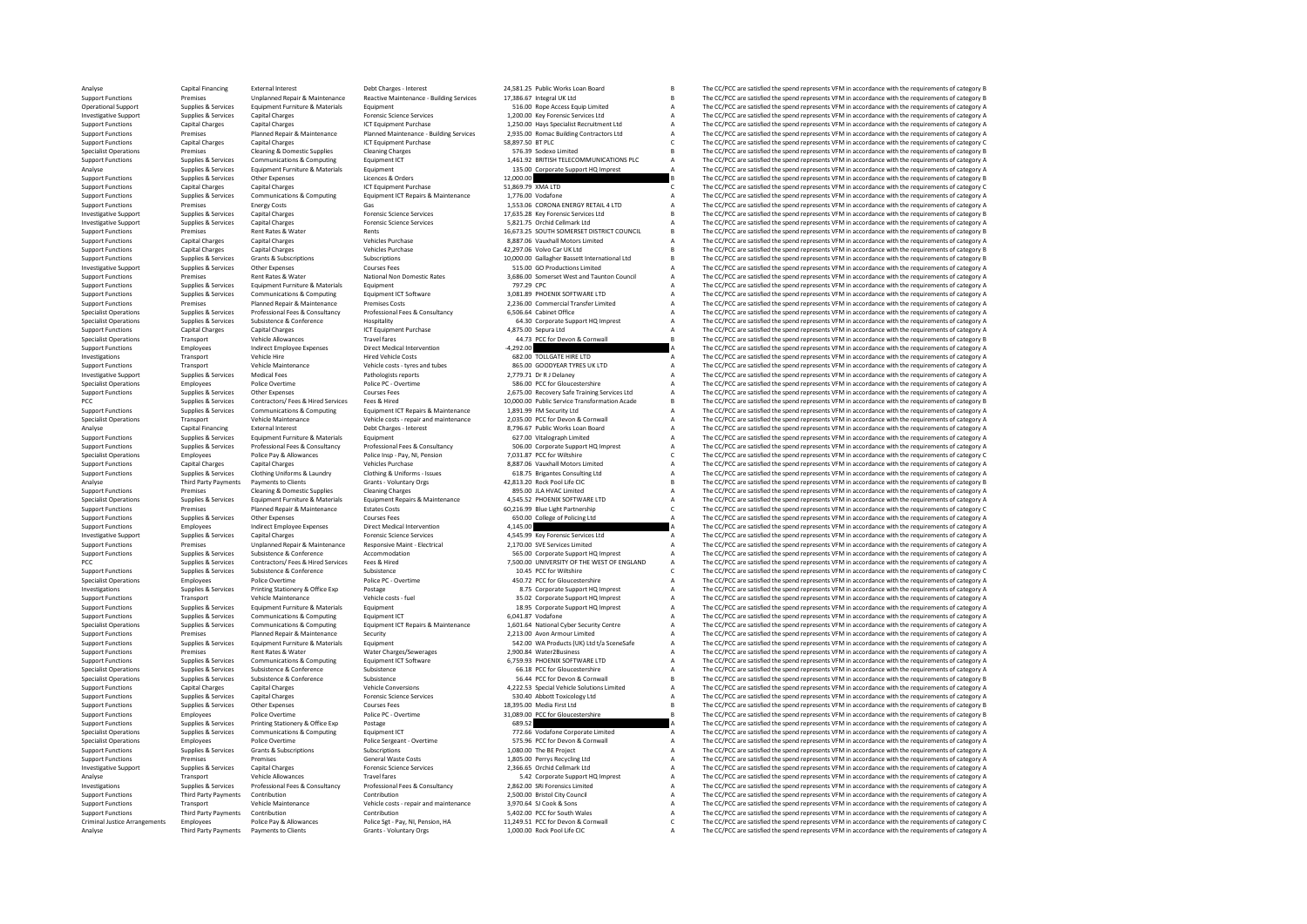Analyse Capital Financing External Interest Debt Charges - Interest 24,581.25 Public Works Loan Board B The CC/PCC are satisfied the spend represents VFM in accordance with the requirements of category B Capital Road B Sup Examples of the Unplanned Repair & Maintenance Reactive Maintenance - Building Services 17,386.67 Integral UK Ltd B The CC/PCC are satisfied the spend represents VFM in accordance with the requirements of category B Suppor Operational Support Support Support Support Support Support Support Support Support Support Support Support Support Support Support Support Support Support Support Support Support Support Support Support Support Support Su Investigative Supplies Services Capital Charges Services Capital Charges Forensic Science Services 1,200.00 Key Forensic Services Ltd A The CC/PCC are satisfied the spend represents VFM in accordance with the requirements Support Functions Capital Charges Capital Charges ICT Equipment Purchase 1,250.00 Hays Specialist Recruitment Ltd A The CC/PCC are satisfied the spend represents VFM in accordance with the requirements of category A Suppor Support Paniss Premises Premises Premieral Panis Panismance Panismance Panismance Panismance Panismance Panismance (COC are astified the premise of the education of the education of the education of the education of the ed Support Functions Capital Charges Capital Charges ICT Equipment Purchase 58,897.50 BT PLC COME CONTENT CONTENT<br>Support Functions Specialist Operations of Charges Cleaning Charges Cleaning Charges ST6.39 Sodexo Limited BEC/ Specialist Operations Premises Cleaning & Domestic Supplies Cleaning Charges 576.39 Sodexo Limited B The CC/PCC are satisfied the spend represents VFM in accordance with the requirements of category B Specialist Operations Supplies & Services Communications & Computing Equipment ICT 1,461.92 BRITISH TELECOMMUNICATIONS PLC A The CC/PCC are satisfied the spend represents VFM in accordance with the requirements of category A Supplies & Services Analyse Supplies Services Equipment Furniture & Materials Equipment 135.00 Corporate Support HQ Imprest A The CC/PCC are satisfied the spend represents VFM in accordance with the requirements of category A The CC/PC in a T Support Functions Supplies & Services Other Expenses Licences & Orders 12,000.00 B The CC/PCC are satisfied the spend represents VFM in accordance with the requirements of category B Capital Charges Capital Charges Capital Support Functions Capital Charges Capital Charges Capital Charges ICT Equipment Purchase 51,869.79 XMA LTD C The CC/PCC are satisfied the spend represents VFM in accordance with the requirements of category C<br>Support Funct Support Functions Supplies Services Communications & Computing Equipment ICT Repairs & Maintenance 1,776.00 Vodafone A The CC/PCC are satisfied the spend represents VFM in accordance with the requirements of category A The Support Functions Premises Energy Costs Gas Costs Gas 1,553.06 CORONA ENERGY RETAILALITO A The CC/PCC are satisfied the spend represents VFM in accordance with the requirements of category AS The Support Functions Costs Co Investigative Support Support Support Support Support Support Support Support Support Services Capital Charges The CONSTRATION CONSTRATION CONSTRATION ASSAMENT DESCRIPTION ASSAMENT ARE DRIVE AN INCLUSION ASSAMENT ARE DRIVE Investigative Supplies Services Capital Charges Capital Charges Capital Charges Services Services Services Services Supplies and the CC/PCC are satisfied the spend represents VFM in accordance with the requirements of cate Support Functions Premises Rent Rates & Water Rents Rents Rents Rents Rents Rents Rents Rents Rents Rents Rents<br>Support Functions Support Functions Capital Charges Capital Charges Vehicles Purchase Vehicles Purchase S.887. Support Functions Capital Charges Capital Charges Vehicles Purchase Space 8,887.06 Vauxhall Motors Limited A The CC/PCC are satisfied the spend represents VFM in accordance with the requirements of category B<br>Support Funct Support Functions Capital Charges Capital Charges Capital Charges Capital Charges Vehicles Purchase 42,297.06 Volvo Car UK Ltd B The CC/PCC are satisfied the spend represents VFM in accordance with the requirements of cate Support Functions Supplies & Services Grants & Subscriptions Subscriptions Subscriptions Subscriptions Subscriptions and the content of the CC/PC are satisfied the spend represents VFM in accordance with the requirements o Investigative Support Supplies & Services Other Expenses Courses Courses Fees Support Courses Courses Courses Courses Courses Fees 515.00 GO Productions Limited A The CC/PCC are satisfied the spend represents VFM in accord Support Functions Premises Rent Rates Rent Rates Rent Rates and National Non Domestic Rates 3,686.000 Somerset West and Taunton Council A The CC/PCC are satisfied the spend represents VFM in accordance with the requirement Support Functions Supplies Services Equipment Functions Support Functions Cracket A The CC/PC are support and the Services Equipment of Contents Contents (Services Equipment Functions and the Service are ally accordance wi Support Functions Supplies Services Communications & Computing Equipment ICT Software 3,081.89 PHOENIX SOFTWARE LTD A The CC/PCC are satisfied the spend represents VFM in accordance with the requirements of category A The Support Functions Premises Planned Repair & Planned Repair Premises Conserved Conserved Transfer Limited a A The CC/PCC are satisfied the spend represents VFM in accordance with the requirements of category A The CC/PCC ar Supplies & Services Professional Fees & Consultancy Professional Fees & Consultancy Professional Fees & Consultancy 6,506.64 Cabinet Office A The CC/PCC are satisfied the spend represents VFM in accordance with the require Specialist Operations Supplies & Services Subsistence & Conference Hospitality Hospitality 64.30 Corporate Support HQ Imprest A The CC/PCC are satisfied the spend represents VFM in accordance with the requirements of categ ST FUNCTIONS CAPITAL CHARGES CAPITAL CHARGES CAPITAL CHARGES CAPITAL CHARGES CAPITAL CHARGES AND THE CONFORT PURCHASE 4,875.00 SEPURA THE PRODUCED A THE CC/PCC are satisfied the spend represents VFM in accordance with the Specialist Operations Transport Vehicle Allowances Travel fares Travel fares and the special factor of the CC/PCC are satisfied the spend represents VFM in accordance with the requirements of category B The CC/PCC are sati Support Functions Employees Indirect Employee Expenses Direct Medical Intervention -4,292.00 A The CC/PCC are satisfied the spend represents VFM in accordance with the requirements of category.<br>Investigations Transport Veh Investigations Transport Vehicle Hire Hired Vehicle Costs Hired Vehicle Costs 682.00 TOLLGATE HIRE LTD A The CC/PCC are satisfied the spend represents VFM in accordance with the requirements of category A The CC/PC are sat Support Functions Transport Transport Vehicle Maintenance Vehicle costs - tyres and tubes and the Support Tyres and the Support Tyres and the Support Tyres and the Support Tyres and the Support Tyres and the represents VFM Investigative Support Supplies & Services Medical Fees Pathologists reports 2,779.71 Dr R J Delaney A The CC/PCC are satisfied the spend represents VFM in accordance with the requirements of category A Services Police Dr R Specialist Operations Employees Police Dvertime Police PC - Overtime Police PC - Overtime S86.00 PCC for Gloucestershire A The CC/PCC are satisfied the spend represents VFM in accordance with the requirements of category A Support Functions Supplies Services Other Expenses Courses Courses Fees 2,675.00 Recovery Safe Training Services Training Services Ltd A The CC/PCC are satisfied the spend represents VFM in accordance with the requirements PCC Supplies Supplies Contractors/ Fees AHired Services Fees & Hired Services Fees Allen 10,000.00 Public Service Transformation Acade B The CC/PCC are satisfied the spend represents VFM in accordance with the requirements 1.891.99 FM Security Ltd Manuson Communication CC/PCC are satisfied the spend represents VFM in accordance with the requirements of category A<br>2.035.00 PCC for Devon & Cornwall Manuson A The CC/PCC are satisfied the spend Specialist Operations Transport Vehicle Category Analysis (Vehicle costs - repair and maintenance 2,035.00 PCC for Devon & Communist Control A The CC/PCC are satisfied the spend represents VFM in accordance with the requir Analyse Capital Financing External Interest Debt Charges - Interest Barges - A Section Board A The CC/PCC are satisfied the spend represents VFM in accordance with the requirements of category A Capital Financing External Support Functions Supplies & Services Equipment Furniture & Materials Equipment Executions Equipment Control of Category A The CC/PCC are satisfied the spend represents VFM in accordance with the requirements of category A Supplies & Services Professional Fees & Consultancy Professional Fees & Consultancy Support Research and the COPCA are the COPCC are satisfied the spend represents VFM in accordance with the requirements of category A Prof Specialist Operations Employees Police Pay & Allowances Police Insp - Pay, NI, Pension 7,031.87 PCC for Wiltshire C The CC/PCC are satisfied the spend represents VFM in accordance with the requirements of category C Venice Support Functions Capital Charges Capital Charges Vehicles Vehicles Purchase 8,887.06 Vauxhall Motors Limited A The CC/PCC are satisfied the spend represents VFM in accordance with the requirements of category A Support Fu Supplies and the company of the company of the company of the company of the company of the company of the company of the company of the company of the company of the company of the company of the company of the company of Analyse Third Party Payments Devels to Clients Clients Clients Clients Clients Clients - Voluntary Orgs 42,813.20 Rock Pool Life CIC CLIENT BE CC/PCC are satisfied the spend represents VFM in accordance with the requiremen Support Functions Premises A The CC/PCC are satisfied the spend represents VFM in accordance with the requirements of category A The CC/PCC are satisfied the spend represents VFM in accordance with the requirements of cate Supplies & Services Equipment Furniture & Materials Equipment Repairs & Maintenance 4,545.52 PHOENIX SOFTWARE LTD A The CC/PCC are satisfied the spend represents VFM in accordance with the requirements of category A Suppli Support Functions Premises Premises Planned Repair & Maintenance Estates Costs 60,216.99 Blue Light Partnership C The CC/PCC are satisfied the spend represents VFM in accordance with the requirements of category C Corres C Support Functions Supplies & Services Other Expenses Courses Courses Fees Courses Courses Courses Courses Fees<br>Support Functions and the CC/PCC are satisfied the spend represents VFM in accordance with the requirements of Support Functions Employees Indirect Employee Expenses Direct Medical Intervention 4,145.00 A The CC/PCC are satisfied the spend represents VFM in accordance with the requirements of category A Crysten Expendix of Category Investigative Support Supplies & Services Capital Charges Forensic Science Services 4,545.99 Key Forensic Services Ltd A The CC/PCC are satisfied the spend represents VFM in accordance with the requirements of category A S Support Functions Premises Unplanned Repair & Maintenance Responsive Maint - Electrical 2,170.00 SVE Services Limited A The CC/PCC are satisfied the spend represents VFM in accordance with the requirements of category A Su Subsistence & Conference Accommodation Subsistence Support Functions Subsistence Accommodation 565.00 Corporate Support HQ Imprest A The CC/PCC are satisfied the spend represents VFM in accordance with the requirements of PCC Supplies Services Contractors/ Fees & Hired Services Fees & Hired The The The The The CONTROL ART OF THE WEST OF THE WEST OF ENGLAND A The CC/PCC are satisfied the spend represents VFM in accordance with the requiremen Support Functions Supplies & Services Support Support Support Support The Conference Support The CONFerence 10.45 PCC for Wiltshire Conference 10.45 PCC for Content and the spend represents VFM in accordance with the requi The CC/DCC are satisfied the spend represents VEM in accordance with the requirements of category A Investigations Supplies & Services Printing Stationery & Office Exp Postage Postage 8.75 Corporate Support HQ Imprest A The CC/PCC are satisfied the spend represents VFM in accordance with the requirements of category A Su Support Functions Transport Vehicle Maintenance Vehicle costs - fuel 35.02 Corporate Support HQ Imprest A The CC/PCC are satisfied the spend represents VFM in accordance with the requirements of category A Support HQ Impre Support Functions & Materials Equipment Equipment Corporat Corporate Corporate Support HQ Imprest A The CC/PCC are satisfied the spend represents VFM in accordance with the requirements of category A Communications & Compu Support Functions Supplies & Services Communications & Computing Equipment ICT 6041.87 Vodafone A The CC/PCC are satisfied the spend represents VFM in accordance with the requirements of category A Core is a teacher of cat -<br>Specialist Operations Supplies & Services Communications & Computing Equipment ICT Repairs & Maintenance 1,601.64 National Cyber Security Centre A The CC/PCC are satisfied the spend represents VFM in accordance with the Support Functions Premises Planned Repair & Maintenance Security 2,213.00 Avon Armour Limited A The CC/PCC are satisfied the spend represents VFM in accordance with the requirements of category A Support Functions Support Support Functions Supplies & Services Equipment Furniture & Materials Equipment Support Equipment Support Functions Support Functions and the CC/PCC are satisfied the spend represents VFM in accordance with the requirement Support Functions Premises Rent Rates & Water Water Charges/Sewerages 2,900.84 Water2Business A The CC/PCC are satisfied the spend represents VFM in accordance with the requirements of category A The CC/PCC are satisfied t The CC/PCC are satisfied the spend represents VFM in accordance with the requirements of category A Specialist Operations Supplies Services Subsistence Subsistence Subsistence Subsistence Subsistence and Conference Subsistence a The CC/PCC are satisfied the spend represents VFM in accordance with the requirements of cate Specialist Operations Supplies & Services Subsistence Subsistence Subsistence Subsistence Subsistence Subsistence Subsistence Subsistence Subsistence Subsistence Subsistence Subsistence Subsistence Subsistence Subsistence Support Functions Capital Charges Capital Charges Capital Charges Vehicle Conversions 4,222.53 Special Vehicle Solutions Limited A The CC/PCC are satisfied the spend represents VFM in accordance with the requirements of ca Support Functions Supplies & Services Capital Charges Services Forensic Science Services Services 530.40 Abbott Toxicology Ltd A The CC/PCC are satisfied the spend represents VFM in accordance with the requirements of cate Support Functions Supplies Services Courses Courses Fees 18,395.00 Media First Ltd B The CC/PCC are satisfied the spend represents VFM in accordance with the requirements of category B in accordance with the requirements o Support Functions Employees Police Dvertime Police PC - Overtime 21,089.00 PCC for Gloucestershire B The CC/PCC are satisfied the spend represents VFM in accordance with the requirements of category B Police Pc - Overtime Support Functions Supplies & Services Printing Stationery & Office Exp Postage Postage Printing Printing Printing Printing Printing Printing Computer Computer Computer Computer Computer Computer of Computer of Category A T Specialist Operations Supplies Services Communications & Computing Equipment ICT 772.66 Vodafone Corporate Limited A The CC/PCC are satisfied the spend represents VFM in accordance with the requirements of category A The C Specialist Operations Employees Police Overtime Police Sergeant - Overtime Police Sergeant - Overtime 575.96 PCC for Devon & Cornwall A The CC/PCC are satisfied the spend represents VFM in accordance with the requirements Support Functions Supplies & Services Grants & Subscriptions Subscriptions Subscriptions Subscriptions Subscriptions and the CO/Pecase Category A The CC/PCC are satisfied the spend represents VFM in accordance with the req Support Premises Premises Premises Category Control Control Control Control Control Control Control Control Control Control Control Control Control Control Control Control Control Control Control Control Control Control Co The CC/PCC are satisfied the spend represents VFM in accordance with the requirements of category A Transport Vehicle Allowances Travel fares Travel fares and the SA2 Corporate Support HQ Imprest A The CC/PCC are satisfied the spend represents VFM in accordance with the requirements of category A Corporate Support HQ Imp Investigations Supplies Services Professional Present Professional Professional Professional Consumers (Service Professional Professional Professional Professional Professional Professional Professional Professional Profes Support Functions Third Party Payments Contribution 2.500.00 Bristol Contribution 2,500.00 Bristol City Council 2000 A The CC/PCC are satisfied the spend represents VFM in accordance with the requirements of category A The Support Functions Transport Vehicle Maintenance Vehicle costs - repair and maintenance 3,970.64 SJ Cook & Sons A The CC/PCC are satisfied the spend represents VFM in accordance with the requirements of category A The CC/PC Support Functions Third Party Payments Contribution Contribution Contribution Contribution Contribution Contribution S,402.00 PCC for South Wales A The CC/PCC are satisfied the spend represents VFM in accordance with the r Employees Police Pay & Allowances Police Set - Pay, NJ, Pension, HA 11,249.51 PCC for Devon & Comwall C The CC/PCC are satisfied the spend represents VFM in accordance with the requirements of category C<br>Third Party Paymen Analyse Third Party Payments Payments to Clients Grants - Voluntary Orgs 1,000.00 Rock Pool Life CIC A The CC/PCC are satisfied the spend represents VFM in accordance with the requirements of category A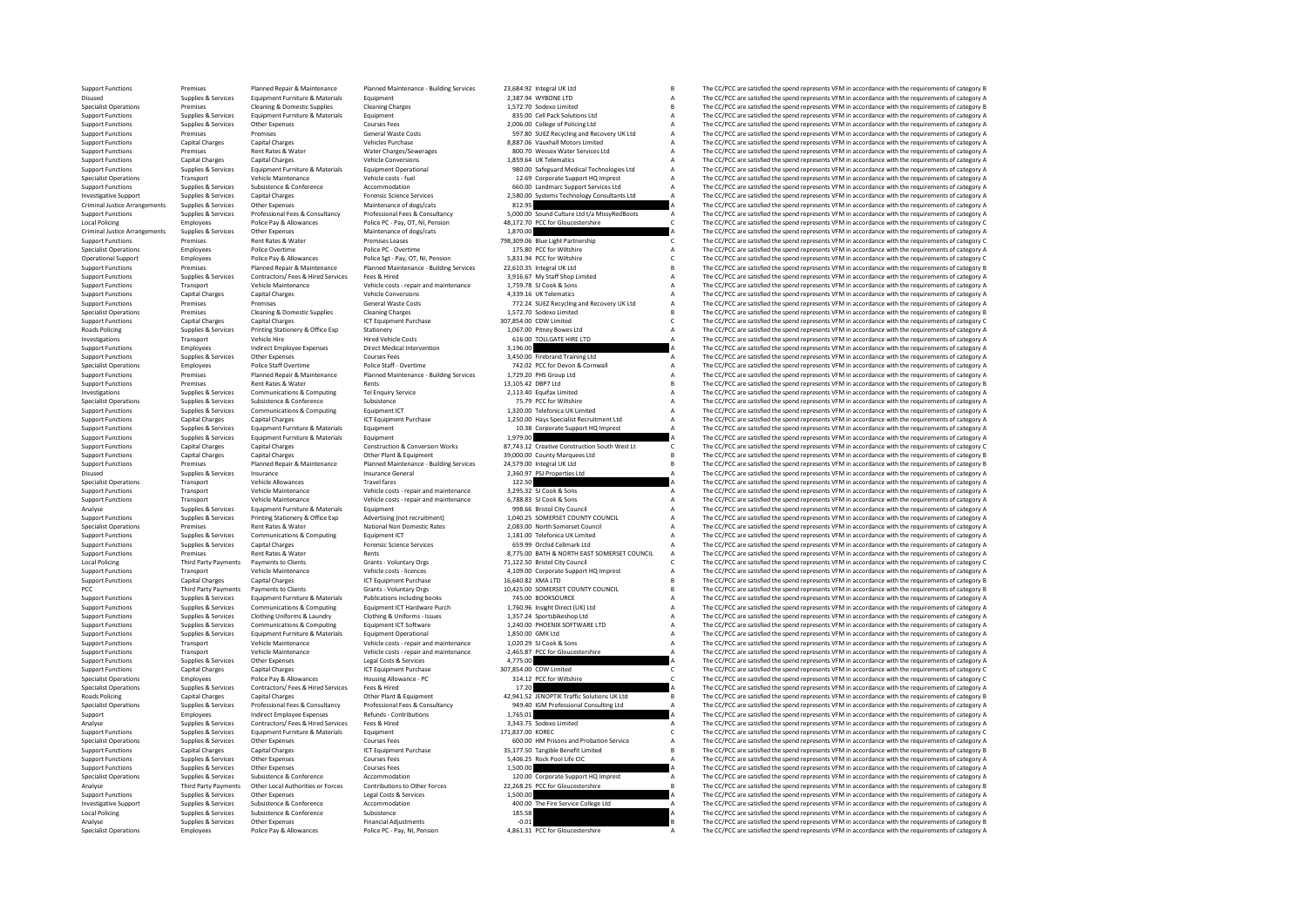Support Functions Premises Planned Repair & Maintenance Planned Maintenance - Building Services 23,684.92 Integral UK Ltd B The CC/PCC are satisfied the spend represents VFM in accordance with the requirements of category Disused Supplies & Services Equipment Furniture & Materials Equipment 2,387.94 WYBONE LTD A The CC/PCC are satisfied the spend represents VFM in accordance with the requirements of category Because Cleaning Applies Cleanin Specialist Operations Premises Cleaning Domestic Supplies Cleaning Charges Cleaning Charges 1,572.70 Sodexo Limited B The CC/PCC are satisfied the spend represents VFM in accordance with the requirements of category B The Support Functions Supplies Services Equipment Furniture & Materials Equipment Category and a Cell Pack Solution Cell Pack Solutions Ltd A The CC/PCC are satisfied the spend represents VFM in accordance with the requirement Support Functions Supplies & Services Other Expenses Courses Fees 2,006.00 College of Policing Ltd A The CC/PCC are satisfied the spend represents VFM in accordance with the requirements of category A Supplies & Services O Support Functions Premises Premises Premises Category (Support Costs Serveral Wast Costs Serveral Waster Costs<br>Support Functions Capital Charactery A The Support Consumeral Costs Support and A The CC/PCC are satisfied the Support Functions Capital Charges Capital Charges Vehicles Vehicles Purchase Vehicles Purchase 8,887.06 Vauxhall Motors Limited A The CC/PCC are satisfied the spend represents VFM in accordance with the requirements of cat Support Functions Premises Rent Rates & Water Water Charges/Sewerages 800.70 Wessex Water Services Ltd A The CC/PCC are satisfied the spend represents VFM in accordance with the requirements of category A Support Functions Support Functions Capital Charges Capital Charges Capital Charges Vehicle Conversions Vehicle Conversions 1,859.64 UK Telematics A The CC/PCC are satisfied the spend represents VFM in accordance with the requirements of ca Supplies & Services Equipment Furniture & Materials Equipment Operational 980.00 Safeguard Medical Technologies Ltd A The CC/PCC are satisfied the spend represents VFM in accordance with the requirements of category A Spec Specialist Operations Transport Vehicle Maintenance Vehicle costs - fuel 12.69 Corporate Support HQ Imprest A The CC/PCC are satisfied the spend represents VFM in accordance with the requirements of category Accommodation Support Functions Supplies & Services Subsistence & Conference Accommodation Accommodation 660.00 Landmarc Support Services Ltd A The CC/PCC are satisfied the spend represents VFM in accordance with the requirements of cat - Investigative Supplies Services Capital Charges Capital Charges and Charges and Charges and Charges and Charges and Charges and the enginements of the enginements of the enginements of the enginements of the enginements Criminal Justice Arrangements Supplies Services Other Expenses Maintenance of dogs/cats a Criminal Justice Arrangements of dogs/cats a Design in a the CC/PCC are satisfied the spend represents VFM in accordance with the re Support Supplies Services Professional Fers Professional Professional Professional EGS & Consultancy Professional Consultance of the COPC are attacked the space professional consultation and the COPC are interested in the Local Policing Employees Police Pay & Allowances Police Pay, OT, NI, Pension 48,172.70 PCC for Gloucestershire CM - Control Control Control are controlled the Spend represents VFM in accordance with the requirements of cat Criminal Justice Arrangements Supplies & Services Other Expenses Maintenance of dogs/cats Maintenance of dogs/cats 1,870.00 A The CC/PCC are satisfied the spend represents VFM in accordance with the requirements of categor Support Functions Premises Rent Rates & Water Premises Leases 798,309.06 Blue Light Partnership C The CC/PCC are satisfied the spend represents VFM in accordance with the requirements of category C Category C The CC/PCC ar Specialist Operations Specialist Operations Employees Police Police Police PC - Overtime Police PC - Overtime 175.80 PCC for Wiltshire A The CC/PCC are satisfied the spend represents VFM in accordance with the requirements Operational Support Employees Police Pay & Allowances Police Sgt - Pay, OT, NI, Pension 5,831.94 PCC for Wiltshire COMIssine C The CC/PCC are satisfied the spend represents VFM in accordance with the requirements of catego Support Functions Premises Planned Repair & Maintenance Planned Maintenance - Building Services 22,610.35 Integral UK Ltd B The CC/PCC are satisfied the spend represents VFM in accordance with the requirements of category Support Functions Supplies & Services Contractors/ Fees & Hired Services Fees & Hired Services Fees & Hired Services Fees A The CC/PCC are satisfied the spend represents VFM in accordance with the requirements of category Support Transport Vehicle Maintenance Vehicle costs - repair and maintenance 1,759.78 SJ Cook & Sons A The CC/PCC are satisfied the spend represents VFM in accordance with the requirements of category A The CC/PC are satis Support Functions Capital Charges Capital Charges Vehicle Conversions Conversions Conversions Conversions and accordance the CC/PCC are satisfied the spend represents VFM in accordance with the requirements of category A C Support Functions Premises Premises Premises Premises Cleaning Support Costs 772.24 Substract Conservations and Recovery UK Ltd A The CC/PCC are satisfied the spend represents VFM in accordance with the requirements of cat Specialist Operations Premises Cleaning & Domestic Supplies Cleaning Charges Cleaning Charges 1,572.70 Sodexo Limited B The CC/PCC are satisfied the spend represents VFM in accordance with the requirements of category B Ca Support Functions Capital Charges Capital Charges Capital Charges ICT Equipment Purchase 307,854.00 CDW Limited C The CC/PCC are satisfied the spend represents VFM in accordance with the requirements of category C Stategor Roads Pitney Bowes Ltd Supplies A The CC/PCC are satisfied the spend represents VFM in accordance with the requirements of category A The CC/PCC are satisfied the spend represents VFM in accordance with the requirements of Investigations Transport Vehicle Hire Hired Vehicle Hire Hired Vehicle Costs and the Costs of the Costs 616.00 TOLLGATE HIRE LTD A The CC/PCC are satisfied the spend represents VFM in accordance with the requirements of ca Support Functions Employees Indirect Employee Expenses Direct Medical Intervention 3,196.00 A The CC/PCC are satisfied the spend represents VFM in accordance with the requirements of category and the spend represents VFM i Support Functions Supplies & Services Other Expenses Courses Courses Fees 3,450.00 Firebrand Training Ltd A The CC/PCC are satisfied the spend represents VFM in accordance with the requirements of category A Courses Police Specialist Operations Employees Police Staff Overtime Police Staff - Overtime Police Staff - Overtime 742.02 PCC for Devon A The CC/PCC are satisfied the spend represents VFM in accordance with the requirements of category Support Functions Premises Planned Repair & Maintenance Planned Maintenance - Building Services 1,729.20 PHS Group Ltd A The CC/PCC are satisfied the spend represents VFM in accordance with the requirements of category A S Premises Rent Rates & Water Rents Rents Rents Rents 13,105.42 DBP7 Ltd B The CC/PCC are satisfied the spend represents VFM in accordance with the requirements of category B and the spendies of category B and the CC/PC are Investigations Supplies & Services Communications & Computing Tel Enquiry Service 2,113.40 Equifax Limited 2,113.40 Equifax Limited A The CC/PCC are satisfied the spend represents VFM in accordance with the requirements of Specialist Operations Subsistence Specialist Operations Subsistence Subsistence Subsistence 75.79 PCC for Wiltshire A The CC/PCC are satisfied the spend represents VFM in accordance with the requirements of category A The Support Functions Support Functions Support Functions Communications Computing Communications A Computing Computing Equipment ICT Equipment Purchase 1,250.00 Hays Specialist Recruitment Ltd A The CC/PCC are satisfied the s Support Functions Capital Charges Capital Charges Capital Charges ICT Equipment Purchase 1,250.00 Hays Specialist Recruitment Ltd A The CC/PCC are satisfied the spend represents VFM in accordance with the requirements of c Support Functions Supplies & Services Equipment Functions Equipment Equipment 10.38 Corporate Support HQ Imprest A The CC/PCC are satisfied the spend represents VFM in accordance with the requirements of category A Support Support Functions Supplies & Services Equipment Funiture & Materials Equipment Americans Equipment Contruction & Conversion Works and the State Construction South West Ltd. Chef CC/PCC are satisfied the spend represents VF Experiment on the Capital Charges Capital Charges Capital Charges Construction & Conversion Works 87,743.12 Creative Construction South West Lt C The CC/PCC are satisfied the spend represents VFM in accordance with the req Support Functions Capital Charges Capital Charges Capital Charges Other Plant & Equipment 39,000.00 County Marquees Ltd B The CC/PCC are satisfied the spend represents VFM in accordance with the requirements of category B Experience Planned Repair & Maintenance Planned Maintenance - Building Services 24,579.00 Integral UK Ltd B The CC/PCC are satisfied the spend represents VFM in accordance with the requirements of category B Support 2,360. Disued Supplies & Services Insurance Insurance Insurance Greatery A The CC/PCC are satisfied the spend represents VFM in accordance with the requirements of category A The CC/PC are satisfied the spend represents VFM in ac Specialist Operations Transport Vehicle Allowances Travel Travel fares are transport Travel in a The CC/PCC are satisfied the speed of the speed of category A The CC/PCC are satisfied the speed of category A The CC/PCC are The CC/PCC are satisfied the spend represents VEM in accordance with the requirements of category A Support Functions Transport Vehicle Maintenance Vehicle costs - repair and maintenance 6,788.83 SJ Cook & Sons A The CC/PCC are satisfied the spend represents VFM in accordance with the requirements of category A Analyse Supplies & Services Equipment Furniture & Materials Equipment Equipment Council Council Council City Council City Analyse The CC/PCC are satisfied the spend represents VFM in accordance with the requirements of cat Export Functions Supplies & Services Printing Stationery & Office Exp Advertising (not recruitment) 1,040.25 SOMERSET COUNTY COUNCIL A The CC/PCC are satisfied the spend represents VFM in accordance with the requirements o Specialist Operations Premises Rent Rates Rent Rates Rent Rates National Non Domestic Rates 2,083.00 North Somerset Council A The CC/PCC are satisfied the spend represents VFM in accordance with the requirements of categor Support Functions Supplies & Services Communications & Computing Equipment ICT Equipment CT 1,181.00 Telefonica UK Limited A The CC/PCC are satisfied the spend represents VFM in accordance with the requirements of category Support Functions Collections Control Cellmark Ltd A The CC/PCC are satisfied the spend represents VFM in accordance with the requirements of category A The Critical Cellmark Ltd A The CC/PCC are satisfied the spend repres Support Functions Premises Premises Rent Rates & Water Rents Rents Rents Rents Rents Rents Rents Rents Rents Rents Rents Rents Rents Rents Rents Rents Rents Rents Rents Rents Rents Rents 8,775.00 BATH & NORTH EAST SOMERSET Local Policing Third Payments District District Clients Council Clients Council Clients Council Clients Council Council Council Council Council Council Council Council Council Council Council Council Council Council Counci Support Functions Transport Vehicle Maintenance Vehicle costs - licences 4,109.00 Corporate Support HQ Imprest A The CC/PCC are satisfied the spend represents VFM in accordance with the requirements of category A Support F Support Functions Capital Charges Capital Charges Capital Charges Capital Charges ICT Equipment Charges 16,640.82 XMA LTD B The CC/PCC are satisfied the spend represents VFM in accordance with the requirements of category PCC Third Party Payments Payments to Clients Grants - Voluntary Orgs 10,425.00 SOMERSET COUNTY COUNCIL B The CC/PCC are satisfied the spend represents VFM in accordance with the requirements of category B<br>Support Functions Support Functions Supplies & Services Equipment Furniture & Materials Publications including books 745.00 BOOKSOURCE A The CC/PCC are satisfied the spend represents VFM in accordance with the requirements of category A Sup Supplies & Services Communications & Computing Equipment ICT Hardware Purch 1,760.96 Insight Direct (UK) Ltd = A The CC/PCC are satisfied the spend represents VFM in accordance with the requirements of category A Clothing Support Functions Supplies & Services Clothing Uniforms & Laundry Clothing & Uniforms - Issues 1,357.24 Sportsbikeshop Ltd A The CC/PCC are satisfied the spend represents VFM in accordance with the requirements of category Support Functions Supplies & Services Communications & Computing Equipment ICT Software 1,240.00 PHOENIX SOFTWARE LTD A The CC/PCC are satisfied the spend represents VFM in accordance with the requirements of category A Su Support Functions Supplies & Services Equipment Functions Equipment Operational 1,850.00 GMK Ltd A The CC/PCC are satisfied the spend represents VFM in accordance with the requirements of category A The CC/PCC are satisfie Support Functions Transport Vehicle Maintenance Vehicle costs - repair and maintenance 1,020.29 SJ Cook & Sons A The CC/PCC are satisfied the spend represents VFM in accordance with the requirements of category A The CC/PC Support Functions Transport Vehicle Maintenance Vehicle costs - repair and maintenance -2,465.87 PCC for Gloucestershire A The CC/PCC are satisfied the spend represents VFM in accordance with the requirements of category A Supplies & Services Other Expenses Legal Costs & Services 4,775.00 4,775.00 A The CC/PCC are satisfied the spend represents VFM in accordance with the requirements of category Canital Charges Category Canital Charges Categ Support Functions Capital Charges Capital Charges ICT Equipment Purchase 207,854.00 CDW Limited Charges ICT CODW Limited Computer Purchase 2007, CDW Limited The CC/PCC are satisfied the spend represents VFM in accordance w Specialist Operations Employees Police Pay & Allowances Housing Allowance - PC 314.12 PCC for Willshire C The CC/PCC are satisfied the spend represents VFM in accordance with the requirements of category C Specialist Opera Specialist Operations Specialist Operations Supplies Area at the Services Area of the Services Area at the Services Fees & Hired 17.20 A The CC/PCC are satisfied the spend represents VFM in accordance with the requirements Roads Policing Capital Charges Capital Charges Capital Charges Other Plant & Equipment 42,941.52 JENOPTIK Traffic Solutions UK Ltd B The CC/PCC are satisfied the spend represents VFM in accordance with the requirements of Specials Control of the Control of the Control of the Control of the Control of the Control of the Control of the Control of the Control of the Control of the Control of the Control of the Control of the Control of the Con Support Employees Indirect Employee Expenses Refunds - Contributions 1,765.01 CM CONTRIBUTION A The CC/PCC are satisfied the spend represents VFM in accordance with the requirements of category and the sequirements of cate Analyse Supplies Services Contractors/ Fees & Hired Services Fees & Hired Services Services Services Fees Alired 3,343.75 Sodexo Limited A The CC/PCC are satisfied the spend represents VFM in accordance with the requiremen Support Functions Supplies Services Equipment Furniture & Materials Equipment In a the CC/PC are satisfied the spend represent Corec Corec Corectes Corectes Corectes Equipment of a corectes and the spend represent Corectes Specialist Operations Supplies & Services Other Expenses Courses Fees Courses Fees 600.00 HM Prisons and Probation Service A The CC/PCC are satisfied the spend represents VFM in accordance with the requirements of category Support Functions Capital Charges Capital Charges Capital Charges ICT Equipment Purchase 35,177.50 Tangible Benefit Limited B The CC/PCC are satisfied the spend represents VFM in accordance with the requirements of categor Support Functions Supplies Services Other Functions Support Functions Support Functions Support Functions Support Functions Support Functions Support Functions of Category A The CC/PC in accordance with the requirements of Support Functions Support Functions A The CC/PCC are satisfied the spend represents VFM in accordance with the requirements of category A The CC/PCC are satisfied the spend represents VFM in accordance with the requirement Specialist Operations Supplies & Services Subistence & Conference Accommodation 120.00 Corporate Support HQ Imprest A The CC/PCC are satisfied the spend represents VFM in accordance with the requirements of category A Conf Analyse Third Party Payments Other Local Authorities of Great controllations and the controllations of the Controllation of the Controllation of the Controllation of the Controllation of the Controllation of the Controllat Supplies & Services Other Expenses Legal Costs & Services 1,500.00 A The CC/PCC are satisfied the spend represents VFM in accordance with the requirements of category A Costs and Costs & Services 1,500.00 A The Fire Servic Investigative Support Supplies & Services Subsistence Accommodation Accommodation 400.00 The Fire Service College Ltd A The CC/PCC are satisfied the spend represents VFM in accordance with the requirements of category A Co Local Policing Supplies & Services Subsistence Subsistence Subsistence Subsistence Subsistence Subsistence Subsistence and the spend represents are and the CC/PCC are satisfied the spend represents VFM in accordance with t Analyse Supplies & Services Other Expenses Financial Adjustments -0.01 B The CC/PCC are satisfied the spend represents VFM in accordance with the requirements of category B Supplies & Services Other Expenses Financial Adju Employees Police Pay & Allowances Police PC - Pay, NI, Pension 4,861.31 PCC for Gloucestershire A The CC/PCC are satisfied the spend represents VFM in accordance with the requirements of category A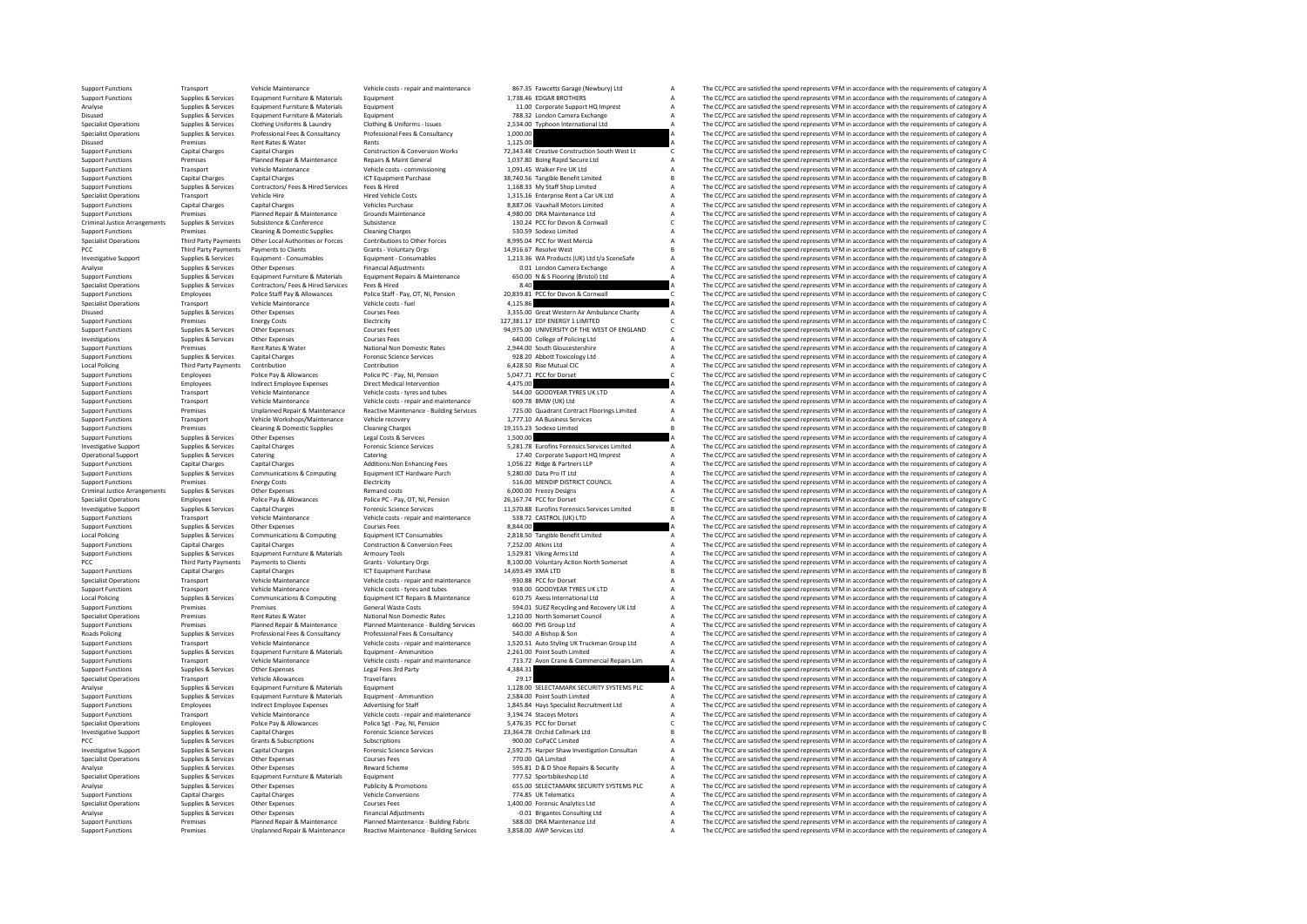| <b>Support Functions</b>                                 | Transport                          | Vehicle Maintenance                          | Vehicle costs - repair and maintenance                            | 867.35 Fawcetts Garage (Newbury) Ltd                                         |              | The CC/PCC are satisfied the spend represents VFM in accordance with the requirements of category A                                                                                                        |
|----------------------------------------------------------|------------------------------------|----------------------------------------------|-------------------------------------------------------------------|------------------------------------------------------------------------------|--------------|------------------------------------------------------------------------------------------------------------------------------------------------------------------------------------------------------------|
| <b>Support Functions</b>                                 | Supplies & Services                | Equipment Furniture & Materials              | Equipment                                                         | 1,738.46 EDGAR BROTHERS                                                      |              | The CC/PCC are satisfied the spend represents VFM in accordance with the requirements of category A                                                                                                        |
| Analyse                                                  | Supplies & Services                | Equipment Furniture & Materials              | Equipment                                                         | 11.00 Corporate Support HQ Imprest                                           |              | The CC/PCC are satisfied the spend represents VFM in accordance with the requirements of category A                                                                                                        |
| Disused                                                  | Supplies & Services                | Equipment Furniture & Materials              | Equipment                                                         | 788.32 London Camera Exchange                                                | A            | The CC/PCC are satisfied the spend represents VFM in accordance with the requirements of category A                                                                                                        |
| <b>Specialist Operations</b>                             | Supplies & Services                | Clothing Uniforms & Laundry                  | Clothing & Uniforms - Issues                                      | 2,534.00 Typhoon International Ltd                                           |              | The CC/PCC are satisfied the spend represents VFM in accordance with the requirements of category A                                                                                                        |
| <b>Specialist Operations</b>                             | Supplies & Services                | Professional Fees & Consultancy              | Professional Fees & Consultancy                                   | 1.000.00                                                                     |              | The CC/PCC are satisfied the spend represents VFM in accordance with the requirements of category A                                                                                                        |
| Disused<br><b>Support Functions</b>                      | Premises<br><b>Capital Charges</b> | Rent Rates & Water<br><b>Capital Charges</b> | Rents<br><b>Construction &amp; Conversion Works</b>               | 1,125.00<br>72.343.48 Creative Construction South West Lt                    |              | The CC/PCC are satisfied the spend represents VFM in accordance with the requirements of category A<br>The CC/PCC are satisfied the spend represents VFM in accordance with the requirements of category C |
| <b>Support Functions</b>                                 | Premises                           | Planned Repair & Maintenance                 | Repairs & Maint General                                           | 1,037.80 Boing Rapid Secure Ltd                                              |              | The CC/PCC are satisfied the spend represents VFM in accordance with the requirements of category A                                                                                                        |
| <b>Support Functions</b>                                 | Transport                          | Vehicle Maintenance                          | Vehicle costs - commissioning                                     | 1.091.45 Walker Fire UK I td                                                 |              | The CC/PCC are satisfied the spend represents VFM in accordance with the requirements of category A                                                                                                        |
| <b>Support Functions</b>                                 | <b>Capital Charges</b>             | Capital Charges                              | <b>ICT Equipment Purchase</b>                                     | 38,740.56 Tangible Benefit Limited                                           |              | The CC/PCC are satisfied the spend represents VFM in accordance with the requirements of category B                                                                                                        |
|                                                          | Supplies & Services                | Contractors/ Fees & Hired Services           | Fees & Hired                                                      | 1,168.33 My Staff Shop Limited                                               |              |                                                                                                                                                                                                            |
| <b>Support Functions</b><br><b>Specialist Operations</b> | Transport                          | Vehicle Hire                                 | <b>Hired Vehicle Costs</b>                                        | 1,315.16 Enterprise Rent a Car UK Ltd                                        |              | The CC/PCC are satisfied the spend represents VFM in accordance with the requirements of category A<br>The CC/PCC are satisfied the spend represents VFM in accordance with the requirements of category A |
| <b>Support Functions</b>                                 | <b>Capital Charges</b>             | <b>Capital Charges</b>                       | <b>Vehicles Purchase</b>                                          | 8.887.06 Vauxhall Motors Limited                                             |              | The CC/PCC are satisfied the spend represents VFM in accordance with the requirements of category A                                                                                                        |
| <b>Support Functions</b>                                 | Premises                           | Planned Repair & Maintenance                 | Grounds Maintenance                                               | 4,980.00 DRA Maintenance Ltd                                                 |              | The CC/PCC are satisfied the spend represents VFM in accordance with the requirements of category A                                                                                                        |
| Criminal Justice Arrangements                            | Supplies & Services                | Subsistence & Conference                     | Subsistence                                                       | 130.24 PCC for Devon & Cornwall                                              | $\epsilon$   | The CC/PCC are satisfied the spend represents VFM in accordance with the requirements of category C                                                                                                        |
| <b>Support Functions</b>                                 | Premises                           | Cleaning & Domestic Supplies                 | <b>Cleaning Charges</b>                                           | 530.59 Sodexo Limited                                                        | $\mathbf{A}$ | The CC/PCC are satisfied the spend represents VFM in accordance with the requirements of category A                                                                                                        |
| <b>Specialist Operations</b>                             | Third Party Payments               | Other Local Authorities or Forces            | Contributions to Other Forces                                     | 8.995.04 PCC for West Mercia                                                 |              | The CC/PCC are satisfied the spend represents VFM in accordance with the requirements of category A                                                                                                        |
| PCC                                                      | <b>Third Party Payments</b>        | <b>Payments to Clients</b>                   | <b>Grants - Voluntary Orgs</b>                                    | 14.916.67 Resolve West                                                       |              | The CC/PCC are satisfied the spend represents VFM in accordance with the requirements of category B                                                                                                        |
| <b>Investigative Support</b>                             | Supplies & Services                | Equipment - Consumables                      | Equipment - Consumables                                           | 1,213.36 WA Products (UK) Ltd t/a SceneSafe                                  |              | The CC/PCC are satisfied the spend represents VFM in accordance with the requirements of category A                                                                                                        |
| Analyse                                                  | Supplies & Services                | Other Expenses                               | <b>Financial Adiustments</b>                                      | 0.01 London Camera Exchange                                                  |              | The CC/PCC are satisfied the spend represents VFM in accordance with the requirements of category A                                                                                                        |
| <b>Support Functions</b>                                 | Supplies & Services                | Equipment Furniture & Materials              | Equipment Repairs & Maintenance                                   | 650.00 N & S Flooring (Bristol) Ltd                                          |              | The CC/PCC are satisfied the spend represents VFM in accordance with the requirements of category A                                                                                                        |
| <b>Specialist Operations</b>                             | Supplies & Services                | Contractors/ Fees & Hired Services           | Fees & Hired                                                      | 8.40                                                                         |              | The CC/PCC are satisfied the spend represents VFM in accordance with the requirements of category A                                                                                                        |
| <b>Support Functions</b>                                 | Employees                          | Police Staff Pay & Allowances                | Police Staff - Pay, OT, NI, Pension                               | 20,839.81 PCC for Devon & Cornwall                                           |              | The CC/PCC are satisfied the spend represents VFM in accordance with the requirements of category C                                                                                                        |
| <b>Specialist Operations</b>                             | Transport                          | Vehicle Maintenance                          | Vehicle costs - fuel                                              | 4.125.86                                                                     |              | The CC/PCC are satisfied the spend represents VFM in accordance with the requirements of category A                                                                                                        |
| Disused                                                  | Supplies & Services                | Other Expenses                               | <b>Courses Fees</b>                                               | 3,355.00 Great Western Air Ambulance Charity                                 |              | The CC/PCC are satisfied the spend represents VFM in accordance with the requirements of category A                                                                                                        |
| <b>Support Functions</b>                                 | Premises                           | <b>Energy Costs</b>                          | Electricity                                                       | 127.381.17 EDF ENERGY 1 LIMITED                                              |              | The CC/PCC are satisfied the spend represents VFM in accordance with the requirements of category C                                                                                                        |
| <b>Support Functions</b>                                 | Supplies & Services                | Other Expenses                               | <b>Courses Fees</b>                                               | 94,975.00 UNIVERSITY OF THE WEST OF ENGLAND                                  | C.           | The CC/PCC are satisfied the spend represents VFM in accordance with the requirements of category C                                                                                                        |
| Investigations                                           | Supplies & Services                | Other Expenses                               | <b>Courses Fees</b>                                               | 640.00 College of Policing Ltd                                               |              | The CC/PCC are satisfied the spend represents VFM in accordance with the requirements of category A                                                                                                        |
| <b>Support Functions</b>                                 | Premises                           | Rent Rates & Water                           | National Non Domestic Rates                                       | 2,944.00 South Gloucestershire                                               |              | The CC/PCC are satisfied the spend represents VFM in accordance with the requirements of category A                                                                                                        |
| <b>Support Functions</b>                                 | Supplies & Services                | <b>Capital Charges</b>                       | <b>Forensic Science Services</b>                                  | 928.20 Abbott Toxicology Ltd                                                 |              | The CC/PCC are satisfied the spend represents VFM in accordance with the requirements of category A                                                                                                        |
| Local Policing                                           | <b>Third Party Payments</b>        | Contribution                                 | Contribution                                                      | 6.428.50 Rise Mutual CIC                                                     |              | The CC/PCC are satisfied the spend represents VFM in accordance with the requirements of category A                                                                                                        |
| <b>Support Functions</b>                                 | Employees                          | Police Pay & Allowances                      | Police PC - Pay, NI, Pension                                      | 5,047.71 PCC for Dorset                                                      |              | The CC/PCC are satisfied the spend represents VFM in accordance with the requirements of category C                                                                                                        |
| <b>Support Functions</b>                                 | Employees                          | Indirect Employee Expenses                   | <b>Direct Medical Intervention</b>                                | 4.475.00                                                                     |              | The CC/PCC are satisfied the spend represents VFM in accordance with the requirements of category A                                                                                                        |
| <b>Support Functions</b>                                 | Transport                          | Vehicle Maintenance                          | Vehicle costs - tyres and tubes                                   | 544.00 GOODYEAR TYRES UK LTD                                                 |              | The CC/PCC are satisfied the spend represents VFM in accordance with the requirements of category A                                                                                                        |
| <b>Support Functions</b>                                 | Transport                          | Vehicle Maintenance                          | Vehicle costs - repair and maintenance                            | 609.78 BMW (UK) Ltd                                                          |              | The CC/PCC are satisfied the spend represents VFM in accordance with the requirements of category A                                                                                                        |
| <b>Support Functions</b>                                 | Premises                           | Unplanned Repair & Maintenance               | Reactive Maintenance - Building Services                          | 725.00 Quadrant Contract Floorings Limited                                   |              | The CC/PCC are satisfied the spend represents VFM in accordance with the requirements of category A                                                                                                        |
| <b>Support Functions</b>                                 | Transport                          | Vehicle Workshops/Maintenance                | Vehicle recovery                                                  | 1.777.10 AA Business Services                                                |              | The CC/PCC are satisfied the spend represents VFM in accordance with the requirements of category A                                                                                                        |
| <b>Support Functions</b>                                 | Premises                           | <b>Cleaning &amp; Domestic Supplies</b>      | <b>Cleaning Charges</b>                                           | 19,155.23 Sodexo Limited                                                     |              | The CC/PCC are satisfied the spend represents VFM in accordance with the requirements of category B                                                                                                        |
| <b>Support Functions</b>                                 | Supplies & Services                | Other Expenses                               | Legal Costs & Services                                            | 1,500.00                                                                     |              | The CC/PCC are satisfied the spend represents VFM in accordance with the requirements of category A                                                                                                        |
| <b>Investigative Support</b>                             | Supplies & Services                | <b>Capital Charges</b>                       | <b>Forensic Science Services</b>                                  | 5,281.78 Eurofins Forensics Services Limited                                 |              | The CC/PCC are satisfied the spend represents VFM in accordance with the requirements of category A                                                                                                        |
| Operational Support                                      | Supplies & Services                | Catering                                     | Catering                                                          | 17.40 Corporate Support HQ Imprest                                           |              | The CC/PCC are satisfied the spend represents VFM in accordance with the requirements of category A                                                                                                        |
| <b>Support Functions</b>                                 | <b>Capital Charges</b>             | Capital Charges                              | Additions: Non Enhancing Fees                                     | 1,056.22 Ridge & Partners LLP                                                |              | The CC/PCC are satisfied the spend represents VFM in accordance with the requirements of category A                                                                                                        |
| <b>Support Functions</b>                                 | Supplies & Services                | Communications & Computing                   | Equipment ICT Hardware Purch                                      | 5,280.00 Data Pro IT Ltd                                                     |              | The CC/PCC are satisfied the spend represents VFM in accordance with the requirements of category A                                                                                                        |
| <b>Support Functions</b>                                 | Premises                           | <b>Energy Costs</b>                          | Electricity                                                       | 516.00 MENDIP DISTRICT COUNCIL                                               |              | The CC/PCC are satisfied the spend represents VFM in accordance with the requirements of category A                                                                                                        |
| Criminal Justice Arrangements                            | Supplies & Services                | Other Expenses                               | Remand costs                                                      | 6,000.00 Frenzy Designs                                                      |              | The CC/PCC are satisfied the spend represents VFM in accordance with the requirements of category A                                                                                                        |
| <b>Specialist Operations</b>                             | Employees                          | Police Pay & Allowances                      | Police PC - Pay, OT, NI, Pension                                  | 26.167.74 PCC for Dorset                                                     | $\epsilon$   | The CC/PCC are satisfied the spend represents VFM in accordance with the requirements of category C                                                                                                        |
| <b>Investigative Support</b>                             | Supplies & Services                | <b>Capital Charges</b>                       | <b>Forensic Science Services</b>                                  | 11,570.88 Eurofins Forensics Services Limited                                |              | The CC/PCC are satisfied the spend represents VFM in accordance with the requirements of category B                                                                                                        |
| <b>Support Functions</b>                                 | Transport                          | Vehicle Maintenance                          | Vehicle costs - repair and maintenance                            | 538.72 CASTROL (UK) LTD                                                      |              | The CC/PCC are satisfied the spend represents VFM in accordance with the requirements of category A                                                                                                        |
| <b>Support Functions</b>                                 | Supplies & Services                | Other Expenses                               | <b>Courses Fees</b>                                               | 8,844.00                                                                     |              | The CC/PCC are satisfied the spend represents VFM in accordance with the requirements of category A                                                                                                        |
| <b>Local Policing</b>                                    | Supplies & Services                | Communications & Computing                   | <b>Equipment ICT Consumables</b>                                  | 2,818.50 Tangible Benefit Limited                                            |              | The CC/PCC are satisfied the spend represents VFM in accordance with the requirements of category A                                                                                                        |
| <b>Support Functions</b>                                 | <b>Capital Charges</b>             | <b>Capital Charges</b>                       | Construction & Conversion Fees                                    | 7,252.00 Atkins Ltd                                                          |              | The CC/PCC are satisfied the spend represents VFM in accordance with the requirements of category A                                                                                                        |
| <b>Support Functions</b>                                 | Supplies & Services                | Equipment Furniture & Materials              | Armoury Tools                                                     | 1.529.81 Viking Arms Ltd                                                     |              | The CC/PCC are satisfied the spend represents VFM in accordance with the requirements of category A                                                                                                        |
| PCC                                                      | Third Party Payments               | Payments to Clients                          | Grants - Voluntary Orgs                                           | 8,100.00 Voluntary Action North Somerset                                     |              | The CC/PCC are satisfied the spend represents VFM in accordance with the requirements of category A                                                                                                        |
| <b>Support Functions</b>                                 | <b>Capital Charges</b>             | <b>Capital Charges</b>                       | ICT Equipment Purchase                                            | 14.693.49 XMA LTD                                                            |              | The CC/PCC are satisfied the spend represents VFM in accordance with the requirements of category B                                                                                                        |
| <b>Specialist Operations</b>                             | Transport                          | Vehicle Maintenance                          | Vehicle costs - repair and maintenance                            | 930.88 PCC for Dorset                                                        |              | The CC/PCC are satisfied the spend represents VFM in accordance with the requirements of category A                                                                                                        |
| <b>Support Functions</b>                                 | Transport                          | Vehicle Maintenance                          | Vehicle costs - tyres and tubes                                   | 938.00 GOODYEAR TYRES UK LTD                                                 |              | The CC/PCC are satisfied the spend represents VFM in accordance with the requirements of category A                                                                                                        |
| Local Policing                                           | Supplies & Services<br>Premises    | Communications & Computing<br>Premises       | Equipment ICT Repairs & Maintenance<br><b>General Waste Costs</b> | 610.75 Axess International Ltd                                               |              | The CC/PCC are satisfied the spend represents VFM in accordance with the requirements of category A                                                                                                        |
| <b>Support Functions</b><br><b>Specialist Operations</b> | Premises                           | Rent Rates & Water                           | National Non Domestic Rates                                       | 594.01 SUEZ Recycling and Recovery UK Ltd<br>1,210.00 North Somerset Council |              | The CC/PCC are satisfied the spend represents VFM in accordance with the requirements of category A<br>The CC/PCC are satisfied the spend represents VFM in accordance with the requirements of category A |
| <b>Support Functions</b>                                 | Premises                           | Planned Repair & Maintenance                 | Planned Maintenance - Building Services                           | 660.00 PHS Group Ltd                                                         |              | The CC/PCC are satisfied the spend represents VFM in accordance with the requirements of category A                                                                                                        |
| Roads Policing                                           | Supplies & Services                | Professional Fees & Consultancy              | Professional Fees & Consultancy                                   | 540.00 A Bishop & Son                                                        |              | The CC/PCC are satisfied the spend represents VFM in accordance with the requirements of category A                                                                                                        |
| <b>Support Functions</b>                                 | Transport                          | Vehicle Maintenance                          | Vehicle costs - repair and maintenance                            | 1,520.51 Auto Styling UK Truckman Group Ltd                                  |              | The CC/PCC are satisfied the spend represents VFM in accordance with the requirements of category A                                                                                                        |
| <b>Support Functions</b>                                 | Supplies & Services                | Equipment Furniture & Materials              | Faujoment - Ammunition                                            | 2.261.00 Point South Limited                                                 |              | The CC/PCC are satisfied the spend represents VFM in accordance with the requirements of category A                                                                                                        |
| <b>Support Functions</b>                                 | Transport                          | Vehicle Maintenance                          | Vehicle costs - repair and maintenance                            | 713.72 Avon Crane & Commercial Repairs Lim                                   |              | The CC/PCC are satisfied the spend represents VFM in accordance with the requirements of category A                                                                                                        |
| <b>Support Functions</b>                                 | Supplies & Services                | Other Expenses                               | Legal Fees 3rd Party                                              | 4.384.31                                                                     |              | The CC/PCC are satisfied the spend represents VFM in accordance with the requirements of category A                                                                                                        |
| <b>Specialist Operations</b>                             | Transport                          | <b>Vehicle Allowances</b>                    | <b>Travel fares</b>                                               | 29.17                                                                        |              | The CC/PCC are satisfied the spend represents VFM in accordance with the requirements of category A                                                                                                        |
| Analyse                                                  | Supplies & Services                | Equipment Furniture & Materials              | Equipment                                                         | 1,128.00 SELECTAMARK SECURITY SYSTEMS PLC                                    |              | The CC/PCC are satisfied the spend represents VFM in accordance with the requirements of category A                                                                                                        |
| <b>Support Functions</b>                                 | Supplies & Services                | Equipment Furniture & Materials              | Equipment - Ammunition                                            | 2,584.00 Point South Limited                                                 |              | The CC/PCC are satisfied the spend represents VFM in accordance with the requirements of category A                                                                                                        |
| <b>Support Functions</b>                                 | Employees                          | <b>Indirect Employee Expenses</b>            | Advertising for Staff                                             | 1,845.84 Hays Specialist Recruitment Ltd                                     |              | The CC/PCC are satisfied the spend represents VFM in accordance with the requirements of category A                                                                                                        |
| <b>Support Functions</b>                                 | Transport                          | Vehicle Maintenance                          | Vehicle costs - repair and maintenance                            | 3,194.74 Staceys Motors                                                      |              | The CC/PCC are satisfied the spend represents VFM in accordance with the requirements of category A                                                                                                        |
| <b>Specialist Operations</b>                             | Employees                          | Police Pay & Allowances                      | Police Sgt - Pay, NI, Pension                                     | 5.476.35 PCC for Dorset                                                      |              | The CC/PCC are satisfied the spend represents VFM in accordance with the requirements of category C                                                                                                        |
| <b>Investigative Support</b>                             | Supplies & Services                | <b>Capital Charges</b>                       | <b>Forensic Science Services</b>                                  | 23.364.78 Orchid Cellmark Ltd                                                |              | The CC/PCC are satisfied the spend represents VFM in accordance with the requirements of category B                                                                                                        |
| PCC                                                      | Supplies & Services                | Grants & Subscriptions                       | Subscriptions                                                     | 900.00 CoPaCC Limited                                                        |              | The CC/PCC are satisfied the spend represents VFM in accordance with the requirements of category A                                                                                                        |
| <b>Investigative Support</b>                             | Supplies & Services                | <b>Capital Charges</b>                       | <b>Forensic Science Services</b>                                  | 2,592.75 Harper Shaw Investigation Consultan                                 |              | The CC/PCC are satisfied the spend represents VFM in accordance with the requirements of category A                                                                                                        |
| <b>Specialist Operations</b>                             | Supplies & Services                | Other Expenses                               | Courses Fees                                                      | 770.00 QA Limited                                                            |              | The CC/PCC are satisfied the spend represents VFM in accordance with the requirements of category A                                                                                                        |
| Analyse                                                  | Supplies & Services                | Other Expenses                               | <b>Reward Scheme</b>                                              | 595.81 D & D Shoe Repairs & Security                                         |              | The CC/PCC are satisfied the spend represents VFM in accordance with the requirements of category A                                                                                                        |
| <b>Specialist Operations</b>                             | Supplies & Services                | Equipment Furniture & Materials              | Equipment                                                         | 777.52 Sportsbikeshop Ltd                                                    |              | The CC/PCC are satisfied the spend represents VFM in accordance with the requirements of category A                                                                                                        |
| Analyse                                                  | Supplies & Services                | Other Expenses                               | <b>Publicity &amp; Promotions</b>                                 | 655.00 SELECTAMARK SECURITY SYSTEMS PLC                                      |              | The CC/PCC are satisfied the spend represents VFM in accordance with the requirements of category A                                                                                                        |
| <b>Support Functions</b>                                 | <b>Capital Charges</b>             | <b>Capital Charges</b>                       | <b>Vehicle Conversions</b>                                        | 774.85 UK Telematics                                                         |              | The CC/PCC are satisfied the spend represents VFM in accordance with the requirements of category A                                                                                                        |
| <b>Specialist Operations</b>                             | Supplies & Services                | Other Expenses                               | <b>Courses Fees</b>                                               | 1.400.00 Forensic Analytics Ltd                                              |              | The CC/PCC are satisfied the spend represents VFM in accordance with the requirements of category A                                                                                                        |
| Analyse                                                  | Supplies & Services                | Other Expenses                               | <b>Financial Adiustments</b>                                      | -0.01 Brigantes Consulting Ltd                                               |              | The CC/PCC are satisfied the spend represents VFM in accordance with the requirements of category A                                                                                                        |
| <b>Support Functions</b>                                 | Premises                           | Planned Repair & Maintenance                 | Planned Maintenance - Building Fabric                             | 588.00 DRA Maintenance Ltd                                                   |              | The CC/PCC are satisfied the spend represents VFM in accordance with the requirements of category A                                                                                                        |
| <b>Support Functions</b>                                 | Premises                           | Unplanned Repair & Maintenance               | Reactive Maintenance - Building Services                          | 3.858.00 AWP Services Ltd                                                    |              | The CC/PCC are satisfied the spend represents VFM in accordance with the requirements of category A                                                                                                        |
|                                                          |                                    |                                              |                                                                   |                                                                              |              |                                                                                                                                                                                                            |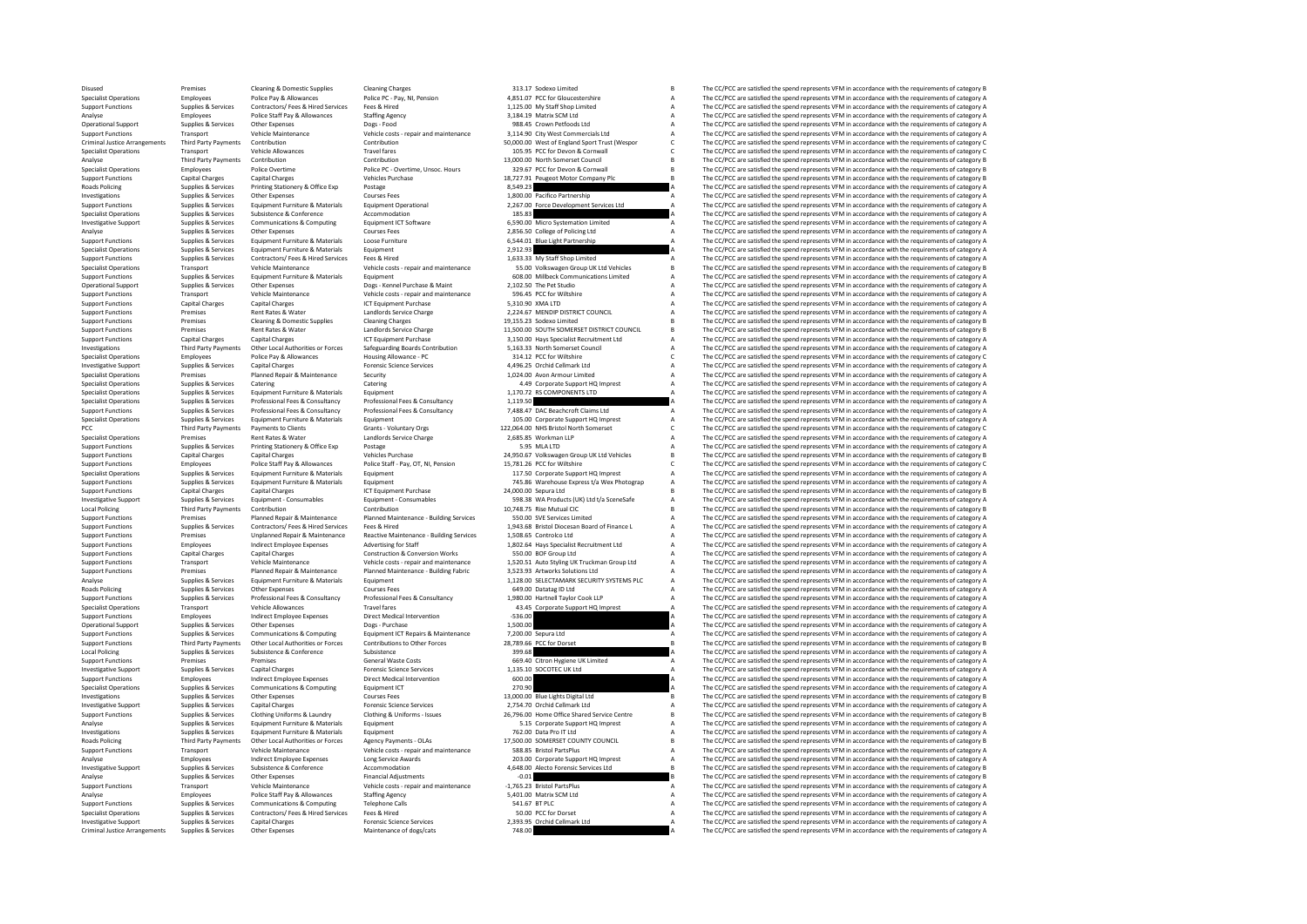Oisused Premises Cleaning & Domestic Supplies Cleaning Charges Cleaning Charges 2011/2 Cleaning Charges 313.17 Sodexo Limited B The CC/PCC are satisfied the spend represents VFM in accordance with the requirements of cate Specialist Operations Employees Police Pay & Allowances Police Pc - Pay, NI, Pension 4,851.07 PCC for Gloucestershire A The CC/PCC are satisfied the spend represents VFM in accordance with the requirements of category A Th Support Functions Supplies Services Contractors/ Fees Hired Services Fees Athletics/ The Services Contractors/ The Services Fees A The CC/PCC are satisfied the spend represents VFM in accordance with the requirements of ca Analyse Police Staff Pay Allowances Staffing Agency 3,184.19 Matrix SCM Ltd A The CC/PCC are satisfied the spend represents VFM in accordance with the requirements of category Analyses Police Staff Pay Allowances Scategory Operational Support Supplies & Services Other Expenses Dogs - Food 988.45 Crown Petfoods Ltd A The CC/PCC are satisfied the spend represents VFM in accordance with the requirements of category A Support Supplies & Services Support Functions Transport Vehicle Maintenance Vehicle costs - repair and maintenance vehicle of the Support Commercials Ltd A The CC/PCC are satisfied the spend represents VFM in accordance with the requirements of categ Criminal Justice Arrangements Third Party Payments Contribution Contribution Contribution Contribution Contribution Contribution Sponsor Superinal Sponsor C The CC/PCC are satisfied the spend represents VFM in accordance w Specialist Operations Transport Vehicle Allowances Travel fares Travel fares 105.95 PCC for Devon & Cornwall C The CC/PCC are satisfied the spend represents VFM in accordance with the requirements of category C The PC/PC a Analyse Third Party Payments Contribution Contribution Contribution Contribution Contribution Contribution Contribution 13,000.00 North Somerset Council Council B The CC/PCC are satisfied the spend represents VFM in accord Specialist Operations Employees Police Dvertime Police PC - Overtime, Unsoc. Hours 329.67 PCC for Devon & Cornwall B The CC/PCC are satisfied the spend represents VFM in accordance with the requirements of category B Vehic Support Functions Capital Charges Capital Charges Capital Charges Vehicles Purchase 18,727.91 Peugeot Motor Company Plc B The CC/PCC are satisfied the spend represents VFM in accordance with the requirements of category B<br> Roads Policing Supplies & Services Printing Stationery & Office Exp Postage 8,549.23 a Stationer and Stationery A The CC/PCC are satisfied the spend represents VFM in accordance with the requirements of category A The CC/P Investigations Supplies Services Other Expenses Courses Fees 1,800.00 Pacifico Partnership A The CC/PCC are associated the spend represents VFM in accordance with the requirements of category A The CC/PCC are associated th Support Franchise Supplies Services Equipment European Control and the Control of the Control of the Control of the Control of the Control of the Control of the Control of the Control of the Control of the Control of the C Specialist Operations Subsistence Services Subsistence Accommodation accommodation 185.83 A The CC/PCC are satisfied the spend represents VFM in accordance with the requirements of category A The CC/PCC are satisfied the s Supplies a computations & Computing the Conduction of the Conduction of the Conduction of the Conduction of the Conduction of the Conduction of the Conduction of the Conduction of the Conduction of the Conduction of the Co Analyse Supplies & Services Other Expenses Courses Courses Courses Courses Courses Courses Courses Fees 2,856.50 College of Policing Ltd A The CC/PCC are satisfied the spend represents VFM in accordance with the requiremen Support Functions Supplies & Services Equipment Furniture & Materials Loose Furniture **6,544.01 Blue Light Partnership A** The CC/PCC are satisfied the spend represents VFM in accordance with the requirements of category A -<br>Specialist Operations Supplies & Services Equipment Furniture & Materials Equipment Equipment 2,912.93 A The CC/PCC are satisfied the spend represents VFM in accordance with the requirements of category A Depoch in accor Support Functions Supplies & Services Contractors/ Fees & Hired Fees & Hired 1,633.33 My Staff Shop Limited A The CC/PCC are satisfied the spend represents VFM in accordance with the requirements of category A The CC/PC ar Specialist Operations Transport Wehicle Maintenance Vehicle costs - repair and maintenance 55.00 Volkswagen Group UK Ltd Vehicles B The CC/PCC are satisfied the spend represents VFM in accordance with the requirements of c Support Functions Supplies Services Equipment Furniture & Materials Equipment Functions Limited Communications Limited Communications Limited a The CC/PCC are satisfied the spend represents VFM in accordance with the requi Operational Support Support Support Support Support Support Support Support Support Support Support Support Support Support Support Support Support Support Support Support Support Support Support Support Support Support Su Support Functions Transport Vehicle Costs - Vehicle costs - repair and maintenance Spend and maintenance and a The CC/PCC are satisfied the spend represents VFM in accordance with the requirements of category A The CC/PCC Support Functions Capital Charges Capital Charges Capital Charges Capital Charges Capital Charges Capital Charges Capital Charges A The CC/PCC are satisfied the spend represents VFM in accordance with the requirements of c Support Functions Premises Rent Rates & Water Landlords Service Charge 2,224.67 MENDIP DISTRICT COUNCIL A The CC/PCC are satisfied the spend represents VFM in accordance with the requirements of category B Support Function Support Functions Premises Cleaning & Domestic Supplies Cleaning Charges 19,155.23 Sodexo Limited 2011 and the CC/PCC are satisfied the spend represents VFM in accordance with the requirements of category B Support Functio SUPPORT FUNCTIONS PREMIST FUNCTIONS ART THE CHARGE ART THE CONTINUES ARE SERVICE AT THE SOLUTH SOMETHERS OF CA<br>The CC/PCC are satisfied the spend represents VFM in accordance with the requirements of category B The CATEGOR Support Functions Capital Charges Capital Charges Capital Charges ICT Equipment Purchase 3,150.00 Hays Specialist Recruitment Ltd A The CC/PCC are satisfied the spend represents VFM in accordance with the requirements of c Investigations Third Party Payments Other Local Authorities or Forces Safeguarding Boards Contribution 5,163.33 North Somerset Council A The CC/PCC are satisfied the spend represents VFM in accordance with the requirements of category A Specialist Operations Employees Police Pay & Allowances Housing Allowance - PC 314.12 PCC for Willshire - C The CC/PCC are satisfied the spend represents VFM in accordance with the requirements of category C and Category C Investigative Supplies Services Capital Charges Capital Charges Capital Charges Capital Charges Capital Cellmark Ltd A The CC/PCC are satisfied the spend represents VFM in accordance with the requirements of category A The Specialist Operations Premises Planned Repair & Maintenance Security 1,024.00 Avon Armour Limited A The CC/PCC are satisfied the spend represents VFM in accordance with the requirements of category A Specialist Operations Specialist Operations Supplies & Services Catering Catering Catering Catering Catering Catering Catering and the Catering and the CC/PCC are satisfied the spend represents VFM in accordance with the requirements of categor Specialist Operations Supplies Services Equipment Furniture & Materials Equipment Furniture American Equipment 1,170.72 RS COMPONENTS LTD A The CC/PCC are satisfied the spend represents VFM in accordance with the requireme Specialist Operations Supplies Services Professional Fees & Consultancy Professional Fees & Consultancy Professional Fees & Consultancy Professional Fees & Consultancy 2, 119.50 A The CC/PCC are satisfied the spend represe Professional Fees & Consultancy Professional Fees & Consultancy 7,488.47 DAC Beachcroft Claims Ltd The CC/PCC are satisfied the spend represents VFM in accordance with the requirements of category A<br>
Fouloment Funiture & M Specialist Operations Supplies & Services Equipment Furniture & Materials Equipment Equipment Equipment and the Specialist Operations A The CC/PCC are satisfied the spend represents VFM in accordance with the requirements PCC The CC/PCC are satisfied the spend represents VFM in accordance with the requirements of category C The CC/PCC are satisfied the spend represents VFM in accordance with the requirements of category C Grants - Voluntary Specialist Operations Premises Rent Rates & Water Landlords Service Charge 2,685.85 Workman LLP A The CC/PCC are satisfied the spend represents VFM in accordance with the requirements of category A Charge 2,685.85 Workman Support Functions Supplies & Services Printing Stationery & Office Exp Postage Postage Printing States Printing Stationery & Office Exp Postage Printing Principal Category B. S.95 MLA LTD A The CC/PCC are satisfied the spe Support Functions Capital Charges Capital Charges Vehicles Vehicles Vehicles 24,950.67 Volkswagen Group UK Ltd Vehicles B The CC/PCC are satisfied the spend represents VFM in accordance with the requirements of category B Support Functions Employees Police Staff Pay & Allowances Police Staff - Pay, OT, NI, Pension 15,781.26 PCC for Willshire C The CC/PCC are satisfied the spend represents VFM in accordance with the requirements of category Specialist Operations Supplies & Services Equipment Furniture & Materials Equipment 117.50 Corporate Support HQ Imprest A The CC/PCC are satisfied the spend represents VFM in accordance with the requirements of category A Support Functions Supplies Services Equipment Furniture & Materials Equipment 745.86 Warehouse Express t/a Material The CC/PCC are satisfied the spend represent VFM in accordance with the requirements of category Repress ( The CC/PCC are satisfied the spend represents VFM in accordance with the requirements of category B investigative Sunnort Communication of Capital Communication of Capital Communication Communication Communication of the CONTECT COMMUNICATION CONTECTS (IN ) and the CONTECTS of the CONTECTS CONTECTS (IN ) and the communic Local Policing Third Party Payments Contribution Contribution 10,748.75 Rise Mutual CE are not are provided the spend represents VFM in accordance with the requirements of category Brannel Maintenance - Bunded Maintenance <br />
Support Functions Transferences Premises Provides Planned Repair & Maintenance Planned Maintenance - Building Services - 550.00 SVE Services Limited A The CC/PCC are satisfied the spend represents VFM in accordance [1] Supplies & Services Contractors/Fees & Hired Services Fees & Hired 1,943.68 Bristol Diocesan Board of Finance L A The CC/PCC are satisfied the spend represents VFM in accordance with the requirements of category A Supp Support Functions Premises Unplanned Repair & Maintenance Reactive Maintenance - Building Services 1,508.65 Controlco Ltd A The CC/PCC are satisfied the spend represents VFM in accordance with the requirements of category Employees Indirect Employee Expenses Advertising for Staff 1,802.64 Hays Specialist Recruitment Ltd A The CC/PCC are satisfied the spend represents VFM in accordance with the requirements of category A Category A Category Support Functions Capital Charges Capital Charges Capital Charges Construction & Conversion Works 550.00 BOF Group Ltd A The CC/PCC are satisfied the spend represents VFM in accordance with the requirements of category A S Support Transport - The Contract Contract Contract Contract Contract Contract Contract Contract Contract Contract Contract Contract Contract Contract Contract Contract Contract Contract Contract Contract Contract Contract Support Functions Permises Penned Republic Penned Maintenance - Building Fabric 252393 Artworks South Conservative and the CC/PCC are satisfied the spear of the COPC are statisted the spear of category Art The COPC are a s The CC/DCC are satisfied the spend represents VEM in accordance with the requirements of category A Roads Policing Supplies Services Other Expenses Courses Courses Fees Consultancy Courses Fees Consultancy Courses Fees 649.00 Datatag ID Ltd A The CC/PCC are satisfied the spend represents VFM in accordance with the requir Experiment on the CONSTANT Supplies & Services Professional Fees & Consultancy Professional Fees & Consultancy Professional Fees & Consultancy Professional Fees & Consultancy 1,980.00 Hartnell Taylor Cook LLP A The CC/PCC Specialist Operations Transport Vehicle Allowances Travel fares Travel fares 43.45 Corporate Support HQ Imprest A The CC/PCC are satisfied the spend represents VFM in accordance with the requirements of category A Support Support Functions Employees Indirect Employee Expenses Direct Medical Intervention -536.00 -536.00 A The CC/PCC are satisfied the spend represents VFM in accordance with the requirements of category A Dees - Purchase - Dee Operational Support Supplies & Services Other Expenses Dogs - Purchase Dogs - Purchase 1,500.00 A The CC/PCC are satisfied the spend represents VFM in accordance with the requirements of category A Support Functions Suppli Support Functions Supplies & Services Communications & Computing Equipment ICT Repairs & Maintenance 7,200.00 Sepura Ltd A The CC/PCC are satisfied the spend represents VFM in accordance with the requirements of category A of the Local Policine of the University of Changes of the University of Changes of Changes and the CONN of the CONN of the CONN of the CONN of the CONN of the CONN of the CONN of the CONN of the CONN of the CONN of the CON Local Policing Supplies & Services Subsistence Subsistence Subsistence Subsistence 399.68 A The CC/PCC are satisfied the spend represents VFM in accordance with the requirements of category A Support Functions Premises Pre The CC/PCC are satisfied the spend represents VFM in accordance with the requirements of category A Investigative Supplies Support Support Support Support Support Support Support Support Services Capital Charges The CONTEC UK Ltd A The CC/PCC are satisfied the spend represents VFM in accordance with the requirements of c Support Functions Employees Indirect Employee Expenses Direct Medical Intervention 600.00 Companies are the CC/PCC are satisfied the spend represents VFM in accordance with the requirements of category A Specialist Operati Specialist Operations Supplies A The CC/PCC are satisfied the spend represents VFM in accordance with the requirements of category A<br>The CC/PCC are satisfied the spend represents VFM in accordance with the requirements of Investigations Supplies & Services Other Expenses Courses Fees 13,000.00 Blue Lights Digital Ltd B The CC/PCC are satisfied the spend represents VFM in accordance with the requirements of category B Investigative Supplies Services Capital Charges Supplies Capital Charges Science Services 2,754.70 Orchid Cellmark Ltd A The CC/PCC are satisfied the spend represents VFM in accordance with the requirements of category Bra Supplies & Services Clothing Uniforms & Laundry Clothing & Uniforms - Issues 26,796.00 Home Office Shared Service Centre B The CC/PCC are satisfied the spend represents VFM in accordance with the requirements of category B Analyse Supplies & Services Equipment Furniture & Materials Equipment Support Furniture of the Support HQ Imprest A The CC/PCC are satisfied the spend represents VFM in accordance with the requirements of category A The CC Investigations Supplies & Services Equipment Furniture & Materials Equipment Furniture & Materials Equipment Furniture A The CC/PCC are satisfied the spend represents VFM in accordance with the requirements of category A T 17,500.00 SOMERSET COUNTY COUNCIL B The CCPCC are attended the spend represents VPM in accordance with the requirements of category Byments - OLAS and Search Payments - OLAS 17,500.00 SOMERSET COUNTY COUNCIL B The CCPCC ar Transport Vehicle Maintenance Vehicle costs - repair and maintenance 588.85 Bristol PartsPlus A The CC/PCC are satisfied the spend represents VFM in accordance with the requirements of category A The CC/PCC are satisfied t Analyse Employees Indirect Employee Expenses Long Service Awards 203.00 Corporate Support HQ Imprest Agreement Amazon Area The CC/PCC are satisfied the spend represents VFM in accordance with the requirements of category A Incestigative Support Supplies Accommodation Accommodation Accommodation 4,648.00 Alecto Forensic Services Ltd B The CC/PCC are satisfied the spend represents VFM in accordance with the requirements of category B The CC/PC Analyse Supplies & Services Other Expenses Financial Adjustments -0.01 B The CC/PCC are satisfied the spend represents VFM in accordance with the requirements of category B Supplies & Services Other Expenses Financial Adju Support Functions Transport Vehicle Maintenance Vehicle costs - repair and maintenance -1,765.23 Bristol PartsPlus A The CC/PCC are satisfied the spend represents VFM in accordance with the requirements of category A C/PC Analyse Employees Police Staff Pay & Allowances Staffing Agency 5,401.00 Matrix SCM Ltd A The CC/PCC are satisfied the spend represents VFM in accordance with the requirements of category A Support Europe Stategory A The C Support Functions Supplies & Services Communications & Computing Telephone Calls 541.67 BTPLC Support Computing Telephone Calls 541.67 BTPLC A The CC/PCC are satisfied the spend represents VFM in accordance with the requir Specialist Operations Supplies & Services Contractors/ Fees & Hired Services Fees & Hired Fees & Hired Services Fees & Hired Services Fees & Hired Services Supplies & Services Contractors/ Fees & Hired Services Fees & Hire Explies & Services Capital Charges Capital Charges Forensic Science Services 2,393.95 Orchid Cellmark Ltd A The CC/PCC are satisfied the spend represents VFM in accordance with the requirements of category A Services Maint Criminal Justice Arrangements Supplies & Services Other Expenses Maintenance of dogs/cats 748.00 A The CC/PCC are satisfied the spend represents VFM in accordance with the requirements of category A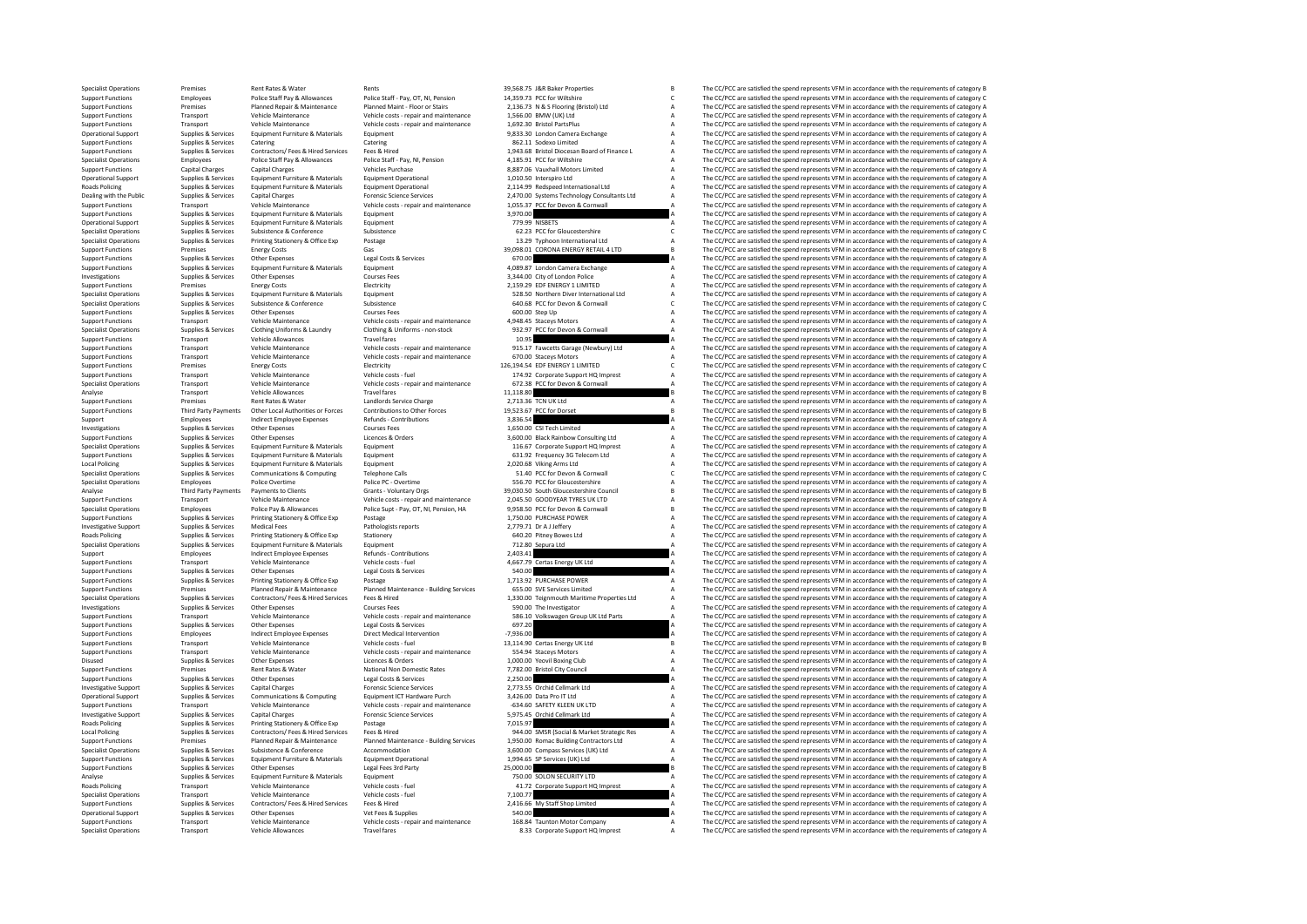Specialist Operations Premises Rent Rates & Water Rents Rents Rents Rents Arents 29,568.75 J&R Baker Properties B The CC/PCC are satisfied the spend represents VFM in accordance with the requirements of category B Properti Support Functions Employees Police Staff Pay & Allowances Police Staff - Pay, OT, NI, Pension 14,359.73 PCC for Willshire C The CC/PCC are satisfied the spend represents VFM in accordance with the requirements of category **Support Figure 2016** 2016 2018 Premises Premises Premises Premises Premises Premises Premises Premises Premises Premises Premises Premises Premises Premises Premises Premises Premises Premises Premises Premises Premises P Support Functions Transport Vehicle Maintenance Vehicle costs - repair and maintenance 1,660.00 BMW (UK) Ltd A The CC/PCC are satisfied the spend represents VFM in accordance with the requirements of category A The CC/PCC Support Functions Transport Vehicle Maintenance Vehicle costs - repair and maintenance 1,692.30 Bristol PartsPlus A The CC/PCC are satisfied the spend represents VFM in accordance with the requirements of category A The CC Operational Supplies Services Equipment Furniture & Materials Equipment Furniture and the Supplies A The CC/PCC are satisfied the spend represents VFM in accordance with the requirements of category A The CC/PCC are satisf Support Functions Supplies & Services Catering Catering Catering Catering Support Support Catering and The CC/PCC are satisfied the spend represents VFM in accordance with the requirements of category A Support Functions S Experiments on the contractors of the Supplies & Services Contractors/Fees & Hired Firest Hired Supplies (Supplies & Services Contractors/Fees & Hired Services Fees & Hired 1,943.68 Bristol Diocesan Board of Finance L. A T Specialist Operations Employees Police Staff Pay & Allowances Police Staff - Pay, NI, Pension 4,185.91 PCC for Wiltshire A The CC/PCC are satisfied the spend represents VFM in accordance with the requirements of category A Support Functions Capital Charges Capital Charges Vehicles Vehicles Purchase Vehicles Purchase 8,887.06 Vauxhall Motors Limited A The CC/PCC are satisfied the spend represents VFM in accordance with the requirements of cat Operational Support Supplies & Services Equipment Furniture & Materials Equipment Operational 1,010.50 Interspiro Ltd A The CC/PCC are satisfied the spend represents VFM in accordance with the requirements of category A Re Roads Policing Materials Supplies & Services Equipment Fumiture & Materials Equipment Operational Materials Equipment Derational Materials 2,114.99 Redspeed International Ltd A The CC/PCC are satisfied the spend represents Dealing with the Public Supplies Services Services (School of the Supplies of the Contract of the Contract of the Supplies of the Contract of the Contract of the Contract of the Contract of the Contract of the Contract of Support Functions Transport Vehicle Maintenance Vehicle costs - repair and maintenance 1,055.37 PCC for Devon & Cornwall A The CC/PCC are satisfied the spend represents VFM in accordance with the requirements of category A Support Functions Supplies Services Equipment Functions Support Functions Support Functions Support Functions and the CC/PCC are satisfied the spend represents VFM in accordance with the requirements of category A The CC/P Operational Supplies Services Equipment Furniture & Materials Equipment Fundational The CC/PCC are attentional Supplies and the CC/PCC are satisfied the spend represents VFM in accordance with the requirements of category Specialist Operations Supplies & Services Subsistence Subsistence Subsistence Subsistence Subsistence Subsistence C The CC/PCC are satisfied the spend represents VFM in accordance with the requirements of category C Secies Specialist Operations Supplies & Services Printing Stationery & Office Exp Postage Postage 13.29 Typhoon International Ltd A The CC/PCC are satisfied the spend represents VFM in accordance with the requirements of category Support Functions Premises Energy Costs Gas 39,098.01 CORONA ENERGY RETAIL 4 LTD B The CC/PCC are satisfied the spend represents VFM in accordance with the requirements of category B Support Functions Supplies & Services Other Expenses Legal Costs & Services Costs Category Costs and COSTS CORPORTING CONTENT CONTENT A The CC/PCC are satisfied the spend represents VFM in accordance with the requirements Support Functions Supplies & Services Equipment Functions Equipment Functions Equipment A 4,089.87 London Camera Exchange A The CC/PCC are satisfied the spend represents VFM in accordance with the requirements of category Investigations Supplies Services Courses Courses Courses Courses and the Services Courses Courses and the Courses and the CC/PCC are satisfied the spend represents VFM in accordance with the requirements of category A The Support Functions Premises Energy Costs Energy Costs Energy Costs Energy Costs Energy Costs Energy Costs Energy Costs Energy Costs Energy Costs Energy Costs Energy Costs Energy Costs Energy Costs Energy A The COST are sati Specials Communication of the communication of the communication of the communication of the communication of the communication of the communication of the communication of the communication of the communication of the com Specialist Operations Supplies Services Subsistence Subsistence Subsistence Subsistence Subsistence 640.68 PCC for Devon & Cornwall Corner and the CC/PCC are satisfied the spend represents VFM in accordance with the requir Support Functions Supplies Services Other Expenses Courses Fees 600.00 Step Up A The CC/PCC are satisfied the spend represents VFM in accordance with the requirements of category A The CC/PCC are satisfied the spend repres Support Functions Transport Vehicle Maintenance Vehicle costs - repair and maintenance 4,948.45 Staceys Motors A The CC/PCC are satisfied the spend represents VFM in accordance with the requirements of category A Stace Sta Specialist Operations Supplies & Services Clothing Uniforms & Laundry Clothing & Uniforms - non-stock 932.97 PCC for Devon & Cornwall A The CC/PCC are satisfied the spend represents VFM in accordance with the requirements of category A Support Functions Transport Vehicle Allowances Travel fares Travel fares and the control of the CC/PCC are satisfied the spend represents VFM in accordance with the requirements of category A The CC/PCC are satisfied the s Support Functions Transport Vehicle Maintenance Vehicle costs - repair and maintenance 915.17 Fawcetts Garage (Newbury) Ltd The CC/PCC are satisfied the spend represents VFM in accordance with the requirements of category<br> Support Functions Transport Vehicle Maintenance Vehicle costs - repair and maintenance 670.00 Staceys Motors A The CC/PCC are satisfied the spend represents VFM in accordance with the requirements of category Category A Th Support Functions Premises Energy Costs Electricity Energy Costs Energy Costs Energy Costs Energy Costs Energy Costs Energy Costs Energy Costs Energy Costs Energy Costs Energy Costs Energy Costs Energy Costs Energy Costs E Support Functions Transport Vehicle Maintenance Vehicle costs - fuel 174.92 Corporate Support HQ Imprest A The CC/PCC are satisfied the spend represents VFM in accordance with the requirements of category A Secret A The CC Specialist Operations Transport Vehicle Costs - repair and maintenance 1972.38 PCC for Devon & Cornwall A The CC/PCC are satisfied the spend represents VFM in accordance with the requirements of category A The CC/PC are sa Analyse Transport Vehicle Allowances Travel Travel in the Superior Control of the CC/PCC are substituted the spend represents VFM in accordance with the requirements of category B<br>Spend and the spend of category Bend Bank Support Functions Premises Rent Rates & Water Landlords Service Charge 2,713.36 TCN UK Ltd A The CC/PCC are satisfied the spend represents VFM in accordance with the requirements of category Bread and Deck Particle 2,713.5 Other Local Authorities or Forces Contributions to Other Forces 19,523.67 PCC for Dorset B The CC/PCC are satisfied the spend represents VFM in accordance with the requirements of category B<br>
19,523.67 PCC for Dorset B The Support Employees Indirect Employee Expenses Refunds - Contributions 3,836.54 Support A The CC/PCC are satisfied the spend represents VFM in accordance with the requirements of category A Contributions and the requirements Investigations Supplies & Services Other Expenses Courses Fees 1,650.00 CSI Tech Limited A The CC/PCC are satisfied the spend represents VFM in accordance with the requirements of category A Support Functions Supplies & Services Other Expenses Licences & Orders Licences Corders 3,600.00 Black Rainbow Consulting Ltd A The CC/PCC are satisfied the spend represents VFM in accordance with the requirements of categ Specialist Operations Supplies & Services Equipment Furniture & Materials Equipment 116.67 Corporate Support HQ Imprest A The CC/PCC are satisfied the spend represents VFM in accordance with the requirements of category A<br> Support Functions Supplies & Services Equipment Funiture & Materials Equipment 631.92 Frequency 3G Telecom Ltd A The CC/PCC are satisfied the spend represents VFM in accordance with the requirements of category A Local Pol Local Policing Supplies & Services Equipment Furniture & Materials Equipment Equipment Equipment and a 2,020.68 Viking Arms Ltd A The CC/PCC are satisfied the spend represents VFM in accordance with the requirements of cat Specialist Operations Supplies Services Communications Supplies Computing Telephone Calls 51.40 PCC for Devon A Communications Category C The CC/PCC are satisfied the spend represents VFM in accordance with the requirement Specialist Operations Employees Police Overtime Police PC-Overtime Police POSC - Overtime Police POSC For Gloucestershire A The CC/PCC are satisfied the spend represents VFM in accordance with the requirements of category Analyse The CC/PCC are satisfied the spend represents VFM in accordance with the requirements of category B The CC/PCC are satisfied the spend represents VFM in accordance with the requirements of category B The CC/PCC are Support Functions Transport Vehicle Maintenance Vehicle costs - repair and maintenance 2,045.50 GOODYEAR TYRES UK LTD A The CC/PCC are satisfied the spend represents VFM in accordance with the requirements of category A De Specialist Operations Employees Police Police Police Police Super-Police Police Police Police Police Police Police Police Police Police Police Police Police Police Police Police Police Police Police Police Police Police Po Support Functions Supplies & Services Printing Stationery & Office Exp Postage Principal Postage 1,750.00 PURCHASE POWER A The CC/PCC are satisfied the spend represents VFM in accordance with the requirements of category A Investigative Support Supplies & Services Medical Fees Medical Fees Pathologists reports Pathologists reports 2,779.71 Dr A Jeffery A The CC/PCC are satisfied the spend represents VFM in accordance with the requirements of Roads Policing Supplies & Services Printing Stationery & Office Exp Stationery Stationery Control and the Stationery Control of the Stationery A The CC/PCC are satisfied the spend represents VFM in accordance with the requ Specialist Operations Contributions and the Specialist Operations of the CC/PCC are satisfied the spend represents VFM in accordance with the requirements of category A The CC/PCC are satisfied the spend represents VFM in Support Employees Indirect Employee Expenses Refunds Contributions 2,403.41 2,003.41 A The CC/PCC are satisfied the spend represents VFM in accordance with the requirements of category A Support Functions Transport Vehicle Support Functions Transport Functions Transport Vehicle costs - fuel and the CC/PC are satisfied the spend represents VFM in accordance vehicle of the CC/PC are satisfied the spend represents VFM in accordance with the req Support Functions Supplies Services Other Expenses Legal Costs Services Costs Services A The CC/PCC are satisfied the spend represents VFM in accordance with the requirements of category A The COST are satisfied the spend The CC/DCC are satisfied the spend represents VEM in accordance with the requirements of category A Eventions Premises Premises Planned Repair & Maintenance Planned Maintenance - Building Services 655.00 SVE Services Limited Antional A The CC/PCC are satisfied the spend represents VFM in accordance with the requirements Supplies & Services Contractors/Fees & Hired Courses Fees & Hired 1,330.00 Telegramouth Maritime Properties Ltd A The CC/PCC are satisfied the spend represents VFM in accordance with the requirements of category A Courses Investigations Supplies & Services Other Expenses Courses Courses Fees Supplies Courses Courses Courses Fees 590.00 The Investigator A The CC/PCC are satisfied the spend represents VFM in accordance with the requirements o -<br>Support Functions Transport Wehicle Maintenance Wehicle costs - repair and maintenance 586.10 Volkswagen Group UK Ltd Parts A The CC/PCC are satisfied the spend represents VFM in accordance with the requirements of categ Support Functions Supplies & Services Other Expenses Legal Costs & Services Costs Services Costs are content of the Services 697.20 A The CC/PCC are satisfied the spend represents VFM in accordance with the requirements of Support Functions Employees Indirect Employee Expenses Direct Medical Intervention -7,936.00 -7,936.00 A The CC/PCC are satisfied the spend represents VFM in accordance with the requirements of category Burge The Critical Support Functions Transport Vehicle Costs - Transport Vehicle costs - fuel 13,114.90 Certas Energy UK Ltd B The CC/PCC are satisfied the spend represents VFM in accordance with the requirements of category B The C/PC are s Support Functions Transport Vehicle Maintenance Vehicle costs - repair and maintenance and maintenance Safety Adology and The CC/PCC are satisfied the spend represents VFM in accordance with the requirements of category A The CC/PCC are satisfied the spend represents VFM in accordance with the requirements of category A Support Functions Premises Rent Rates Rent Rates Rent Rates Rent Rates Rent Rates Rent Rates Premises Premises Rent Rates Rent Rates Rent Rates Rent Rates Rent Rates Rent Rates And the Propries and the COUNCIL A The COUNCI Support Functions Supplies & Services Other Expenses Legal Costs & Services 2,250.00 A The CC/PCC are satisfied the spend represents VFM in accordance with the requirements of category A Costs and a Costs Category A The CC Forensic Science Services Capital Cellmark Ltd Charges Capital Charges To Capital Cellmark Ltd A The CC/PCC are satisfied the spend represents VFM in accordance with the requirements of category A The CC/PCC are satisfied Operational Support Supplies & Services Communications & Computing Equipment ICT Hardware Purch 3,426.00 Data Pro IT Ltd A The CC/PCC are satisfied the spend represents VFM in accordance with the requirements of category A Support Functions Transport Transport Vehicle Maintenance Vehicle costs - repair and maintenance -634.60 SAFETY KLEEN UK LTD A The CC/PCC are satisfied the spend represents VFM in accordance with the requirements of catego Investigative Support Supplies & Services Capital Charges Forensic Science Services Services 5,975.45 Orchid Cellmark Ltd A The CC/PCC are satisfied the spend represents VFM in accordance with the requirements of category Roads Policing Supplies & Services Printing Stationery & Office Exp Postage Postage 7,015.97 Magazines 7,015.97 A The CC/PCC are satisfied the spend represents VFM in accordance with the requirements of category A Cord at Local Policing Supplies & Services Contractors/ Fees & Hired Services Fees & Hired 944.00 SMSR (Social & Market Strategic Res A The CC/PCC are satisfied the spend represents VFM in accordance with the requirements of category A Support Functions Premises Planned Repair & Content of Cheron Planned Maintenance Planned Maintenance Planned Maintenance Building Services 1,950.00 Roman Building Contractors Ltd A The CC/PCC are satisfied the spend repre Specialist Operations Supplies & Services Subsistence & Conference Accommodation 3,600.00 Compass Services (UK) Ltd A The CC/PCC are satisfied the spend represents VFM in accordance with the requirements of category A Supp Support Functions Supplies Services Equipment Furniture & Materials Equipment Operational 1,994.65 SP Services (UK) Ltd A The CC/PCC are satisfied the spend represents VFM in accordance with the requirements of category A CSUPPLIES SUPPLIES SUPPLIES OTHER THE CONDUCT THE CONDUCT THE CONDUCT THE CONDUCT ASSEDUCT A THE CONDUCT ARE SUPPLIES ON THE CONDUCT ASSEDUCT A THE CONDUCT ARE SUPPLIES ON THE CONDUCT ASSEDUCT A THE CONDUCT ASSEDUCT ARE CO Analyse Supplies & Services Equipment Furniture & Materials Equipment Couries Equipment Couries Analyse and the CC/PCC are satisfied the spend represents VFM in accordance with the requirements of category A Road Schelen a Roads Policing Transport Vehicle Maintenance Vehicle costs - fuel 41.72 Corporate Support HQ Imprest A The CC/PCC are satisfied the spend represents VFM in accordance with the requirements of category A The CC/PC are satis Specialist Operations Transport Vehicle Maintenance Vehicle costs - fuel 7,100.77 710.77 A The CC/PCC are satisfied the spend represents VFM in accordance with the requirements of category A The CC/PCC are satisfied the sp Support Functions Supplies & Services Contractors/ Fees & Hired Services Fees & Hired 2,416.66 My Staff Shop Limited A The CC/PCC are satisfied the spend represents VFM in accordance with the requirements of category A Cre Operational Support Supplies Services Other Expenses Vet Fees & Supplies Supplies Supplies and the Supplies Category A The CC/PCC are satisfied the spend represents VFM in accordance with the requirements of category A The Support Functions Transport Vehicle Maintenance Vehicle costs - repair and maintenance 168.84 Taunton Motor Company A The CC/PCC are satisfied the spend represents VFM in accordance with the requirements of category and th Travel fares Travel fares and the CC/PCC are satisfied the spend represents VFM in accordance with the requirements of category A The CC/PCC are satisfied the spend represents VFM in accordance with the requirements of cat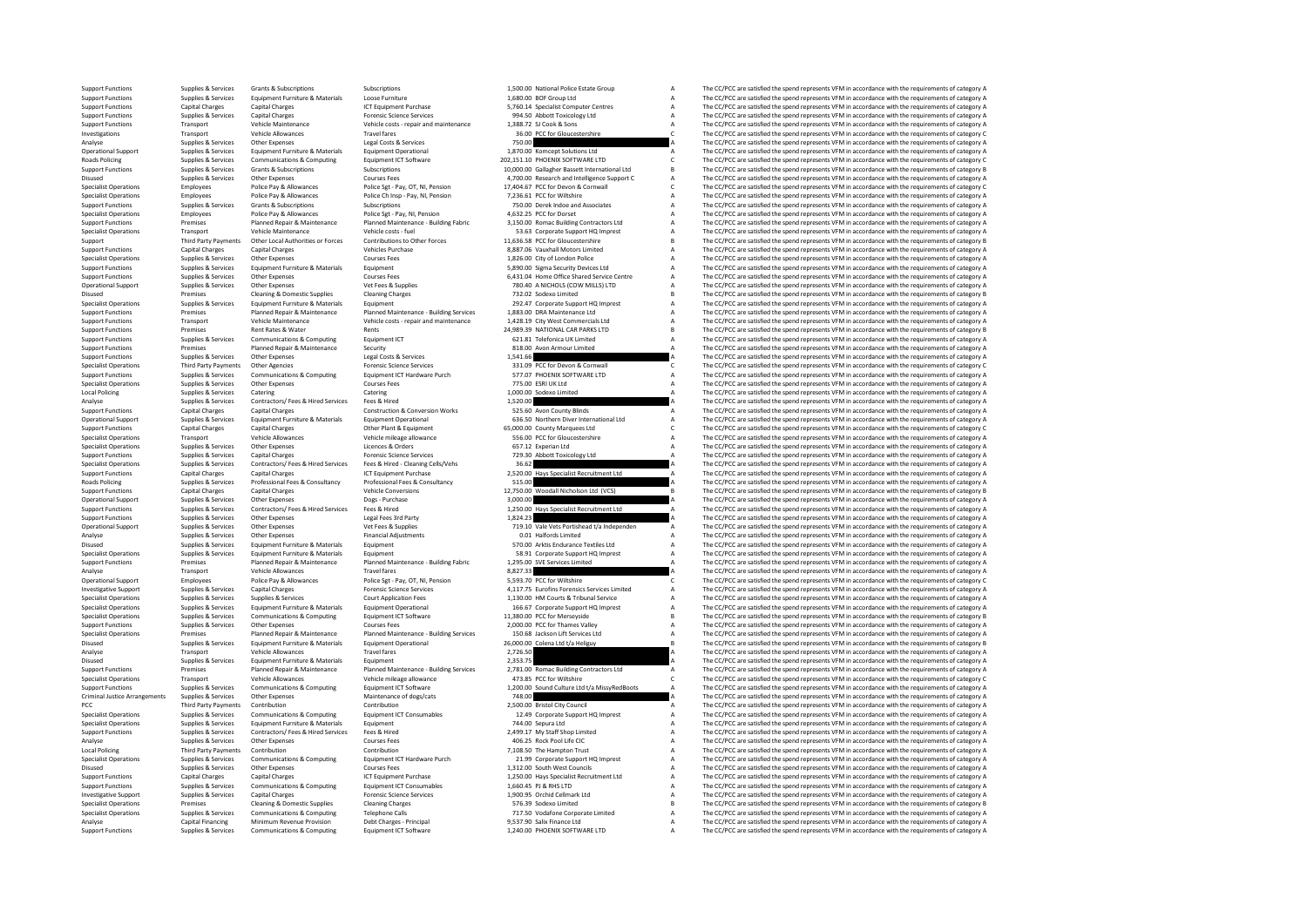Support Functions Supplies & Services Grants & Subscriptions Subscriptions Subscriptions Subscriptions and the content of the CC/PC are satisfied the spend represents VFM in accordance with the requirements of category A S Support Functions Supplies & Services Equipment Furniture & Materials Loose Furniture 4 Loose Furniture 1,680.00 BOF Group Ltd A The CC/PCC are satisfied the spend represents VFM in accordance with the requirements of cate Support Functions Capital Charges Capital Charges ICT Equipment Purchase 5,760.14 Specialist Computer Centres A The CC/PCC are satisfied the spend represents VFM in accordance with the requirements of category A The CC/PC Support Functions Supplies Services Capital Charges Forences Forences Forences Support Services of the Support Toxicology Ltd A The CC/PCC are satisfied the spend represents VFM in accordance with the requirements of categ Support Functions Transport Vehicle Maintenance Vehicle costs - repair and maintenance 1,388.72 SJ Cook & Sons A The CC/PCC are satisfied the spend represents VFM in accordance with the requirements of category A The VC/PC Investigations Transport Vehicle Allowances Travel fares and the Second Conductive Conductive Conductive Conductive Conductive Conductive Conductive Conductive Conductive Conductive Conductive Conductive Conductive Conduct Analyse Supplies & Services Other Expenses Legal Costs & Services 750.00 A The CC/PCC are satisfied the spend represents VFM in accordance with the requirements of category A Cycle are spend represents VFM in accordance wi Operational Support Supplies & Services Equipment Furniture & Materials Equipment Derational 1,870.00 Komcept Solutions Ltd The CC/PCC are satisfied the spend represents VFM in accordance with the requirements of category Roads Policing Supplies & Services Communications & Computing Equipment ICT Software 202,151.10 PHOENIX SOFTWARE LTD C The CC/PCC are satisfied the spend represents VFM in accordance with the requirements of category C Sup Support Functions Supplies & Services Grants & Subscriptions Subscriptions Subscriptions Subscriptions Subscriptions and the magnonic and the category B The CC/PCC are satisfied the spend represents VFM in accordance with Disused Supplies & Services Other Expenses Courses Fees A,700.00 Research and Intelligence Support C A The CC/PCC are satisfied the spend represents VFM in accordance with the requirements of category Courses Police Pay & Specialist Operations Employees Police Pay & Allowances Police Set - Pay, OT, NI, Pension 17,404.67 PCC for Devon & Communil C The CC/PCC are satisfied the spend represents VFM in accordance with the requirements of catego Specialist Operations Employees Police Pay & Allowances Police Ch Insp - Pay, NI, Pension 7,236.61 PCC for Wiltshire A The CC/PCC are satisfied the spend represents VFM in accordance with the requirements of category A The Support Functions Supplies Services Grants Subscriptions Subscriptions Subscriptions Subscriptions Subscriptions Subscriptions and Associates A The CC/PCC are satisfied the spend represents VFM in accordance with the requi Specialist Operations Species Police Pay & Allowances Police Sgt - Pay, NI, Pension 4,632.25 PCC for Dorset A The CC/PCC are satisfied the spend represents VFM in accordance with the requirements of category A The CC/PCC a Support Frankley of the mail of the mail of the mail of the mail of the computation of the computations of the experiment of the experiments of the experiments of the experiments of the experiments of the experiments of th Transport Vehicle Costs - fuel Controller Controller Controller Controller Controller Controller Controller Costs - fuel Specialist Operations A The CC/PCC are satisfied the spend represents VFM in accordance with the requ 11.636.58 PCC for Gloucestershire Band of Contributions (Numerican Contributions to Other Forces 11.636.58 PCC for Gloucestershire Band The CC/PCC are satisfied the spend represents VFM in accordance with the requirements Support Functions Capital Charges Capital Charges Capital Charges Capital Charges Support and the Support Charges Charges Support The CC/PCC are satisfied the spend represents VFM in accordance with the requirements of cat Specialist Operations Supplies & Services Other Expenses Courses Courses Fees 1,826.00 City of London Police A The CC/PCC are satisfied the spend represents VFM in accordance with the requirements of category A The CC/PCC Support Functions Supplies & Services Equipment Funiture & Materials Equipment Sequipment Security Devices Ltd Support Functions A The CC/PCC are satisfied the spend represents VFM in accordance with the requirements of ca Support Functions Supplies Services Courses Courses Courses Courses Fees 6,431.04 Home Office Shared State Centre A The CC/PCC are satisfied the spend represents VFM in accordance with the requirements of category A The CC Operational Supplies Assertives Other Expenses Vet Fees & Services Vet Fees A NICHOLS (COW MILLS) LTD A The CC/PCC are satisfied the spend represents VFM in accordance with the requirements of category By a The CC/PC are s Disued Premises Cleaning Domestic Supplies Cleaning Charges Cleaning Charges 732.02 Sodexo Limited Charges 732.02 Sodexo Limited B The CC/PCC are satisfied the spend represents VFM in accordance with the requirements of ca Specialist Operations Supplies & Services Equipment Furniture & Materials Equipment 2021 Corporate Support HO Imprest A The CC/PCC are satisfied the spend represents VFM in accordance with the requirements of category A Th Export Functions Transport of Premises Produce Planned Repair & Maintenance Planned Maintenance Building Services 1,883.00 DRA Maintenance Ltd . The CC/PCC are satisfied the spend represents VFM in accordance with the requ Support Functions Transport Vehicle Maintenance Vehicle costs - repair and maintenance 1,428.19 City West Commercials Ltd A The CC/PCC are satisfied the spend represents VFM in accordance with the requirements of category Support Functions 24,989.39 NATIONAL CAR PARKS LTD B The CC/PCC are satisfied the spend represents VFM in accordance with the requirements of category B Category B Category B The CC/PCC are satisfied the spend represents V Support Functions Supplies & Services Communications Communications Equipment ICT 621.81 Telefonica UK Limited A The CC/PCC are satisfied the spend represents VFM in accordance with the requirements of category A Support F Support Functions Premises Planned Repair & Maintenance Security Support Repair and Security 818.00 Avon Armour Limited A The CC/PCC are satisfied the spend represents VFM in accordance with the requirements of category A support Functions Supplies & Services Other Expenses Legal Costs & Services 1,541.66 A The CC/PCC are satisfied the spend represents VFM in accordance with the requirements of category and the spend represents VFM in accor Specialist Operations Third Party Payments Other Agencies Forence Science Services Forensies Corner and Corner<br>Supplies Cornwall Cornwall Cornwall Cornwall Cornwall Cornwall Cornwall Cornwall Cornwall Corner Corner and Cor Support Functions Supplies Services Communications Support Equipment ICT Hardware Purch 577.07 PHOENIX SOFTWARE LTD A The CC/PCC are satisfied the spend represents VFM in accordance with the requirements of category A The Specialist Operations Supplies & Services Other Expenses Courses Fees Courses Fees 775.00 ESRI UK Ltd A The CC/PCC are satisfied the spend represents VFM in accordance with the requirements of category A Category A Categor Coal Policing Supplies Services Catering Catering Catering Catering Catering Catering Local A The CC/PCC are satisfied the spend represents VFM in accordance with the requirements of category A The CC/PCC are satisfied th Analyse Supplies Services Contractors/ Fees & Hired Services Fees & Hired Services Contractors/ Fees & Hired Services Feest A The CC/PCC are satisfied the spend represents VFM in accordance with the requirements of categor Support Functions Capital Charges Capital Charges Construction & Conversion Works 525.60 Avon County Blinds A The CC/PCC are satisfied the spend represents VFM in accordance with the requirements of category A Construction .<br>Operational Support Supplies & Services Equipment Furniture & Materials Equipment Operational Materials and the SASSO Northern Diver International Ltd A The CC/PCC are satisfied the spend represents VFM in accordance wit Support Functions Capital Charges Capital Charges Capital Charges Capital Charges Other Plant & Equipment 65,000.00 County Marquees Ltd C The CC/PCC are satisfied the spend represents VFM in accordance with the requirement Specialist Operations Transport Vehicle Allowances Vehicle mileage allowance 556.00 PCC for Gloucestershire A The CC/PCC are satisfied the spend represents VFM in accordance with the requirements of category A Specialist O Specialist Operations Supplies & Services Other Expenses Licences & Orders Licences Orders Corders Corders 657.12 Experian Ltd A The CC/PCC are satisfied the spend represents VFM in accordance with the requirements of cate Support Functions Supplies & Services Capital Charges Forensic Science Services Forensic Science Services 729.30 Abbott Toxicology Ltd A The CC/PCC are satisfied the spend represents VFM in accordance with the requirements Specialist Operations Supplies & Services Contractors/ Fees & Hired Services Fees & Hired - Cleaning Cells/Vehs 36.62 A The CC/PCC are satisfied the spend represents VFM in accordance with the requirements of category A Su Support Functions Capital Charges Capital Charges Capital Charges ICT Equipment Purchase 2, 200.00 Hays Specialist Recruitment Ltd A The CC/PCC are satisfied the spend represents VFM in accordance with the requirements of Roads Policing Supplies Services Professional Fees & Consultancy Professional Fees Base on the CC/PC are satisfied the spend represents Professional Feesty Consultations are accorded the spend represents VFM in accordance Support Functions Capital Charges Capital Charges Capital Charges Vehicle Conversions Capital Charges Vehicle C<br>B The CC/PCC are satisfied the spend represents VFM in accordance with the requirements of category B<br>B The CC Operational Support Supplies Services Other Expenses Dogs - Purchase 3,000.00 A The CC/PCC are satisfied the spend represents VFM in accordance with the requirements of category A Support Supplies Services Contractors/ Fees Research Support (State of the Support of the Contractors of the Support of the Contractors of the Contractors of the equitements of category and the equite message of the Equite Support Functions Supplies & Services Other Expenses Legal Fees 3rd Party 1,824.23 1,824.23 A The CC/PCC are satisfied the spend represents VFM in accordance with the requirements of category A Creation of the Services Oth Opplies Accordance of Cervices Supplies Vet Fees & Supplies Cervices Vet Fees & Supplies 719.10 Vale Vets Portishead t/a Independen A The CC/PCC are satisfied the spend represents VFM in accordance with the requirements of Analyse Supplies Services Other Expenses Financial Adjustments Other Expenses Financial A The CC/PCC are satisfied the spend represents VFM in accordance with the requirements of category A The CC/PCC are satisfied the spe Disused Supplies & Services Equipment Furniture & Materials Equipment Equipment States Equipment Extinct Contents Endurance Textiles Ltd A The CC/PCC are satisfied the spend represents VFM in accordance with the requiremen Species According Supplies Services Equipment Furniture & Materials Equipment Furniture Amaterials Equipment of Category A S.91 Corporate Support HQ Imprest A The CC/PCC are satisfied the spend represents VFM in accordance Support Functions Premises Planned Provident Particle Planned Provident Particle (1990) and the equivalent provident of the Control of the Control of the Control of the Control of the Control of the Control of the Control Analyse Transport Vehicle Allowances Travel fares and the spend of the CC/PCC are satisfied the spend represents VFM in accordance with the requirements of category Analyse Controlle and the complete and the requirement of The CC/DCC are satisfied the spend represents VEM in accordance with the requirements of category C Investigative Support Supplies & Services Capital Charges Science Services Forensic Science Services (Support Support Support Support Support Support Support Support Support Support Support Support Support Support Support Specialist Operations Supplies & Services Supplies & Services Court Application Fees 1,130.00 HM Courts & Tribunal Service A The CC/PCC are satisfied the spend represents VFM in accordance with the requirements of category Specialist Operations Supplies & Services Equipment Furniture & Materials Equipment Derational 166.67 Corporate Support HQ Imprest A The CC/PCC are satisfied the spend represents VFM in accordance with the requirements of Specialist Operations Supplies Communications Scomputing Equipment ICT Software 11,380.00 PCC for Merseyside U<br>Supplies Services Communications Computing Computing Equipment Computing Computer 11,280.00 PCC for Memory B a<br> Support Functions Supplies & Services Other Expenses Courses Fees 2,000.00 PCC for Thames Valley A The CC/PCC are satisfied the spend represents VFM in accordance with the requirements of category A Specialist Operations P Specialist Operations Premises Planned Repair & Maintenance Planned Maintenance Building Services 150.68 Jackson Lift Services Ltd A The CC/PCC are satisfied the spend represents VFM in accordance with the requirements of Disused Supplies & Services Equipment Furniture & Materials Equipment Operational 26,000.00 Colena Ltd t/a Heliguy B The CC/PCC are satisfied the spend represents VFM in accordance with the requirements of category B The A Analyse Transport Vehicle Allowances Travel fares 2,726.50 A The CC/PCC are satisfied the spend represents VFM in accordance with the requirements of category A The CC/PC are satisfied the spend represents VFM in accordanc The CC/PCC are satisfied the spend represents VFM in accordance with the requirements of category A Support France Premises Premier Payable Planned Maintenance Payable Planned Maintenance Planned Maintenance Planned Maintenance Planned Maintenance Planned Maintenance Planned Maintenance Maintenance Maintenance Maintenanc Specialist Operations Transport Vehicle Allowances Vehicle mileage allowance are a 473.85 PCC for Wiltshire C The CC/PCC are satisfied the spend represents VFM in accordance with the requirements of category C Support Func 1,200.00 Sound Culture Ltd t/a MissyRedBoots A The CC/PCC are satisfied the spend represents VFM in accordance with the requirements of category A<br>The CC/PCC are satisfied the spend represents VEM in accordance with the re Criminal Justice Arrangements Supplies & Services Other Expenses Maintenance of dogs/cats Maintenance of dogs/cats 748.00 A The CC/PCC are satisfied the spend represents VFM in accordance with the requirements of category PCC Third Payments Contribution Contribution Contribution 2,500.000 Bristol Contribution Contribution 2,500.000 Bristol Contribution 2,500.000 Bristol Contribution Contribution 2,500.000 Bristol Contribution 2,500 Bristol Specialist Operations Supplies & Services Communications & Computing Equipment LCT Consumables 12.49 Corporate Support HQ Imprest A The CC/PCC are satisfied the spend represents VFM in accordance with the requirements of c Specialist Operations Supplies & Services Equipment Furniture & Materials Equipment Furniture Amaterials Equipment Turniture and The CC/PC are satisfied the spend represents VFM in accordance with the requirements of categ Support Functions Supplies Services Contractors/ Fees Bees & Hired Services Fees A The CC/PCC are satisfied the spend represent Contractors/ The Functions Support Functions Support Functions (Stategory A The CC/PCC are sat Analyse Supplies & Services Other Expenses Courses Fees 406.25 Rock Pool Life CIC A The CC/PCC are satisfied the spend represents VFM in accordance with the requirements of category A Courses Fees 406.25 Rock Pool Life CIC Local Policing Third Party Payments Contribution Contribution Contribution Contribution Contribution Contribution Contribution Contribution 7,108.50 The Hampton Trust A The CC/PCC are satisfied the spend represents VFM in Specialist Services (Specialistic Communication & Computing Purposes (Specialistic Proposes and December 1974)<br>Price of the English Services (Specialistic Communication & Computing Purposes Computing Council 21.12.10 Sunth 1,312.00 South West Councils **A** The CC/PCC are satisfied the spend represents VFM in accordance with the requirements of category A The CC/PCC are satisfied the spend represents VFM in accordance with the requirements of Support Functions Capital Charges Capital Charges Capital Charges ICT Equipment Purchase 1,250.00 Hays Specialist Recruitment Ltd A The CC/PCC are satisfied the spend represents VFM in accordance with the requirements of c Support Functions Supplies & Services Communications & Computing Equipment ICT Consumables 1,660.45 PJ & RHS LTD A The CC/PCC are satisfied the spend represents VFM in accordance with the requirements of category A Investi Investigative Support Supplies & Services Capital Charges Forensic Science Services Forensic Science Services 1,900.95 Orchid Cellmark Ltd A The CC/PCC are satisfied the spend represents VFM in accordance with the requirem Specialist Operations Premises Cleaning & Domestic Supplies Cleaning Charges Securities Creaning Charges 576.39 Sodexo Limited B The CC/PCC are satisfied the spend represents VFM in accordance with the requirements of cate Specialist Operations Supplies & Services Communications & Computing Telephone Calls 717.50 Vodafone Corporate Limited A The CC/PCC are satisfied the spend represents VFM in accordance with the requirements of category A C Analyse Capital Financing Minimum Revenue Provision Debt Charges - Principal 9,537.90 Salix Finance Ltd A The CC/PCC are satisfied the spend represents VFM in accordance with the requirements of category Capital Scheme Con The CC/PCC are satisfied the spend represents VFM in accordance with the requirements of category A